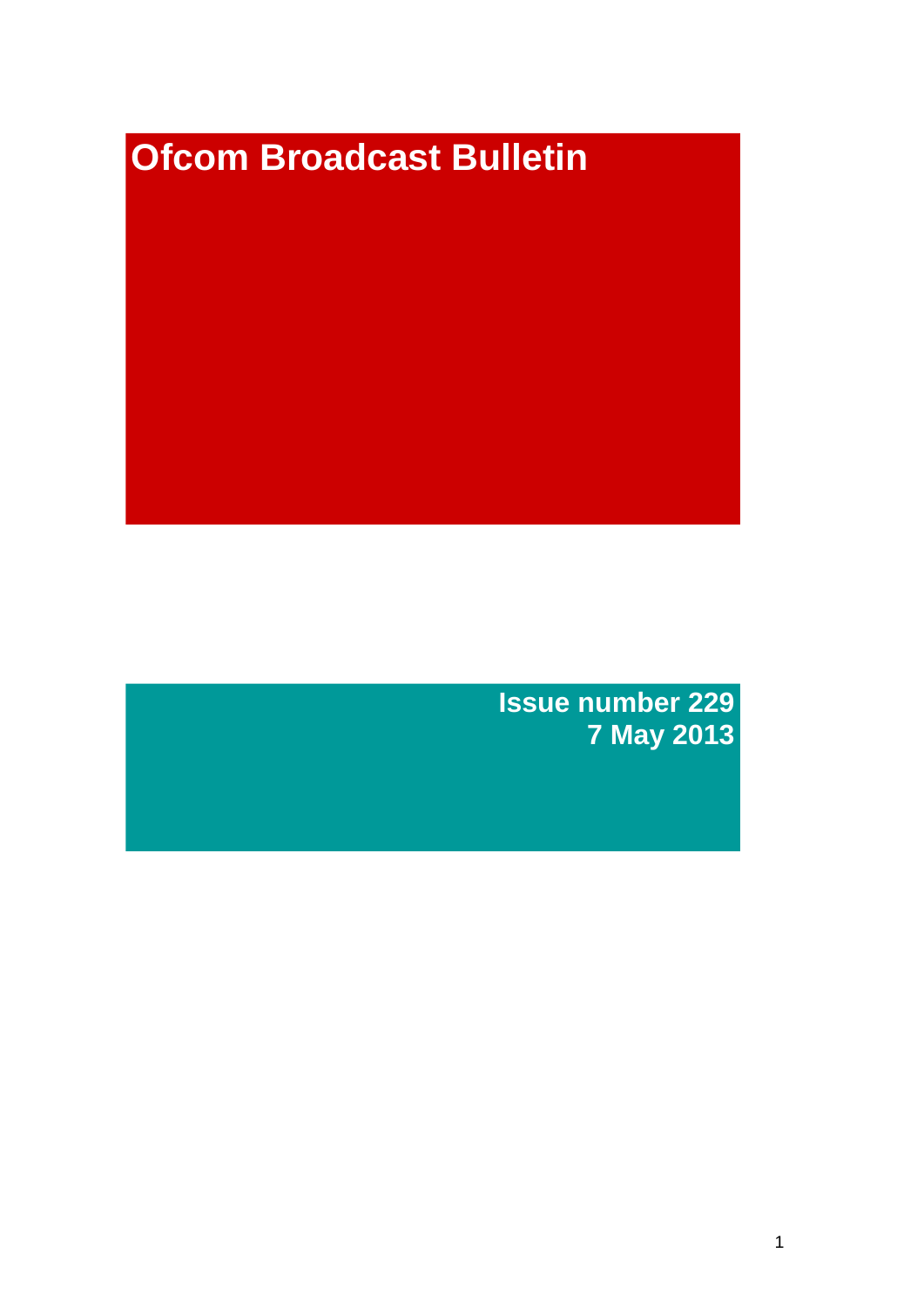# **Ofcom Broadcast Bulletin**

**Issue number 229 7 May 2013**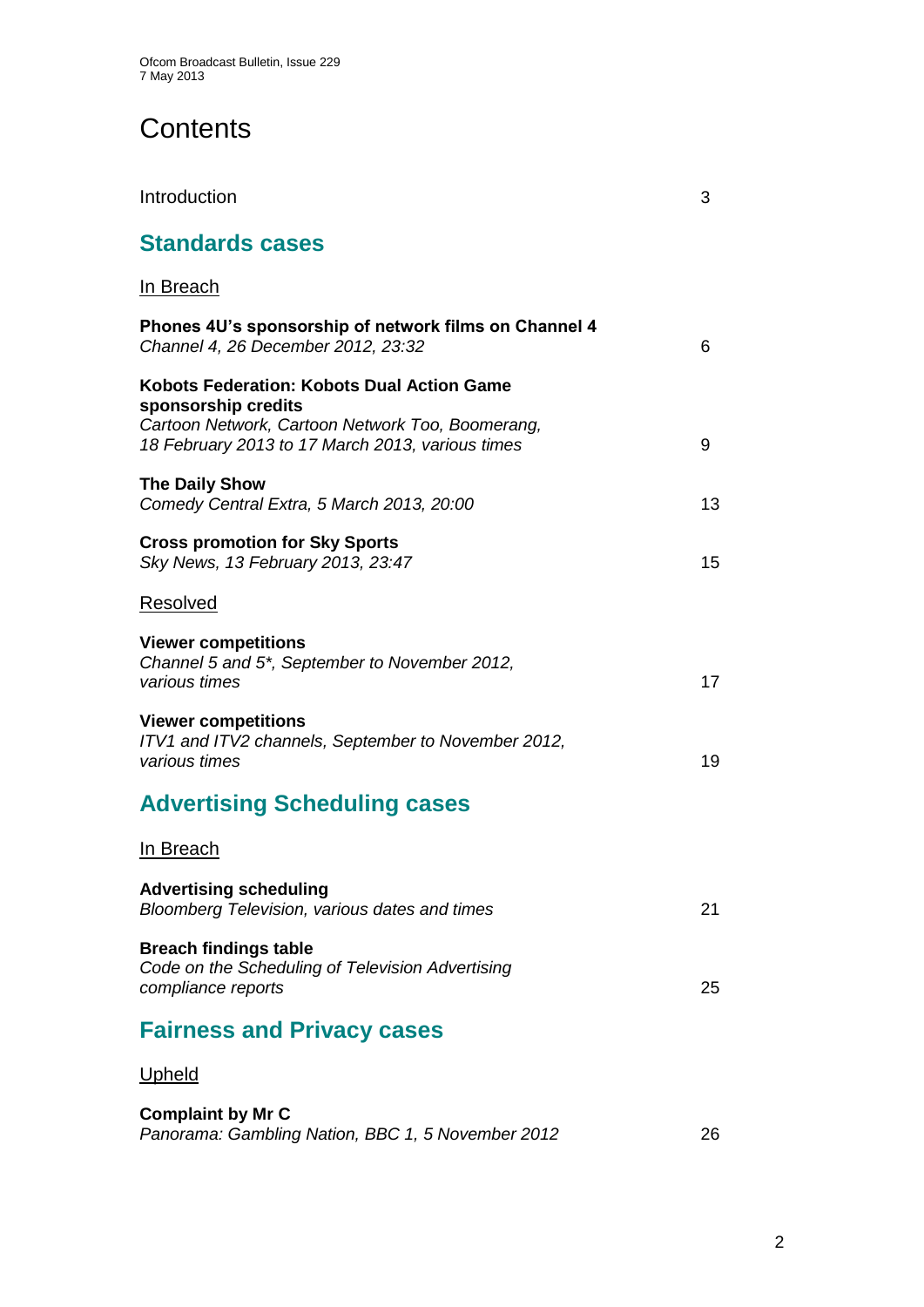# **Contents**

| Introduction                                                                                                                                                              | 3  |
|---------------------------------------------------------------------------------------------------------------------------------------------------------------------------|----|
| <b>Standards cases</b>                                                                                                                                                    |    |
| In Breach                                                                                                                                                                 |    |
| Phones 4U's sponsorship of network films on Channel 4<br>Channel 4, 26 December 2012, 23:32                                                                               | 6  |
| Kobots Federation: Kobots Dual Action Game<br>sponsorship credits<br>Cartoon Network, Cartoon Network Too, Boomerang,<br>18 February 2013 to 17 March 2013, various times | 9  |
| <b>The Daily Show</b><br>Comedy Central Extra, 5 March 2013, 20:00                                                                                                        | 13 |
| <b>Cross promotion for Sky Sports</b><br>Sky News, 13 February 2013, 23:47                                                                                                | 15 |
| Resolved                                                                                                                                                                  |    |
| <b>Viewer competitions</b><br>Channel 5 and 5 <sup>*</sup> , September to November 2012,<br>various times                                                                 | 17 |
| <b>Viewer competitions</b><br>ITV1 and ITV2 channels, September to November 2012,<br>various times                                                                        | 19 |
| <b>Advertising Scheduling cases</b>                                                                                                                                       |    |
| <u>In Breach</u>                                                                                                                                                          |    |
| <b>Advertising scheduling</b><br>Bloomberg Television, various dates and times                                                                                            | 21 |
| <b>Breach findings table</b><br>Code on the Scheduling of Television Advertising<br>compliance reports                                                                    | 25 |
| <b>Fairness and Privacy cases</b>                                                                                                                                         |    |
| <b>Upheld</b>                                                                                                                                                             |    |
| $\mathbf{a}$ and $\mathbf{b}$ and $\mathbf{b}$                                                                                                                            |    |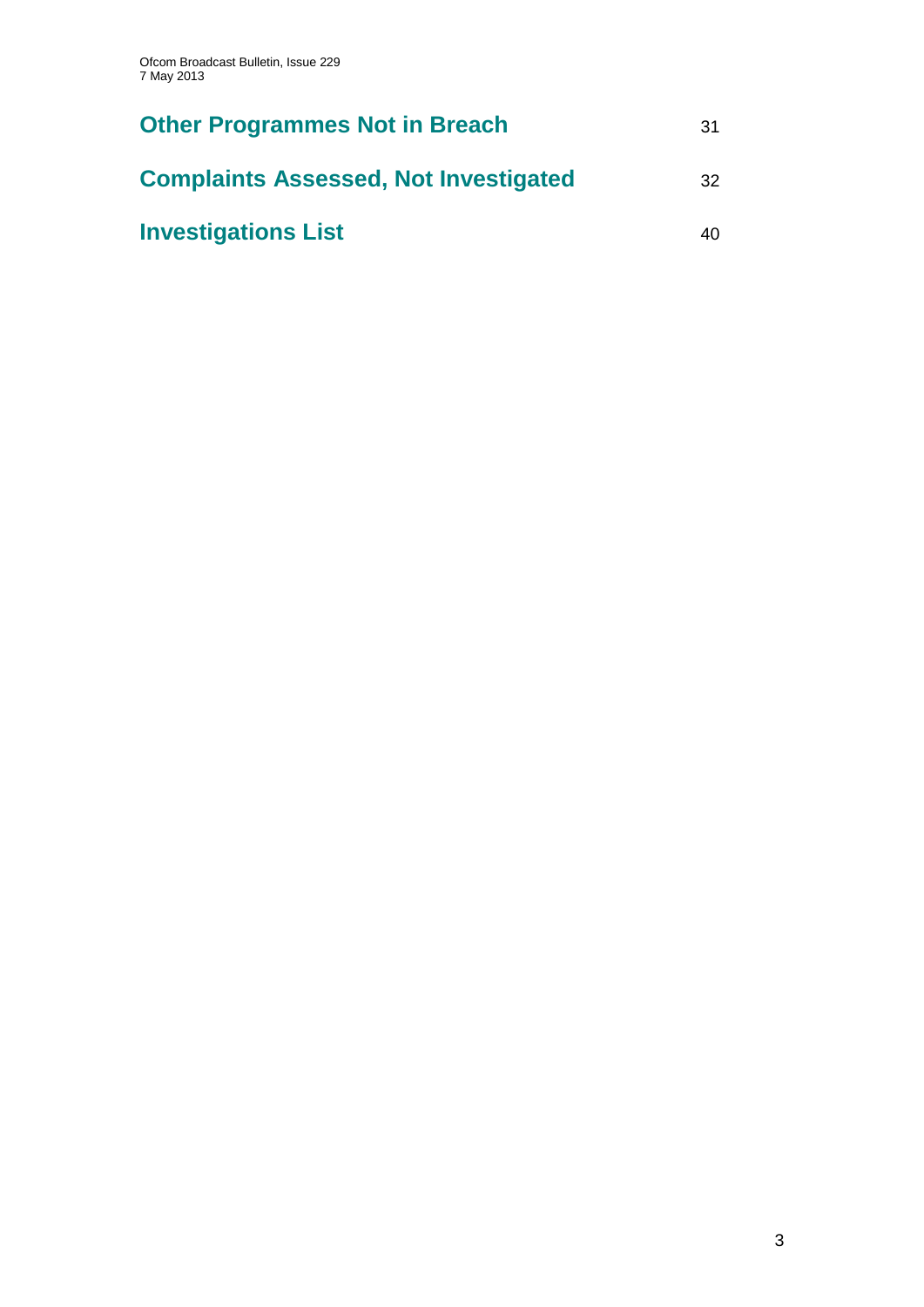| <b>Other Programmes Not in Breach</b>        | 31 |
|----------------------------------------------|----|
| <b>Complaints Assessed, Not Investigated</b> | 32 |
| <b>Investigations List</b>                   | 40 |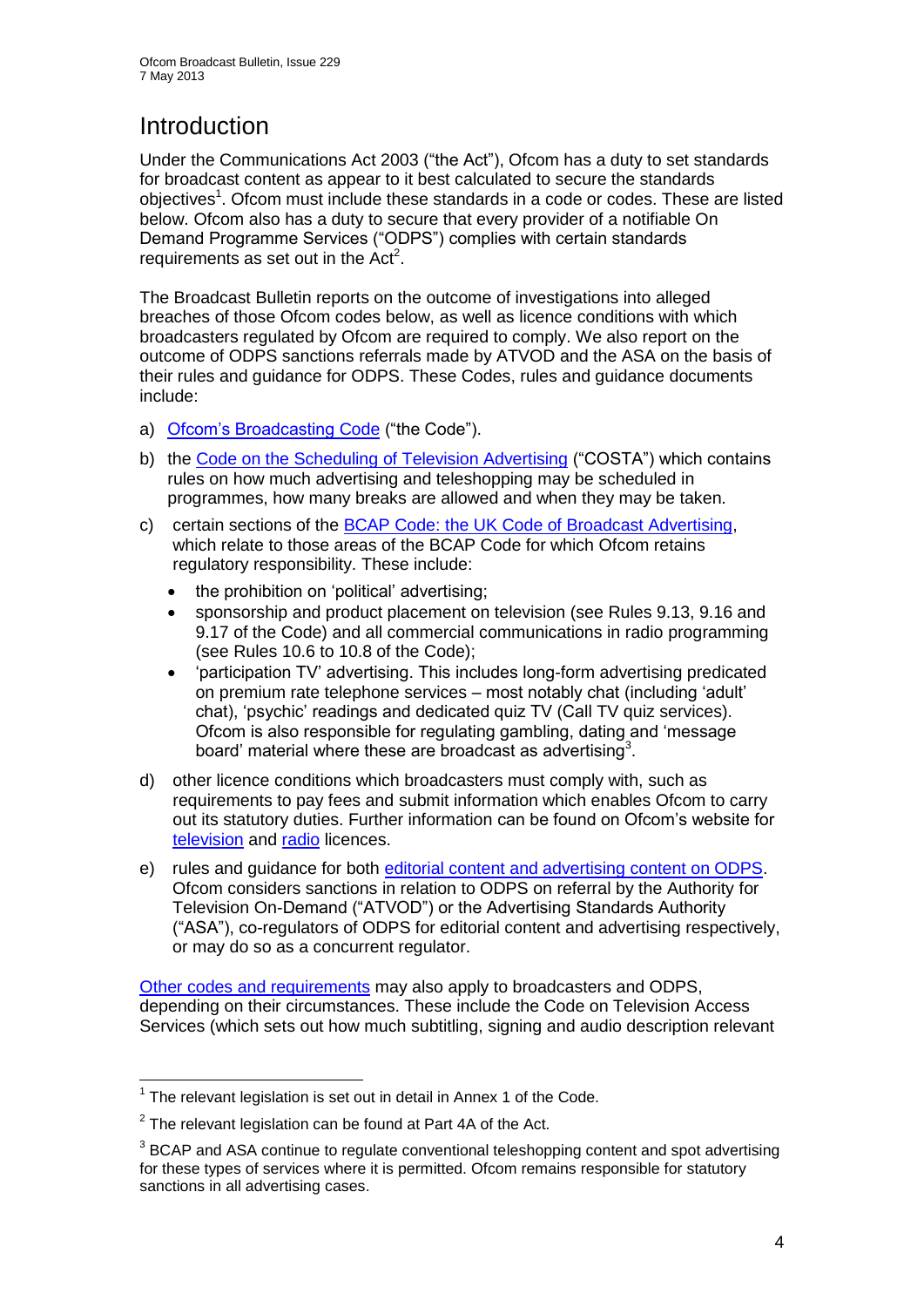# **Introduction**

Under the Communications Act 2003 ("the Act"), Ofcom has a duty to set standards for broadcast content as appear to it best calculated to secure the standards objectives<sup>1</sup>. Ofcom must include these standards in a code or codes. These are listed below. Ofcom also has a duty to secure that every provider of a notifiable On Demand Programme Services ("ODPS") complies with certain standards requirements as set out in the  $Act<sup>2</sup>$ .

The Broadcast Bulletin reports on the outcome of investigations into alleged breaches of those Ofcom codes below, as well as licence conditions with which broadcasters regulated by Ofcom are required to comply. We also report on the outcome of ODPS sanctions referrals made by ATVOD and the ASA on the basis of their rules and guidance for ODPS. These Codes, rules and guidance documents include:

- a) [Ofcom's Broadcasting Code](http://stakeholders.ofcom.org.uk/broadcasting/broadcast-codes/broadcast-code/) ("the Code").
- b) the [Code on the Scheduling of Television Advertising](http://stakeholders.ofcom.org.uk/broadcasting/broadcast-codes/advert-code/) ("COSTA") which contains rules on how much advertising and teleshopping may be scheduled in programmes, how many breaks are allowed and when they may be taken.
- c) certain sections of the [BCAP Code: the UK Code of Broadcast Advertising,](http://www.bcap.org.uk/Advertising-Codes/Broadcast-HTML.aspx) which relate to those areas of the BCAP Code for which Ofcom retains regulatory responsibility. These include:
	- the prohibition on 'political' advertising:
	- sponsorship and product placement on television (see Rules 9.13, 9.16 and 9.17 of the Code) and all commercial communications in radio programming (see Rules 10.6 to 10.8 of the Code);
	- 'participation TV' advertising. This includes long-form advertising predicated on premium rate telephone services – most notably chat (including 'adult' chat), 'psychic' readings and dedicated quiz TV (Call TV quiz services). Ofcom is also responsible for regulating gambling, dating and 'message board' material where these are broadcast as advertising<sup>3</sup>.
- d) other licence conditions which broadcasters must comply with, such as requirements to pay fees and submit information which enables Ofcom to carry out its statutory duties. Further information can be found on Ofcom's website for [television](http://licensing.ofcom.org.uk/tv-broadcast-licences/) and [radio](http://licensing.ofcom.org.uk/radio-broadcast-licensing/) licences.
- e) rules and guidance for both [editorial content and advertising content on ODPS.](http://www.atvod.co.uk/uploads/files/ATVOD_Rules_and_Guidance_Ed_2.0_May_2012.pdf) Ofcom considers sanctions in relation to ODPS on referral by the Authority for Television On-Demand ("ATVOD") or the Advertising Standards Authority ("ASA"), co-regulators of ODPS for editorial content and advertising respectively, or may do so as a concurrent regulator.

[Other codes and requirements](http://stakeholders.ofcom.org.uk/broadcasting/broadcast-codes/) may also apply to broadcasters and ODPS, depending on their circumstances. These include the Code on Television Access Services (which sets out how much subtitling, signing and audio description relevant

<sup>1</sup>  $1$  The relevant legislation is set out in detail in Annex 1 of the Code.

 $2$  The relevant legislation can be found at Part 4A of the Act.

 $3$  BCAP and ASA continue to regulate conventional teleshopping content and spot advertising for these types of services where it is permitted. Ofcom remains responsible for statutory sanctions in all advertising cases.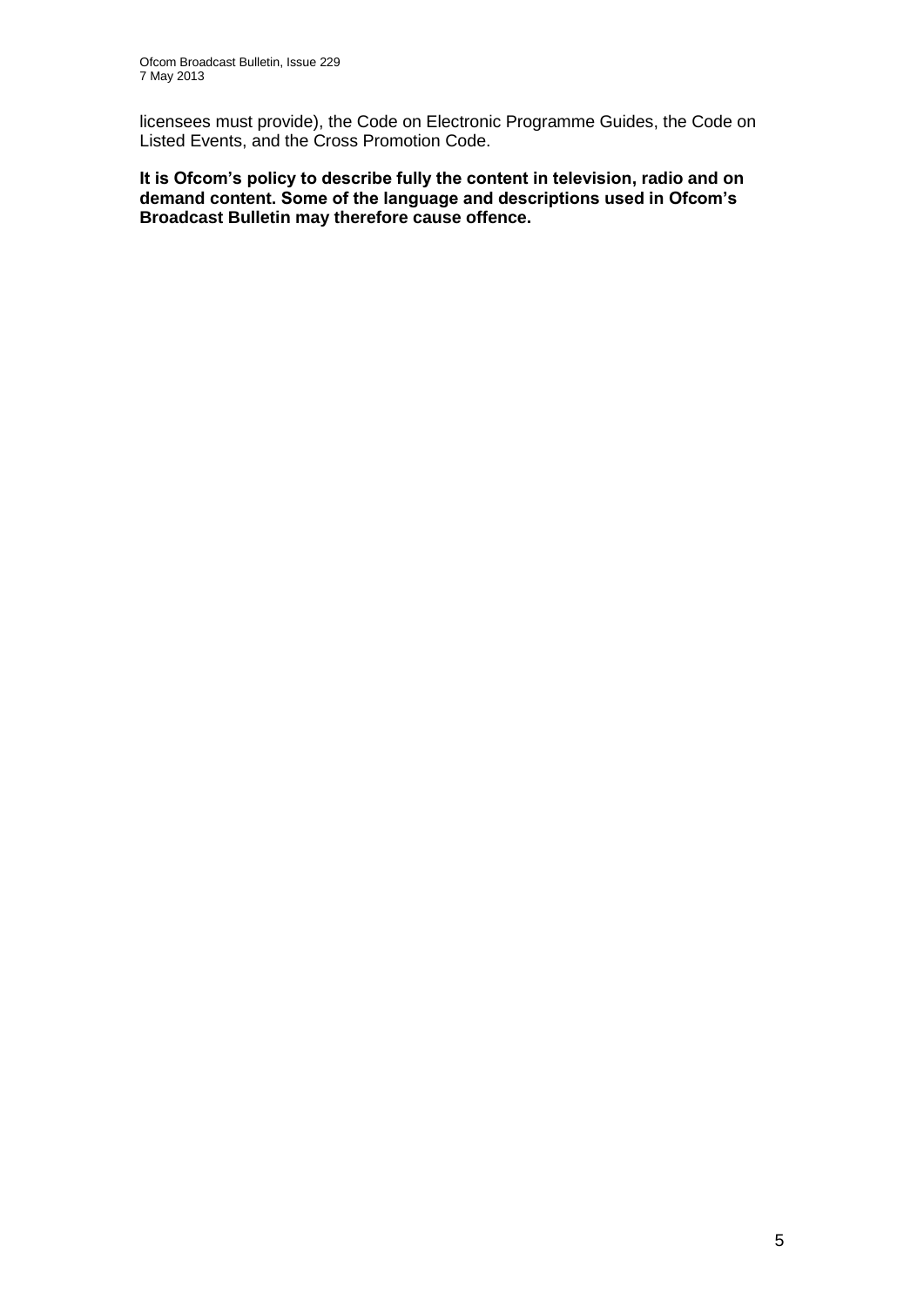licensees must provide), the Code on Electronic Programme Guides, the Code on Listed Events, and the Cross Promotion Code.

**It is Ofcom's policy to describe fully the content in television, radio and on demand content. Some of the language and descriptions used in Ofcom's Broadcast Bulletin may therefore cause offence.**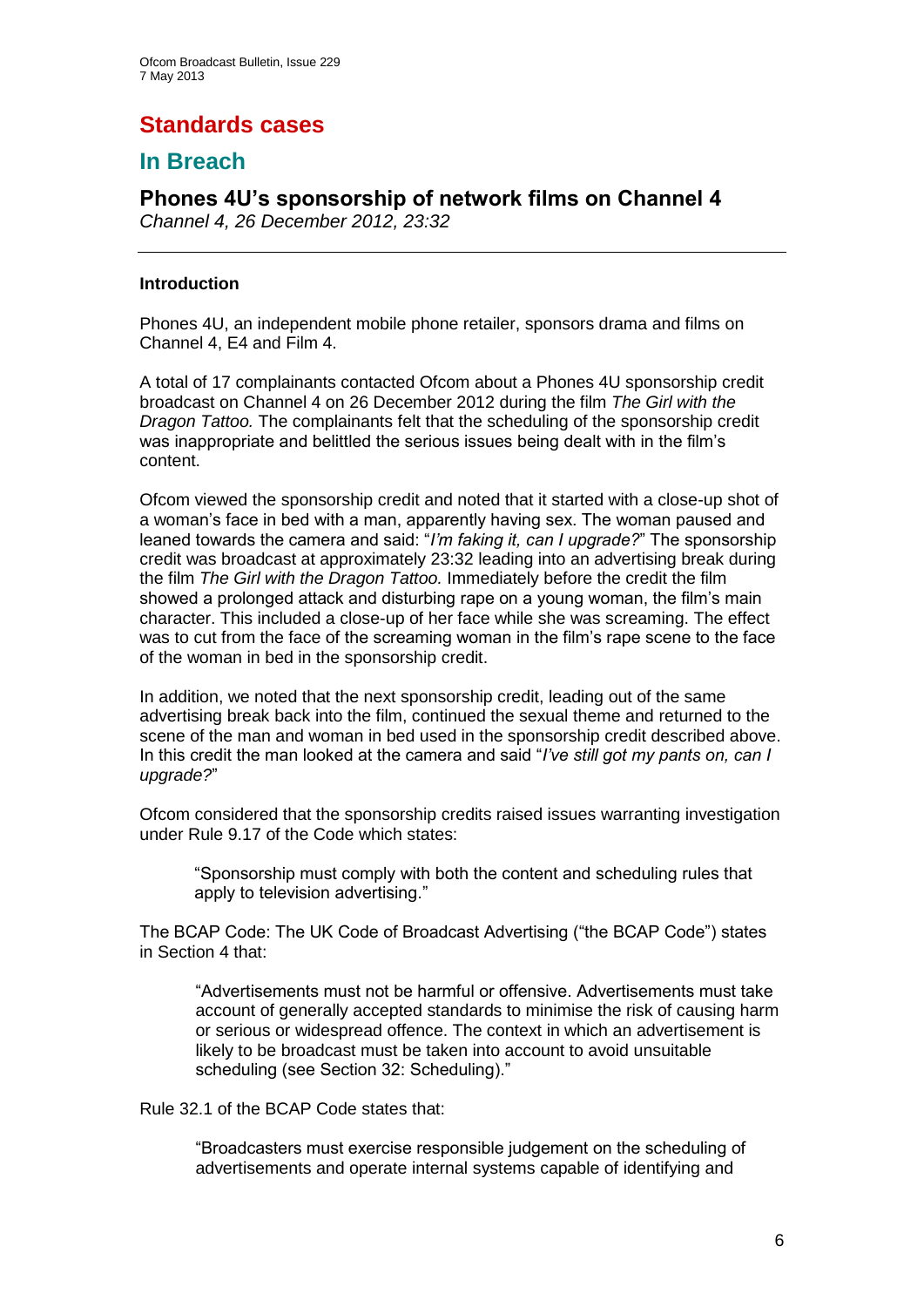# **Standards cases**

## **In Breach**

# **Phones 4U's sponsorship of network films on Channel 4**

*Channel 4, 26 December 2012, 23:32*

#### **Introduction**

Phones 4U, an independent mobile phone retailer, sponsors drama and films on Channel 4, E4 and Film 4.

A total of 17 complainants contacted Ofcom about a Phones 4U sponsorship credit broadcast on Channel 4 on 26 December 2012 during the film *The Girl with the Dragon Tattoo.* The complainants felt that the scheduling of the sponsorship credit was inappropriate and belittled the serious issues being dealt with in the film's content.

Ofcom viewed the sponsorship credit and noted that it started with a close-up shot of a woman's face in bed with a man, apparently having sex. The woman paused and leaned towards the camera and said: "*I'm faking it, can I upgrade?*" The sponsorship credit was broadcast at approximately 23:32 leading into an advertising break during the film *The Girl with the Dragon Tattoo.* Immediately before the credit the film showed a prolonged attack and disturbing rape on a young woman, the film's main character. This included a close-up of her face while she was screaming. The effect was to cut from the face of the screaming woman in the film's rape scene to the face of the woman in bed in the sponsorship credit.

In addition, we noted that the next sponsorship credit, leading out of the same advertising break back into the film, continued the sexual theme and returned to the scene of the man and woman in bed used in the sponsorship credit described above. In this credit the man looked at the camera and said "*I've still got my pants on, can I upgrade?*"

Ofcom considered that the sponsorship credits raised issues warranting investigation under Rule 9.17 of the Code which states:

"Sponsorship must comply with both the content and scheduling rules that apply to television advertising."

The BCAP Code: The UK Code of Broadcast Advertising ("the BCAP Code") states in Section 4 that:

"Advertisements must not be harmful or offensive. Advertisements must take account of generally accepted standards to minimise the risk of causing harm or serious or widespread offence. The context in which an advertisement is likely to be broadcast must be taken into account to avoid unsuitable scheduling (see Section 32: Scheduling)."

Rule 32.1 of the BCAP Code states that:

"Broadcasters must exercise responsible judgement on the scheduling of advertisements and operate internal systems capable of identifying and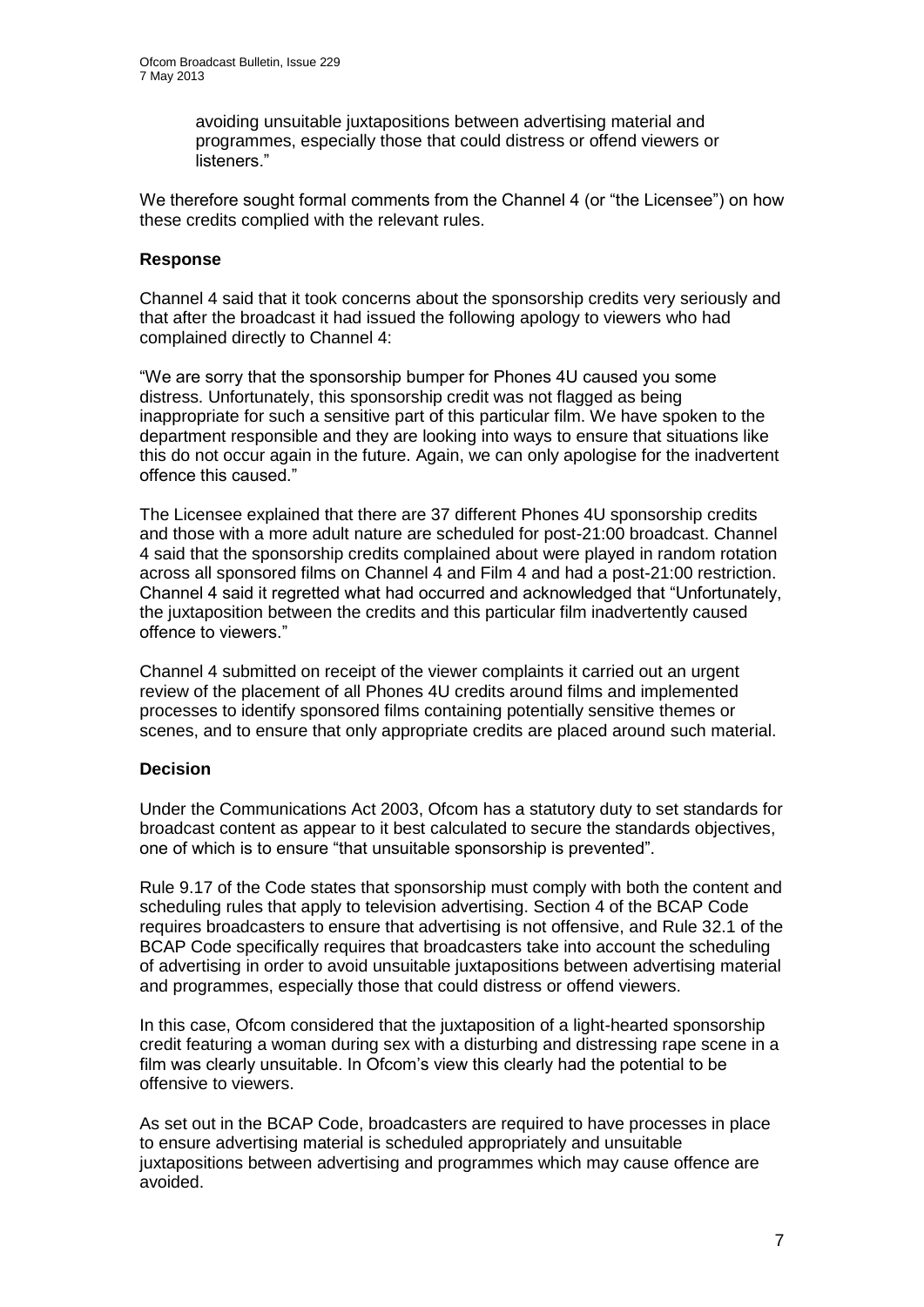avoiding unsuitable juxtapositions between advertising material and programmes, especially those that could distress or offend viewers or listeners."

We therefore sought formal comments from the Channel 4 (or "the Licensee") on how these credits complied with the relevant rules.

#### **Response**

Channel 4 said that it took concerns about the sponsorship credits very seriously and that after the broadcast it had issued the following apology to viewers who had complained directly to Channel 4:

"We are sorry that the sponsorship bumper for Phones 4U caused you some distress. Unfortunately, this sponsorship credit was not flagged as being inappropriate for such a sensitive part of this particular film. We have spoken to the department responsible and they are looking into ways to ensure that situations like this do not occur again in the future. Again, we can only apologise for the inadvertent offence this caused."

The Licensee explained that there are 37 different Phones 4U sponsorship credits and those with a more adult nature are scheduled for post-21:00 broadcast. Channel 4 said that the sponsorship credits complained about were played in random rotation across all sponsored films on Channel 4 and Film 4 and had a post-21:00 restriction. Channel 4 said it regretted what had occurred and acknowledged that "Unfortunately, the juxtaposition between the credits and this particular film inadvertently caused offence to viewers."

Channel 4 submitted on receipt of the viewer complaints it carried out an urgent review of the placement of all Phones 4U credits around films and implemented processes to identify sponsored films containing potentially sensitive themes or scenes, and to ensure that only appropriate credits are placed around such material.

#### **Decision**

Under the Communications Act 2003, Ofcom has a statutory duty to set standards for broadcast content as appear to it best calculated to secure the standards objectives, one of which is to ensure "that unsuitable sponsorship is prevented".

Rule 9.17 of the Code states that sponsorship must comply with both the content and scheduling rules that apply to television advertising. Section 4 of the BCAP Code requires broadcasters to ensure that advertising is not offensive, and Rule 32.1 of the BCAP Code specifically requires that broadcasters take into account the scheduling of advertising in order to avoid unsuitable juxtapositions between advertising material and programmes, especially those that could distress or offend viewers.

In this case, Ofcom considered that the juxtaposition of a light-hearted sponsorship credit featuring a woman during sex with a disturbing and distressing rape scene in a film was clearly unsuitable. In Ofcom's view this clearly had the potential to be offensive to viewers.

As set out in the BCAP Code, broadcasters are required to have processes in place to ensure advertising material is scheduled appropriately and unsuitable juxtapositions between advertising and programmes which may cause offence are avoided.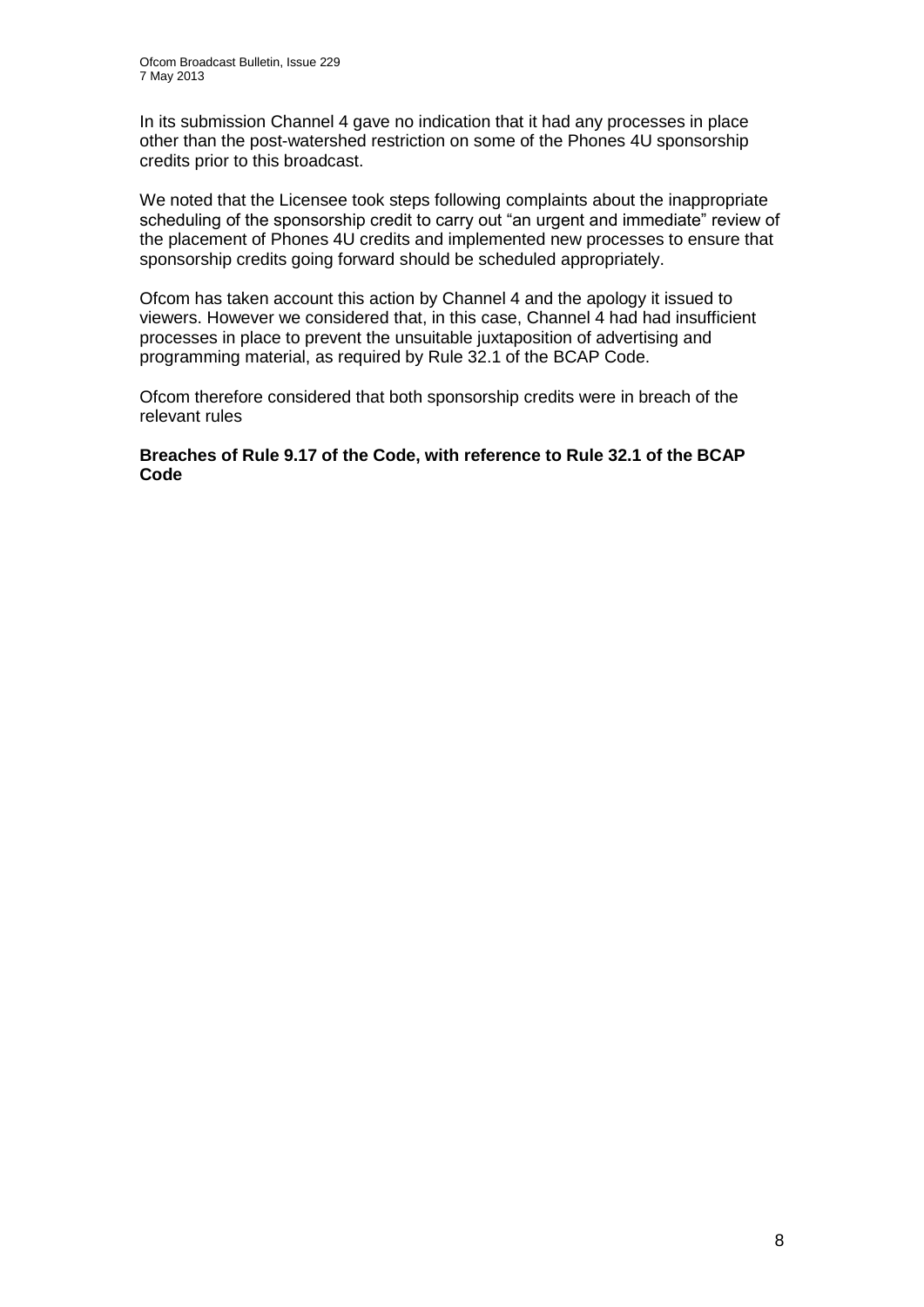In its submission Channel 4 gave no indication that it had any processes in place other than the post-watershed restriction on some of the Phones 4U sponsorship credits prior to this broadcast.

We noted that the Licensee took steps following complaints about the inappropriate scheduling of the sponsorship credit to carry out "an urgent and immediate" review of the placement of Phones 4U credits and implemented new processes to ensure that sponsorship credits going forward should be scheduled appropriately.

Ofcom has taken account this action by Channel 4 and the apology it issued to viewers. However we considered that, in this case, Channel 4 had had insufficient processes in place to prevent the unsuitable juxtaposition of advertising and programming material, as required by Rule 32.1 of the BCAP Code.

Ofcom therefore considered that both sponsorship credits were in breach of the relevant rules

#### **Breaches of Rule 9.17 of the Code, with reference to Rule 32.1 of the BCAP Code**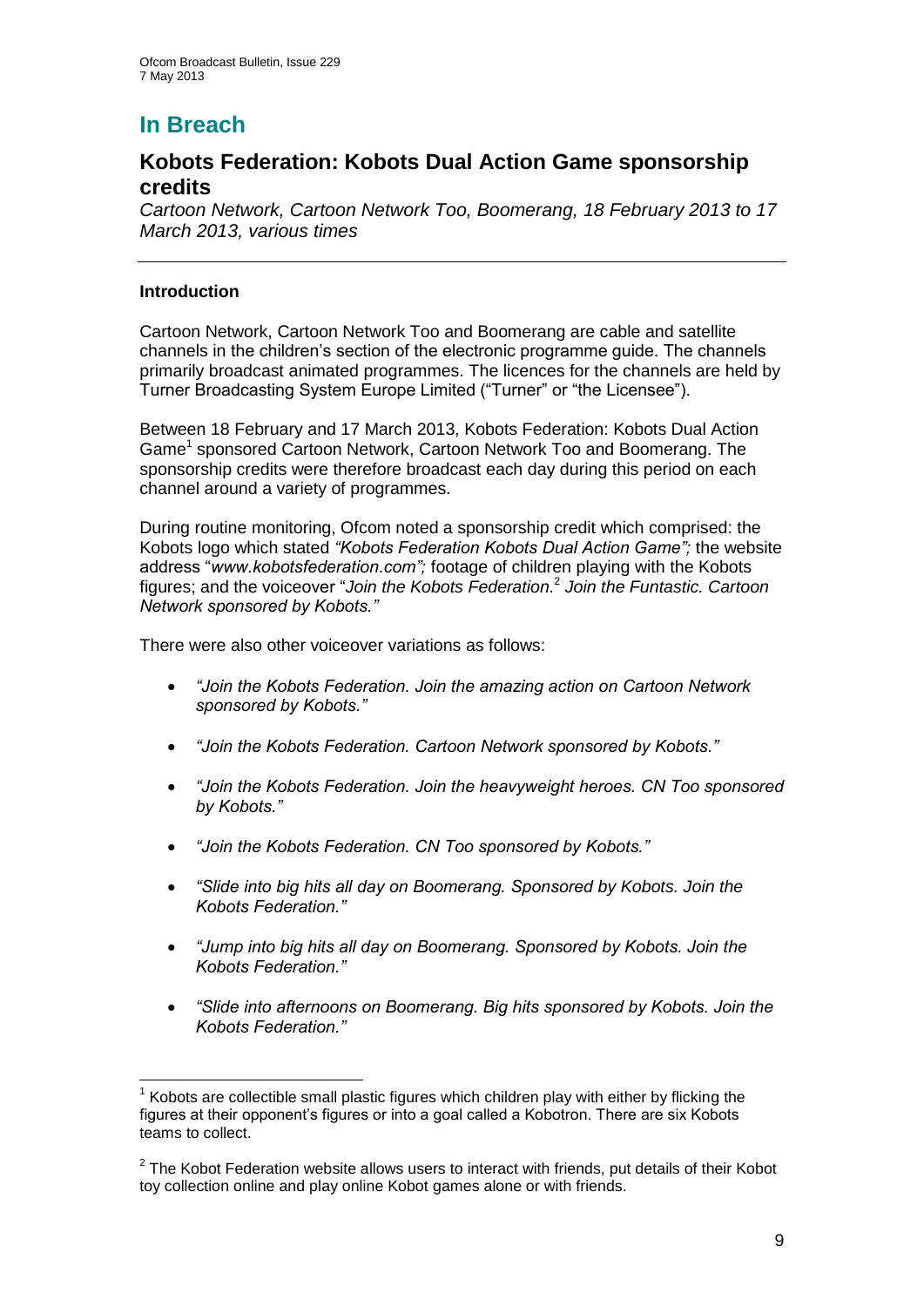# **In Breach**

## **Kobots Federation: Kobots Dual Action Game sponsorship credits**

*Cartoon Network, Cartoon Network Too, Boomerang, 18 February 2013 to 17 March 2013, various times*

#### **Introduction**

Cartoon Network, Cartoon Network Too and Boomerang are cable and satellite channels in the children's section of the electronic programme guide. The channels primarily broadcast animated programmes. The licences for the channels are held by Turner Broadcasting System Europe Limited ("Turner" or "the Licensee").

Between 18 February and 17 March 2013, Kobots Federation: Kobots Dual Action Game<sup>1</sup> sponsored Cartoon Network, Cartoon Network Too and Boomerang. The sponsorship credits were therefore broadcast each day during this period on each channel around a variety of programmes.

During routine monitoring, Ofcom noted a sponsorship credit which comprised: the Kobots logo which stated *"Kobots Federation Kobots Dual Action Game";* the website address "*www.kobotsfederation.com";* footage of children playing with the Kobots figures; and the voiceover "*Join the Kobots Federation.*<sup>2</sup> *Join the Funtastic. Cartoon Network sponsored by Kobots."*

There were also other voiceover variations as follows:

- *"Join the Kobots Federation. Join the amazing action on Cartoon Network sponsored by Kobots."*
- *"Join the Kobots Federation. Cartoon Network sponsored by Kobots."*
- *"Join the Kobots Federation. Join the heavyweight heroes. CN Too sponsored by Kobots."*
- *"Join the Kobots Federation. CN Too sponsored by Kobots."*
- *"Slide into big hits all day on Boomerang. Sponsored by Kobots. Join the Kobots Federation."*
- *"Jump into big hits all day on Boomerang. Sponsored by Kobots. Join the Kobots Federation."*
- *"Slide into afternoons on Boomerang. Big hits sponsored by Kobots. Join the Kobots Federation."*

<sup>1</sup>  $1$  Kobots are collectible small plastic figures which children play with either by flicking the figures at their opponent's figures or into a goal called a Kobotron. There are six Kobots teams to collect.

 $2$  The Kobot Federation website allows users to interact with friends, put details of their Kobot toy collection online and play online Kobot games alone or with friends.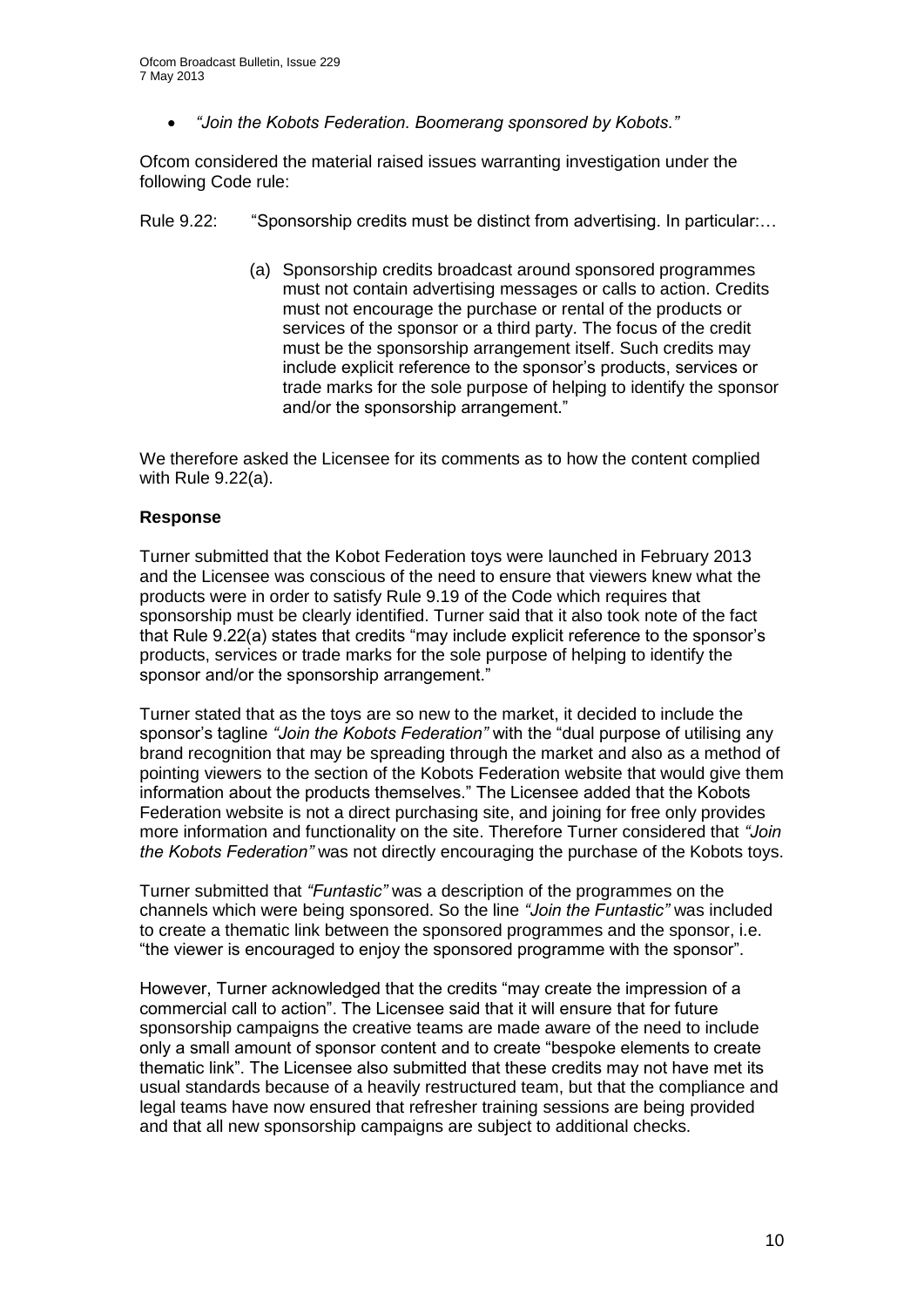*"Join the Kobots Federation. Boomerang sponsored by Kobots."*

Ofcom considered the material raised issues warranting investigation under the following Code rule:

Rule 9.22: "Sponsorship credits must be distinct from advertising. In particular:...

(a) Sponsorship credits broadcast around sponsored programmes must not contain advertising messages or calls to action. Credits must not encourage the purchase or rental of the products or services of the sponsor or a third party. The focus of the credit must be the sponsorship arrangement itself. Such credits may include explicit reference to the sponsor's products, services or trade marks for the sole purpose of helping to identify the sponsor and/or the sponsorship arrangement."

We therefore asked the Licensee for its comments as to how the content complied with Rule 9.22(a).

#### **Response**

Turner submitted that the Kobot Federation toys were launched in February 2013 and the Licensee was conscious of the need to ensure that viewers knew what the products were in order to satisfy Rule 9.19 of the Code which requires that sponsorship must be clearly identified. Turner said that it also took note of the fact that Rule 9.22(a) states that credits "may include explicit reference to the sponsor's products, services or trade marks for the sole purpose of helping to identify the sponsor and/or the sponsorship arrangement."

Turner stated that as the toys are so new to the market, it decided to include the sponsor's tagline *"Join the Kobots Federation"* with the "dual purpose of utilising any brand recognition that may be spreading through the market and also as a method of pointing viewers to the section of the Kobots Federation website that would give them information about the products themselves." The Licensee added that the Kobots Federation website is not a direct purchasing site, and joining for free only provides more information and functionality on the site. Therefore Turner considered that *"Join the Kobots Federation"* was not directly encouraging the purchase of the Kobots toys.

Turner submitted that *"Funtastic"* was a description of the programmes on the channels which were being sponsored. So the line *"Join the Funtastic"* was included to create a thematic link between the sponsored programmes and the sponsor, i.e. "the viewer is encouraged to enjoy the sponsored programme with the sponsor".

However, Turner acknowledged that the credits "may create the impression of a commercial call to action". The Licensee said that it will ensure that for future sponsorship campaigns the creative teams are made aware of the need to include only a small amount of sponsor content and to create "bespoke elements to create thematic link". The Licensee also submitted that these credits may not have met its usual standards because of a heavily restructured team, but that the compliance and legal teams have now ensured that refresher training sessions are being provided and that all new sponsorship campaigns are subject to additional checks.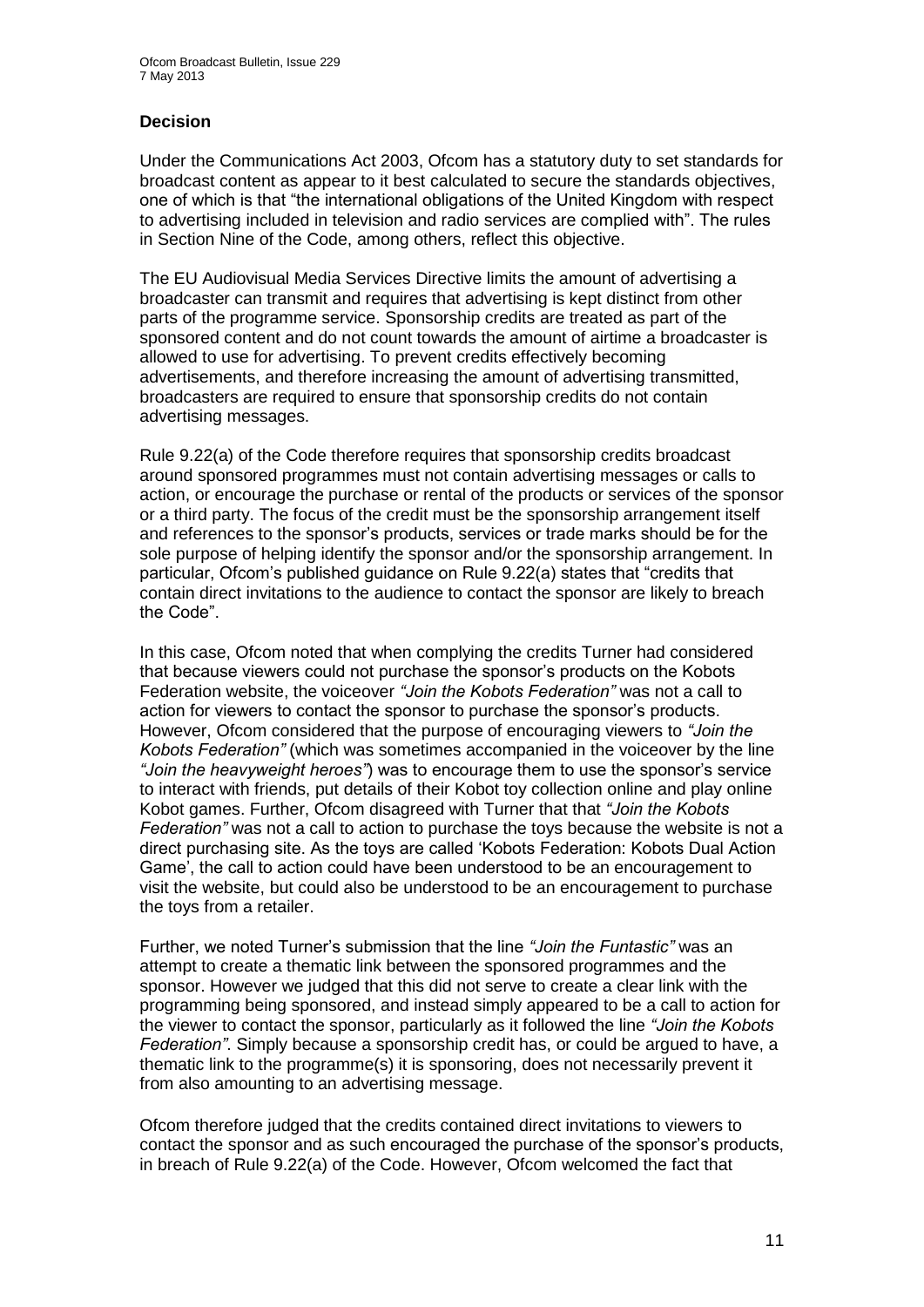#### **Decision**

Under the Communications Act 2003, Ofcom has a statutory duty to set standards for broadcast content as appear to it best calculated to secure the standards objectives, one of which is that "the international obligations of the United Kingdom with respect to advertising included in television and radio services are complied with". The rules in Section Nine of the Code, among others, reflect this objective.

The EU Audiovisual Media Services Directive limits the amount of advertising a broadcaster can transmit and requires that advertising is kept distinct from other parts of the programme service. Sponsorship credits are treated as part of the sponsored content and do not count towards the amount of airtime a broadcaster is allowed to use for advertising. To prevent credits effectively becoming advertisements, and therefore increasing the amount of advertising transmitted, broadcasters are required to ensure that sponsorship credits do not contain advertising messages.

Rule 9.22(a) of the Code therefore requires that sponsorship credits broadcast around sponsored programmes must not contain advertising messages or calls to action, or encourage the purchase or rental of the products or services of the sponsor or a third party. The focus of the credit must be the sponsorship arrangement itself and references to the sponsor's products, services or trade marks should be for the sole purpose of helping identify the sponsor and/or the sponsorship arrangement. In particular, Ofcom's published guidance on Rule 9.22(a) states that "credits that contain direct invitations to the audience to contact the sponsor are likely to breach the Code".

In this case, Ofcom noted that when complying the credits Turner had considered that because viewers could not purchase the sponsor's products on the Kobots Federation website, the voiceover *"Join the Kobots Federation"* was not a call to action for viewers to contact the sponsor to purchase the sponsor's products. However, Ofcom considered that the purpose of encouraging viewers to *"Join the Kobots Federation"* (which was sometimes accompanied in the voiceover by the line *"Join the heavyweight heroes"*) was to encourage them to use the sponsor's service to interact with friends, put details of their Kobot toy collection online and play online Kobot games. Further, Ofcom disagreed with Turner that that *"Join the Kobots Federation"* was not a call to action to purchase the toys because the website is not a direct purchasing site. As the toys are called 'Kobots Federation: Kobots Dual Action Game', the call to action could have been understood to be an encouragement to visit the website, but could also be understood to be an encouragement to purchase the toys from a retailer.

Further, we noted Turner's submission that the line *"Join the Funtastic"* was an attempt to create a thematic link between the sponsored programmes and the sponsor. However we judged that this did not serve to create a clear link with the programming being sponsored, and instead simply appeared to be a call to action for the viewer to contact the sponsor, particularly as it followed the line *"Join the Kobots Federation"*. Simply because a sponsorship credit has, or could be argued to have, a thematic link to the programme(s) it is sponsoring, does not necessarily prevent it from also amounting to an advertising message.

Ofcom therefore judged that the credits contained direct invitations to viewers to contact the sponsor and as such encouraged the purchase of the sponsor's products, in breach of Rule 9.22(a) of the Code. However, Ofcom welcomed the fact that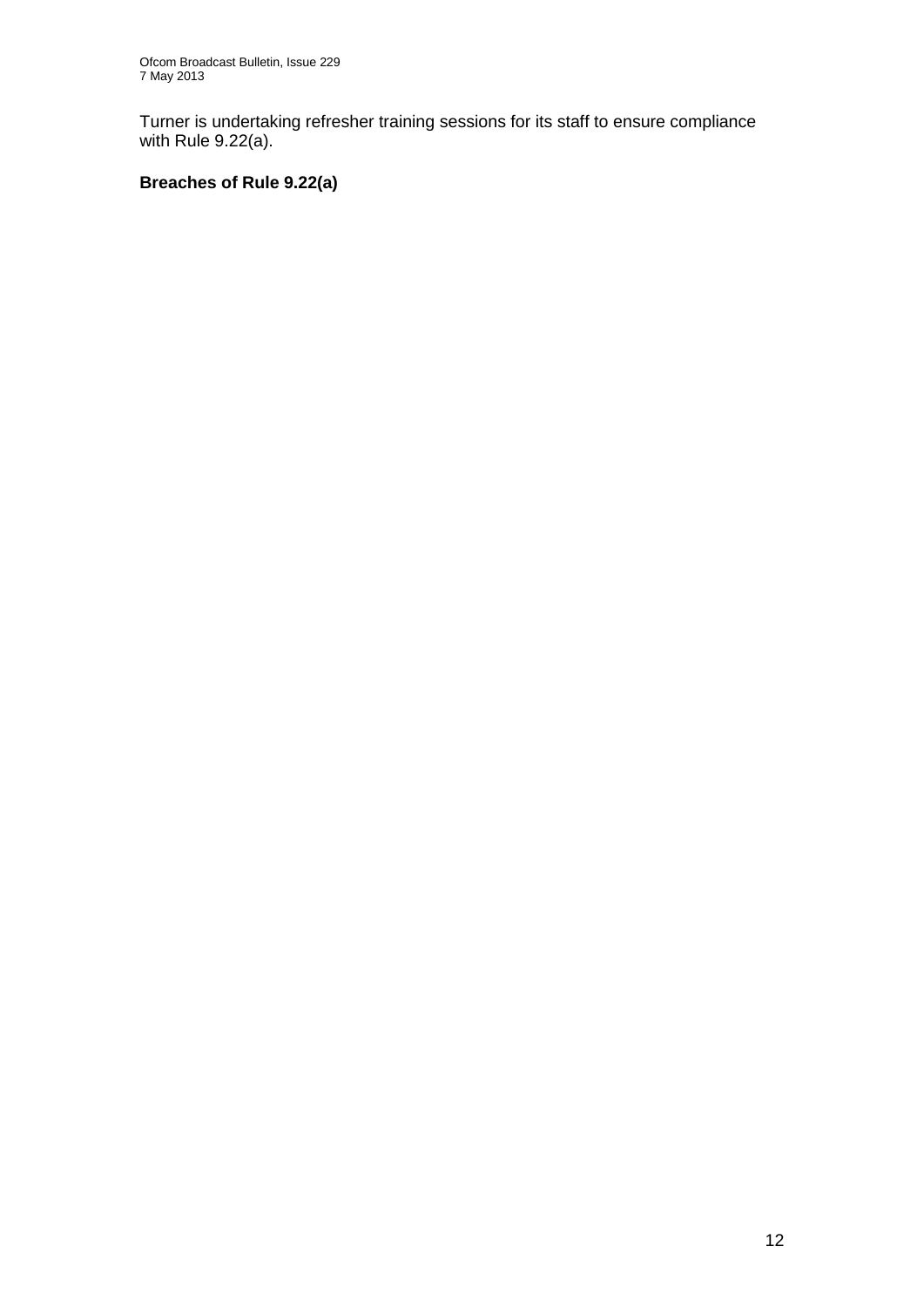Turner is undertaking refresher training sessions for its staff to ensure compliance with Rule 9.22(a).

## **Breaches of Rule 9.22(a)**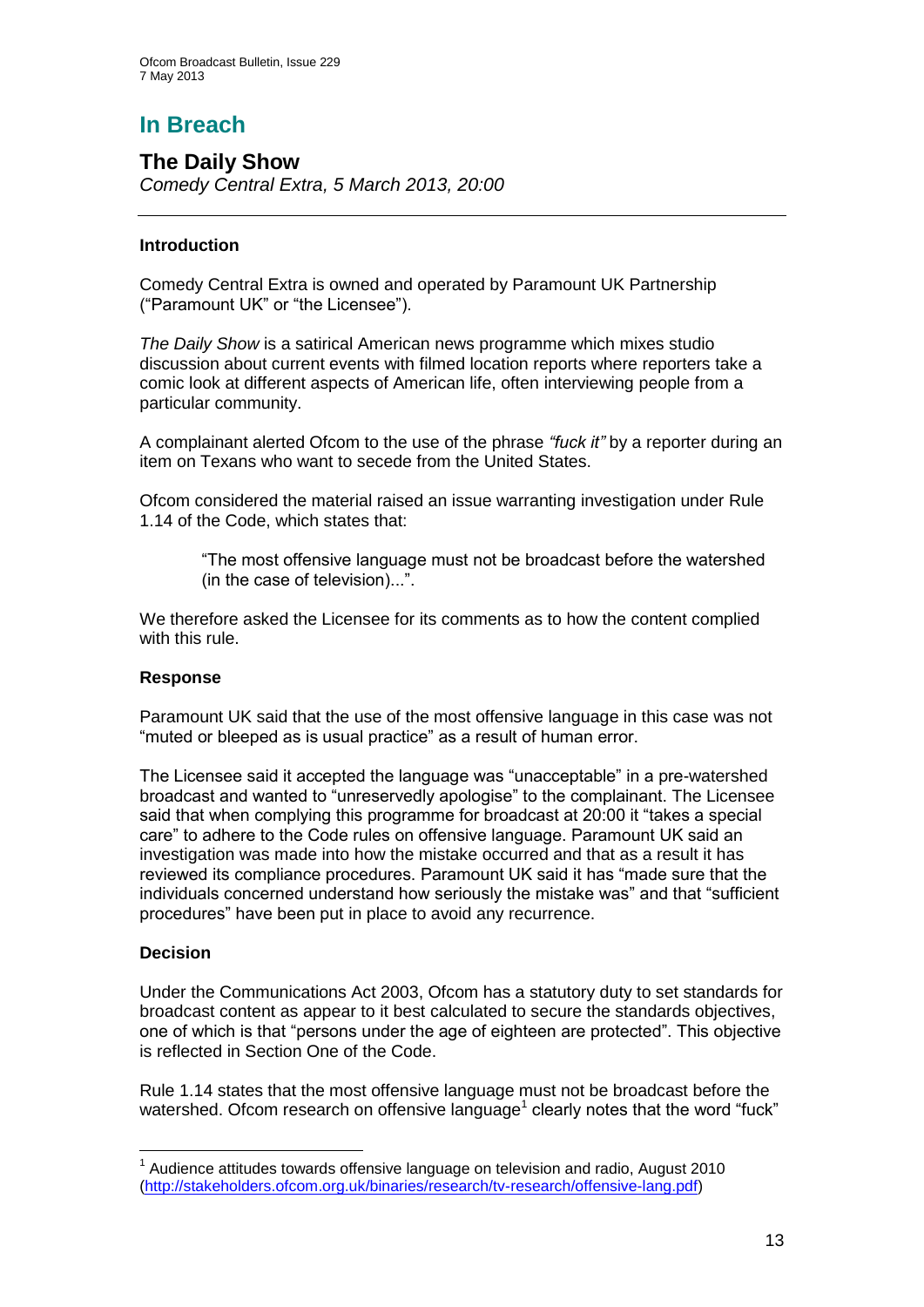# **In Breach**

**The Daily Show**  *Comedy Central Extra, 5 March 2013, 20:00*

#### **Introduction**

Comedy Central Extra is owned and operated by Paramount UK Partnership ("Paramount UK" or "the Licensee").

*The Daily Show* is a satirical American news programme which mixes studio discussion about current events with filmed location reports where reporters take a comic look at different aspects of American life, often interviewing people from a particular community.

A complainant alerted Ofcom to the use of the phrase *"fuck it"* by a reporter during an item on Texans who want to secede from the United States.

Ofcom considered the material raised an issue warranting investigation under Rule 1.14 of the Code, which states that:

"The most offensive language must not be broadcast before the watershed (in the case of television)...".

We therefore asked the Licensee for its comments as to how the content complied with this rule.

#### **Response**

Paramount UK said that the use of the most offensive language in this case was not "muted or bleeped as is usual practice" as a result of human error.

The Licensee said it accepted the language was "unacceptable" in a pre-watershed broadcast and wanted to "unreservedly apologise" to the complainant. The Licensee said that when complying this programme for broadcast at 20:00 it "takes a special care" to adhere to the Code rules on offensive language. Paramount UK said an investigation was made into how the mistake occurred and that as a result it has reviewed its compliance procedures. Paramount UK said it has "made sure that the individuals concerned understand how seriously the mistake was" and that "sufficient procedures" have been put in place to avoid any recurrence.

#### **Decision**

1

Under the Communications Act 2003, Ofcom has a statutory duty to set standards for broadcast content as appear to it best calculated to secure the standards objectives, one of which is that "persons under the age of eighteen are protected". This objective is reflected in Section One of the Code.

Rule 1.14 states that the most offensive language must not be broadcast before the watershed. Ofcom research on offensive language<sup>1</sup> clearly notes that the word "fuck"

 $1$  Audience attitudes towards offensive language on television and radio, August 2010 [\(http://stakeholders.ofcom.org.uk/binaries/research/tv-research/offensive-lang.pdf\)](http://stakeholders.ofcom.org.uk/binaries/research/tv-research/offensive-lang.pdf)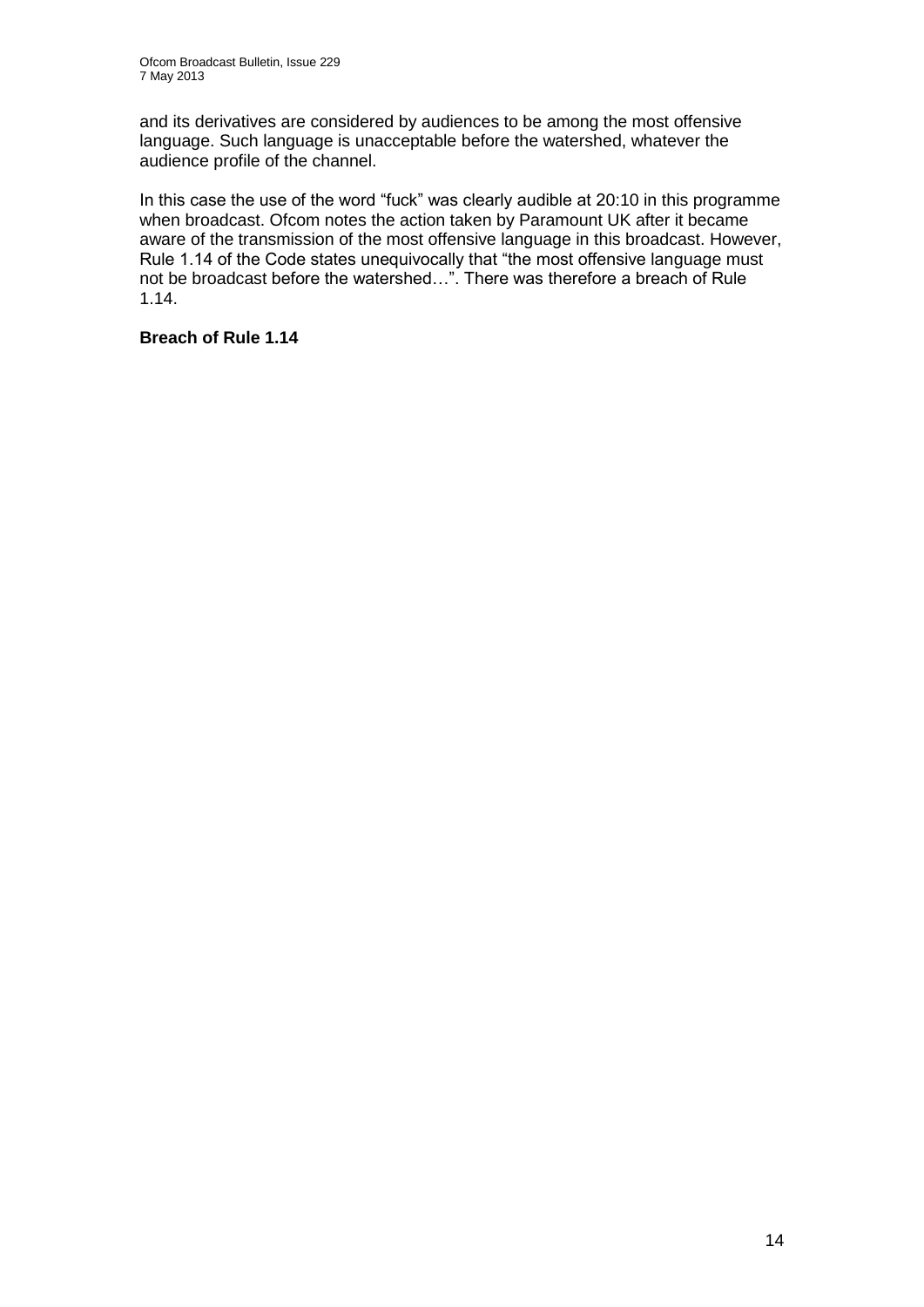and its derivatives are considered by audiences to be among the most offensive language. Such language is unacceptable before the watershed, whatever the audience profile of the channel.

In this case the use of the word "fuck" was clearly audible at 20:10 in this programme when broadcast. Ofcom notes the action taken by Paramount UK after it became aware of the transmission of the most offensive language in this broadcast. However, Rule 1.14 of the Code states unequivocally that "the most offensive language must not be broadcast before the watershed…". There was therefore a breach of Rule 1.14.

**Breach of Rule 1.14**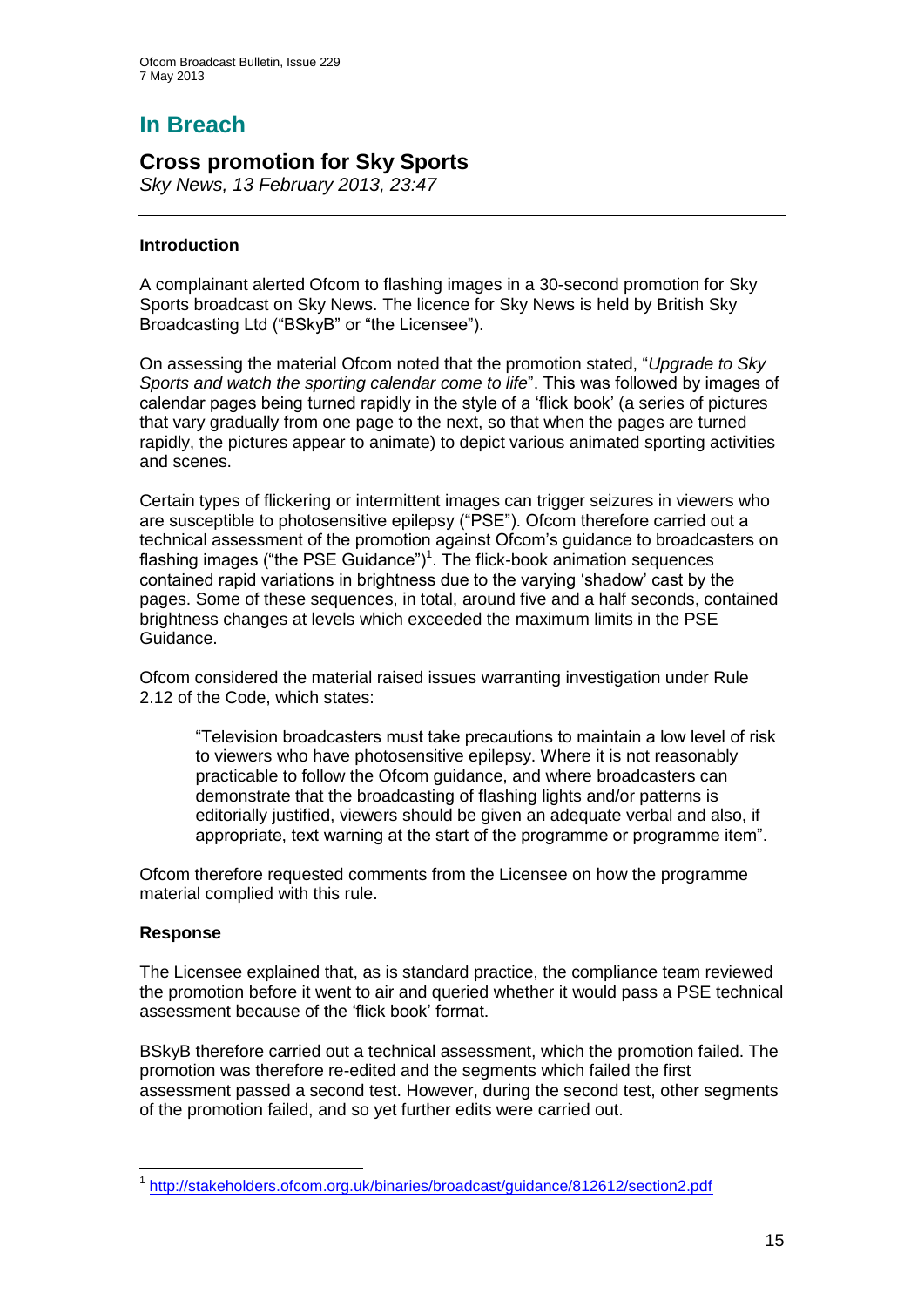# **In Breach**

## **Cross promotion for Sky Sports**

*Sky News, 13 February 2013, 23:47*

#### **Introduction**

A complainant alerted Ofcom to flashing images in a 30-second promotion for Sky Sports broadcast on Sky News. The licence for Sky News is held by British Sky Broadcasting Ltd ("BSkyB" or "the Licensee").

On assessing the material Ofcom noted that the promotion stated, "*Upgrade to Sky Sports and watch the sporting calendar come to life*". This was followed by images of calendar pages being turned rapidly in the style of a 'flick book' (a series of pictures that vary gradually from one page to the next, so that when the pages are turned rapidly, the pictures appear to animate) to depict various animated sporting activities and scenes.

Certain types of flickering or intermittent images can trigger seizures in viewers who are susceptible to photosensitive epilepsy ("PSE"). Ofcom therefore carried out a technical assessment of the promotion against Ofcom's guidance to broadcasters on flashing images ("the PSE Guidance")<sup>1</sup>. The flick-book animation sequences contained rapid variations in brightness due to the varying 'shadow' cast by the pages. Some of these sequences, in total, around five and a half seconds, contained brightness changes at levels which exceeded the maximum limits in the PSE Guidance.

Ofcom considered the material raised issues warranting investigation under Rule 2.12 of the Code, which states:

"Television broadcasters must take precautions to maintain a low level of risk to viewers who have photosensitive epilepsy. Where it is not reasonably practicable to follow the Ofcom guidance, and where broadcasters can demonstrate that the broadcasting of flashing lights and/or patterns is editorially justified, viewers should be given an adequate verbal and also, if appropriate, text warning at the start of the programme or programme item".

Ofcom therefore requested comments from the Licensee on how the programme material complied with this rule.

#### **Response**

The Licensee explained that, as is standard practice, the compliance team reviewed the promotion before it went to air and queried whether it would pass a PSE technical assessment because of the 'flick book' format.

BSkyB therefore carried out a technical assessment, which the promotion failed. The promotion was therefore re-edited and the segments which failed the first assessment passed a second test. However, during the second test, other segments of the promotion failed, and so yet further edits were carried out.

<sup>1</sup> <sup>1</sup> <http://stakeholders.ofcom.org.uk/binaries/broadcast/guidance/812612/section2.pdf>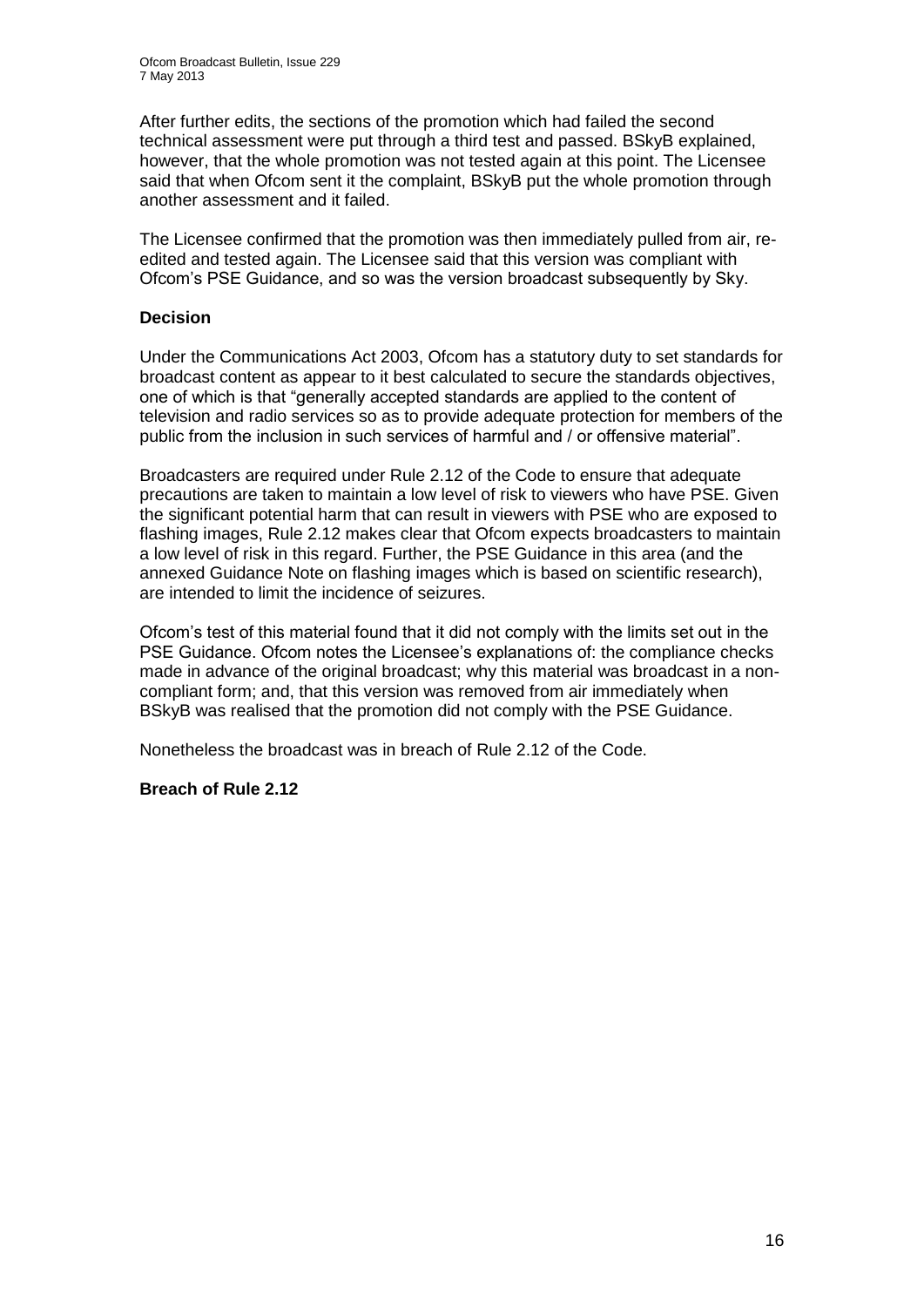After further edits, the sections of the promotion which had failed the second technical assessment were put through a third test and passed. BSkyB explained, however, that the whole promotion was not tested again at this point. The Licensee said that when Ofcom sent it the complaint, BSkyB put the whole promotion through another assessment and it failed.

The Licensee confirmed that the promotion was then immediately pulled from air, reedited and tested again. The Licensee said that this version was compliant with Ofcom's PSE Guidance, and so was the version broadcast subsequently by Sky.

#### **Decision**

Under the Communications Act 2003, Ofcom has a statutory duty to set standards for broadcast content as appear to it best calculated to secure the standards objectives, one of which is that "generally accepted standards are applied to the content of television and radio services so as to provide adequate protection for members of the public from the inclusion in such services of harmful and / or offensive material".

Broadcasters are required under Rule 2.12 of the Code to ensure that adequate precautions are taken to maintain a low level of risk to viewers who have PSE. Given the significant potential harm that can result in viewers with PSE who are exposed to flashing images, Rule 2.12 makes clear that Ofcom expects broadcasters to maintain a low level of risk in this regard. Further, the PSE Guidance in this area (and the annexed Guidance Note on flashing images which is based on scientific research), are intended to limit the incidence of seizures.

Ofcom's test of this material found that it did not comply with the limits set out in the PSE Guidance. Ofcom notes the Licensee's explanations of: the compliance checks made in advance of the original broadcast; why this material was broadcast in a noncompliant form; and, that this version was removed from air immediately when BSkyB was realised that the promotion did not comply with the PSE Guidance.

Nonetheless the broadcast was in breach of Rule 2.12 of the Code.

#### **Breach of Rule 2.12**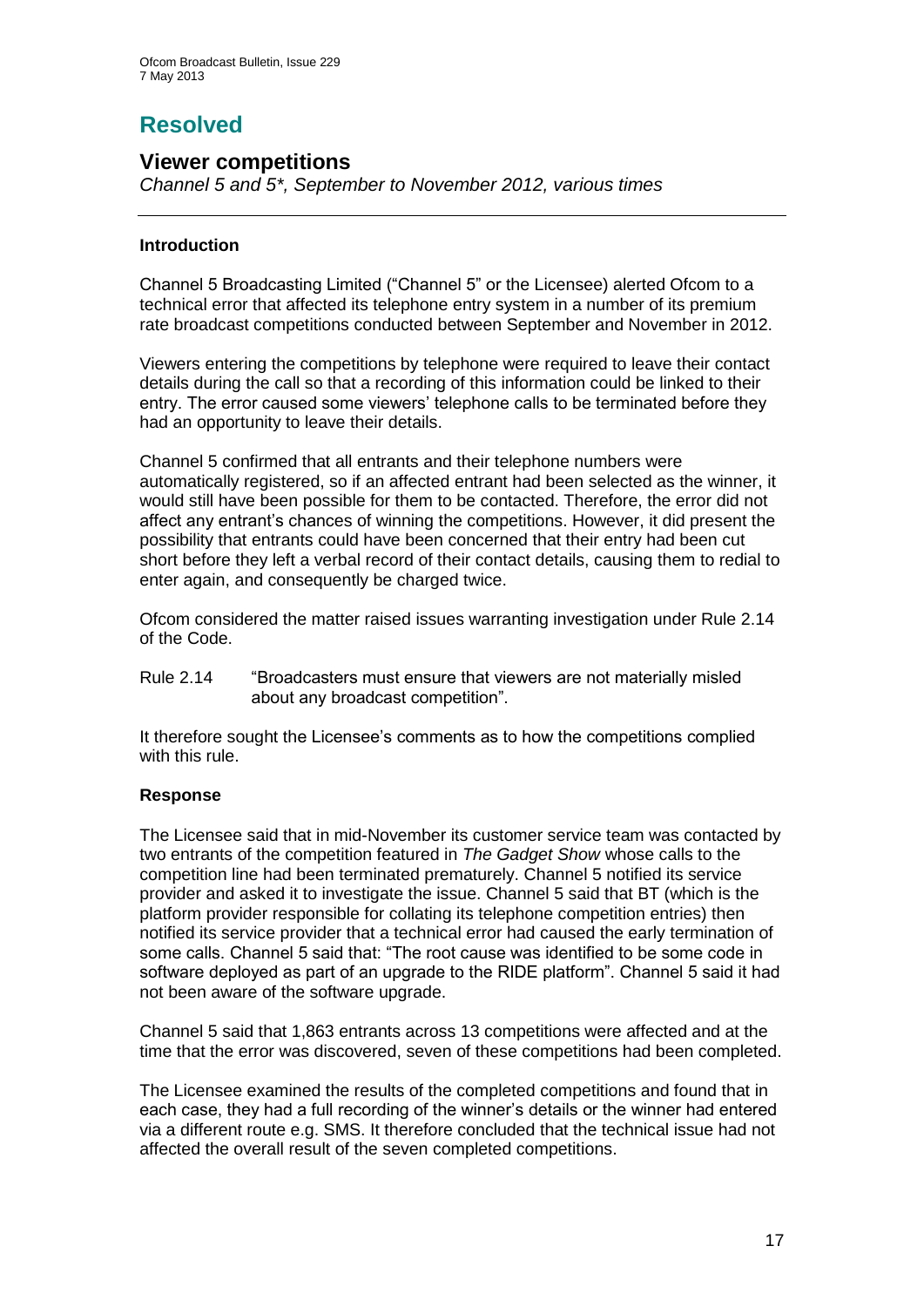# **Resolved**

## **Viewer competitions**

*Channel 5 and 5\*, September to November 2012, various times*

#### **Introduction**

Channel 5 Broadcasting Limited ("Channel 5" or the Licensee) alerted Ofcom to a technical error that affected its telephone entry system in a number of its premium rate broadcast competitions conducted between September and November in 2012.

Viewers entering the competitions by telephone were required to leave their contact details during the call so that a recording of this information could be linked to their entry. The error caused some viewers' telephone calls to be terminated before they had an opportunity to leave their details.

Channel 5 confirmed that all entrants and their telephone numbers were automatically registered, so if an affected entrant had been selected as the winner, it would still have been possible for them to be contacted. Therefore, the error did not affect any entrant's chances of winning the competitions. However, it did present the possibility that entrants could have been concerned that their entry had been cut short before they left a verbal record of their contact details, causing them to redial to enter again, and consequently be charged twice.

Ofcom considered the matter raised issues warranting investigation under Rule 2.14 of the Code.

Rule 2.14 "Broadcasters must ensure that viewers are not materially misled about any broadcast competition".

It therefore sought the Licensee's comments as to how the competitions complied with this rule.

#### **Response**

The Licensee said that in mid-November its customer service team was contacted by two entrants of the competition featured in *The Gadget Show* whose calls to the competition line had been terminated prematurely. Channel 5 notified its service provider and asked it to investigate the issue. Channel 5 said that BT (which is the platform provider responsible for collating its telephone competition entries) then notified its service provider that a technical error had caused the early termination of some calls. Channel 5 said that: "The root cause was identified to be some code in software deployed as part of an upgrade to the RIDE platform". Channel 5 said it had not been aware of the software upgrade.

Channel 5 said that 1,863 entrants across 13 competitions were affected and at the time that the error was discovered, seven of these competitions had been completed.

The Licensee examined the results of the completed competitions and found that in each case, they had a full recording of the winner's details or the winner had entered via a different route e.g. SMS. It therefore concluded that the technical issue had not affected the overall result of the seven completed competitions.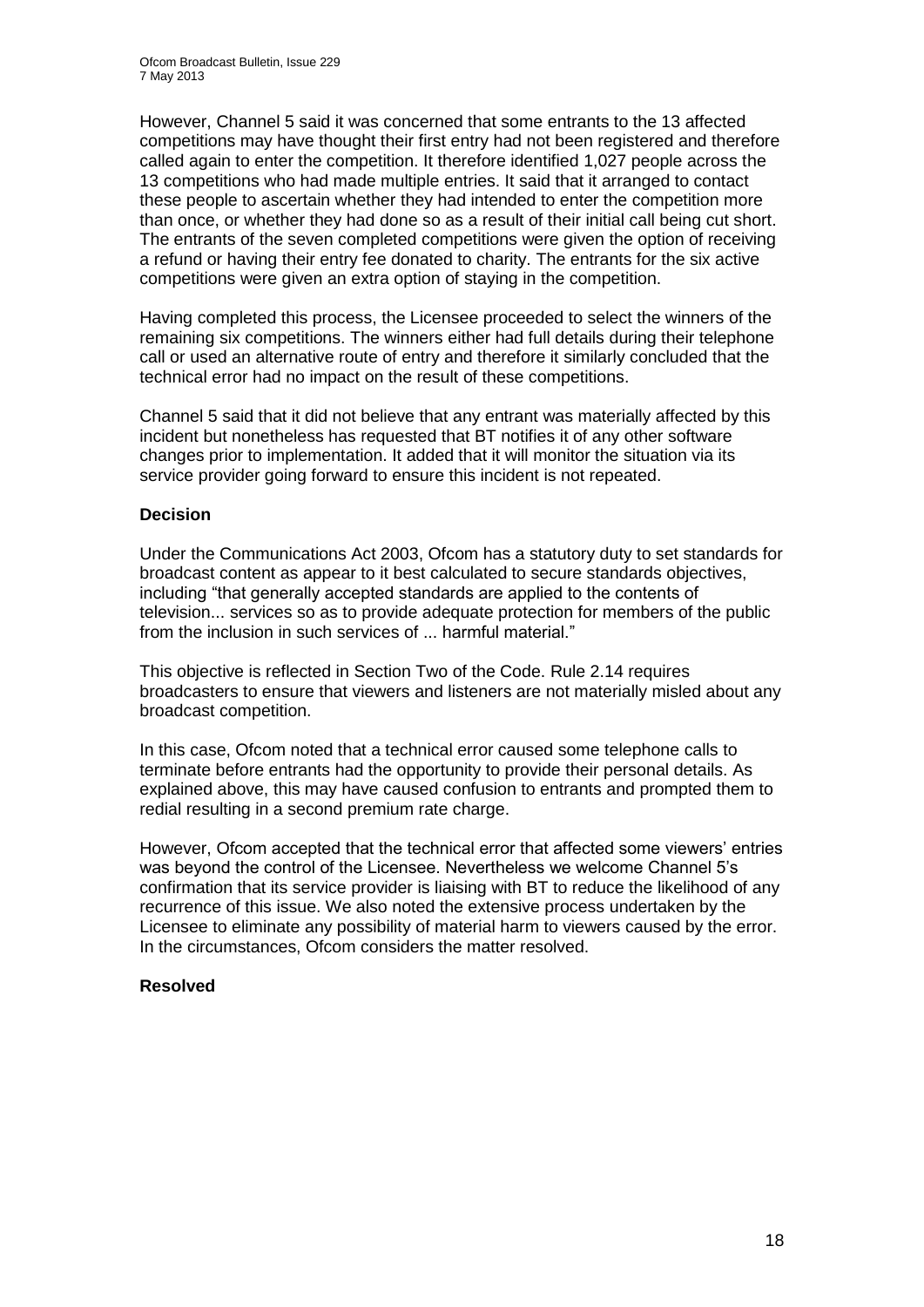However, Channel 5 said it was concerned that some entrants to the 13 affected competitions may have thought their first entry had not been registered and therefore called again to enter the competition. It therefore identified 1,027 people across the 13 competitions who had made multiple entries. It said that it arranged to contact these people to ascertain whether they had intended to enter the competition more than once, or whether they had done so as a result of their initial call being cut short. The entrants of the seven completed competitions were given the option of receiving a refund or having their entry fee donated to charity. The entrants for the six active competitions were given an extra option of staying in the competition.

Having completed this process, the Licensee proceeded to select the winners of the remaining six competitions. The winners either had full details during their telephone call or used an alternative route of entry and therefore it similarly concluded that the technical error had no impact on the result of these competitions.

Channel 5 said that it did not believe that any entrant was materially affected by this incident but nonetheless has requested that BT notifies it of any other software changes prior to implementation. It added that it will monitor the situation via its service provider going forward to ensure this incident is not repeated.

#### **Decision**

Under the Communications Act 2003, Ofcom has a statutory duty to set standards for broadcast content as appear to it best calculated to secure standards objectives, including "that generally accepted standards are applied to the contents of television... services so as to provide adequate protection for members of the public from the inclusion in such services of ... harmful material."

This objective is reflected in Section Two of the Code. Rule 2.14 requires broadcasters to ensure that viewers and listeners are not materially misled about any broadcast competition.

In this case, Ofcom noted that a technical error caused some telephone calls to terminate before entrants had the opportunity to provide their personal details. As explained above, this may have caused confusion to entrants and prompted them to redial resulting in a second premium rate charge.

However, Ofcom accepted that the technical error that affected some viewers' entries was beyond the control of the Licensee. Nevertheless we welcome Channel 5's confirmation that its service provider is liaising with BT to reduce the likelihood of any recurrence of this issue. We also noted the extensive process undertaken by the Licensee to eliminate any possibility of material harm to viewers caused by the error. In the circumstances, Ofcom considers the matter resolved.

#### **Resolved**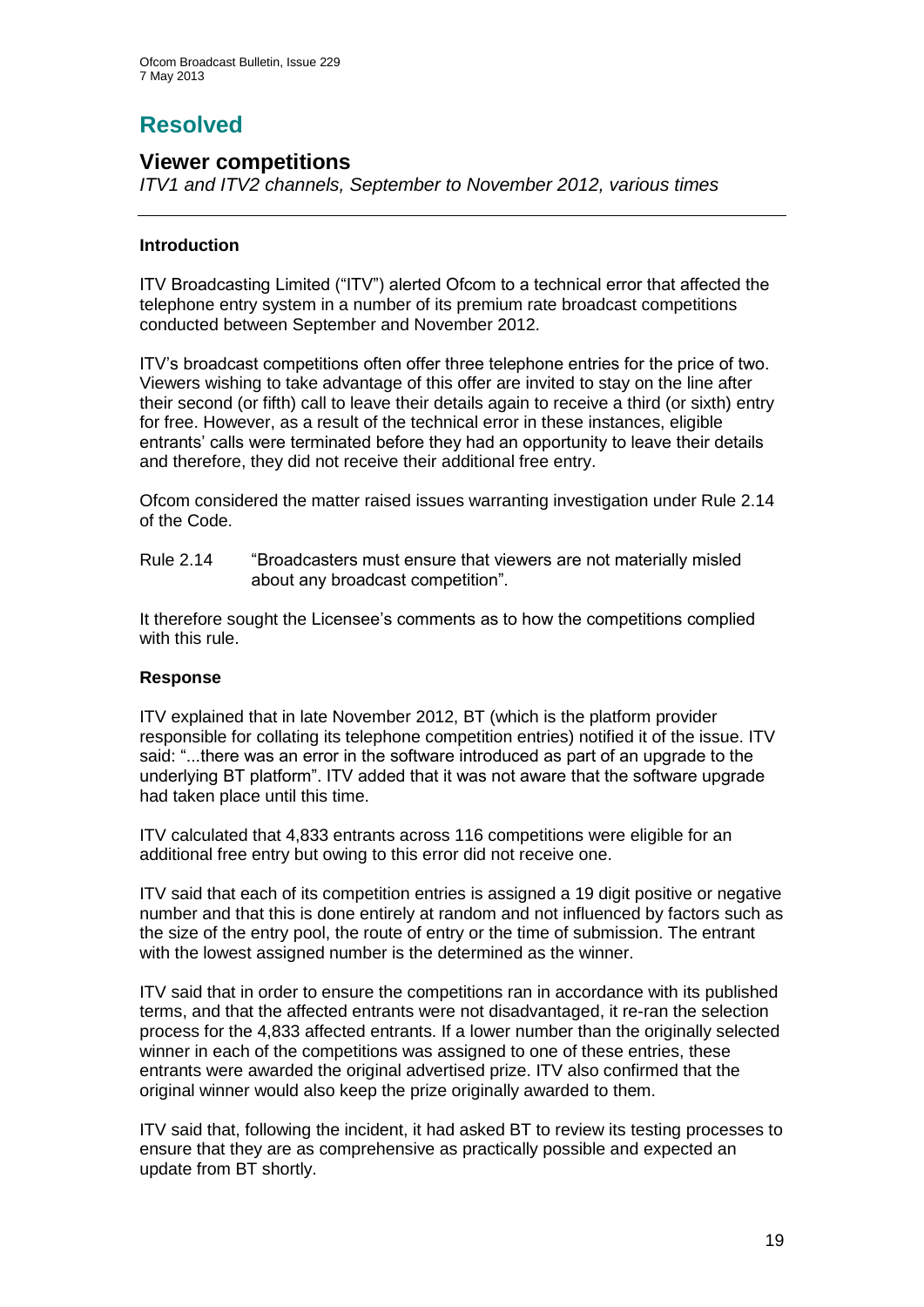# **Resolved**

## **Viewer competitions**

*ITV1 and ITV2 channels, September to November 2012, various times*

#### **Introduction**

ITV Broadcasting Limited ("ITV") alerted Ofcom to a technical error that affected the telephone entry system in a number of its premium rate broadcast competitions conducted between September and November 2012.

ITV's broadcast competitions often offer three telephone entries for the price of two. Viewers wishing to take advantage of this offer are invited to stay on the line after their second (or fifth) call to leave their details again to receive a third (or sixth) entry for free. However, as a result of the technical error in these instances, eligible entrants' calls were terminated before they had an opportunity to leave their details and therefore, they did not receive their additional free entry.

Ofcom considered the matter raised issues warranting investigation under Rule 2.14 of the Code.

Rule 2.14 "Broadcasters must ensure that viewers are not materially misled about any broadcast competition".

It therefore sought the Licensee's comments as to how the competitions complied with this rule.

#### **Response**

ITV explained that in late November 2012, BT (which is the platform provider responsible for collating its telephone competition entries) notified it of the issue. ITV said: "...there was an error in the software introduced as part of an upgrade to the underlying BT platform". ITV added that it was not aware that the software upgrade had taken place until this time.

ITV calculated that 4,833 entrants across 116 competitions were eligible for an additional free entry but owing to this error did not receive one.

ITV said that each of its competition entries is assigned a 19 digit positive or negative number and that this is done entirely at random and not influenced by factors such as the size of the entry pool, the route of entry or the time of submission. The entrant with the lowest assigned number is the determined as the winner.

ITV said that in order to ensure the competitions ran in accordance with its published terms, and that the affected entrants were not disadvantaged, it re-ran the selection process for the 4,833 affected entrants. If a lower number than the originally selected winner in each of the competitions was assigned to one of these entries, these entrants were awarded the original advertised prize. ITV also confirmed that the original winner would also keep the prize originally awarded to them.

ITV said that, following the incident, it had asked BT to review its testing processes to ensure that they are as comprehensive as practically possible and expected an update from BT shortly.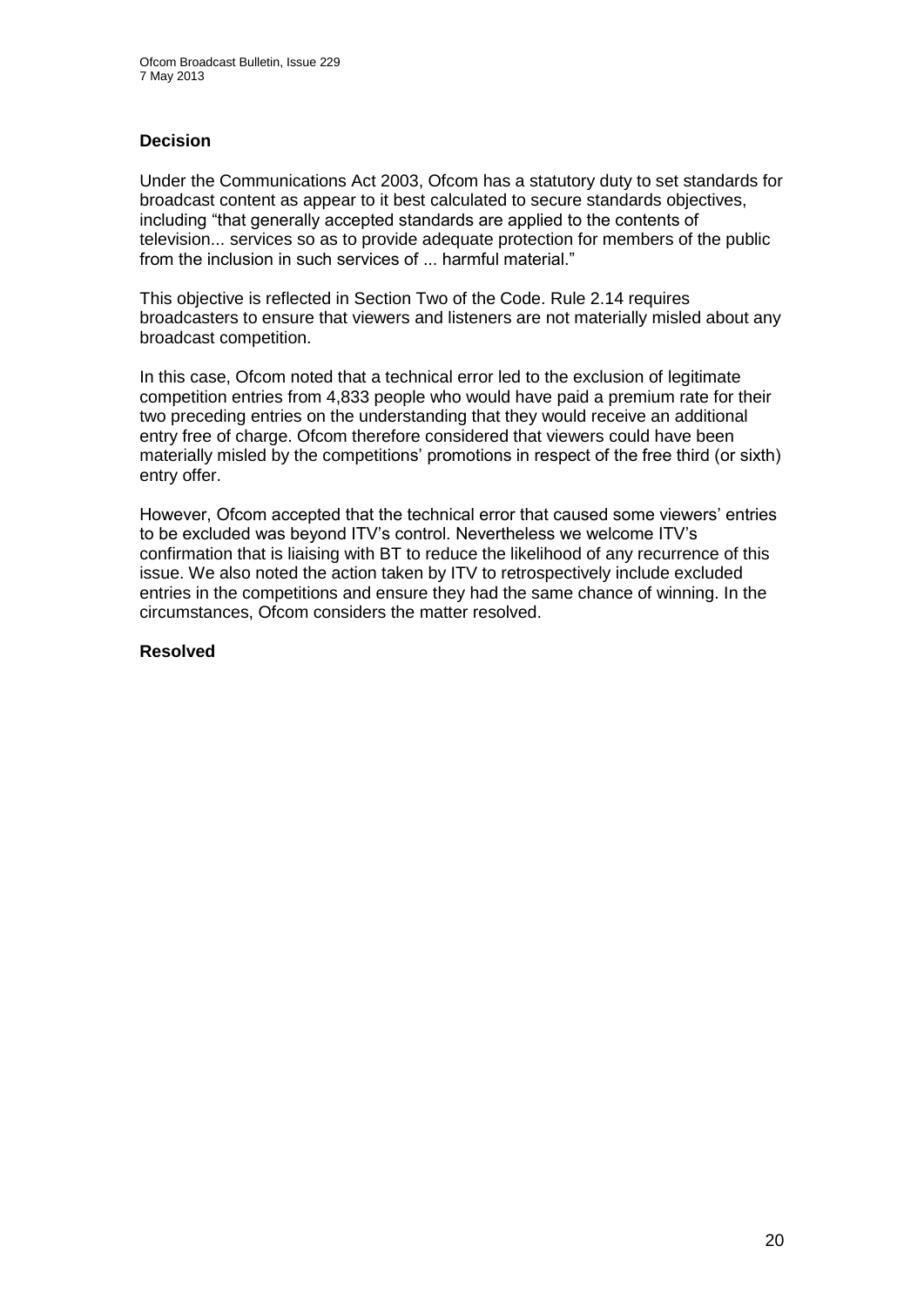#### **Decision**

Under the Communications Act 2003, Ofcom has a statutory duty to set standards for broadcast content as appear to it best calculated to secure standards objectives, including "that generally accepted standards are applied to the contents of television... services so as to provide adequate protection for members of the public from the inclusion in such services of ... harmful material."

This objective is reflected in Section Two of the Code. Rule 2.14 requires broadcasters to ensure that viewers and listeners are not materially misled about any broadcast competition.

In this case, Ofcom noted that a technical error led to the exclusion of legitimate competition entries from 4,833 people who would have paid a premium rate for their two preceding entries on the understanding that they would receive an additional entry free of charge. Ofcom therefore considered that viewers could have been materially misled by the competitions' promotions in respect of the free third (or sixth) entry offer.

However, Ofcom accepted that the technical error that caused some viewers' entries to be excluded was beyond ITV's control. Nevertheless we welcome ITV's confirmation that is liaising with BT to reduce the likelihood of any recurrence of this issue. We also noted the action taken by ITV to retrospectively include excluded entries in the competitions and ensure they had the same chance of winning. In the circumstances, Ofcom considers the matter resolved.

#### **Resolved**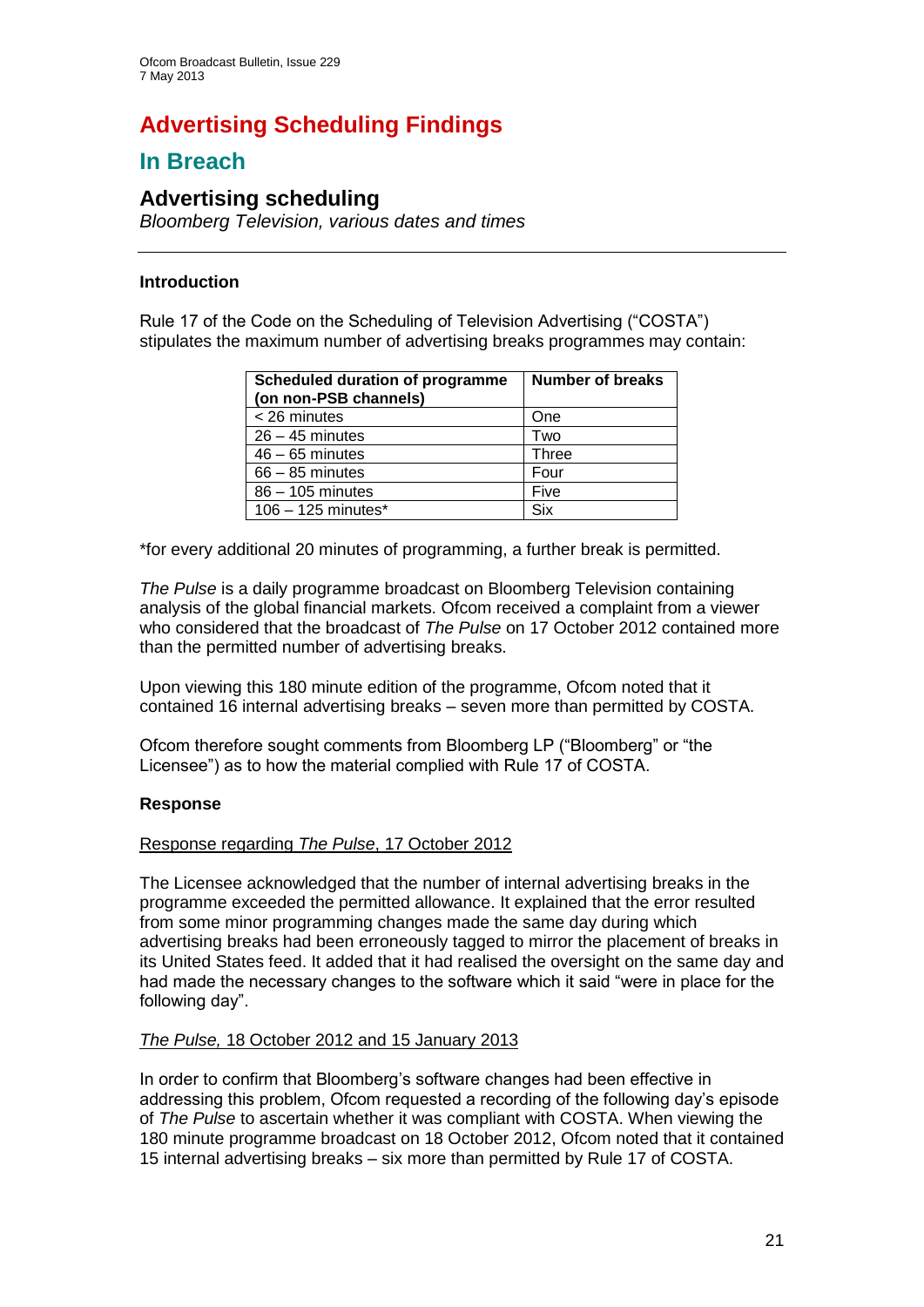# **Advertising Scheduling Findings**

## **In Breach**

## **Advertising scheduling**

*Bloomberg Television, various dates and times*

#### **Introduction**

Rule 17 of the Code on the Scheduling of Television Advertising ("COSTA") stipulates the maximum number of advertising breaks programmes may contain:

| <b>Scheduled duration of programme</b><br>(on non-PSB channels) | <b>Number of breaks</b> |
|-----------------------------------------------------------------|-------------------------|
| $<$ 26 minutes                                                  | One                     |
| $26 - 45$ minutes                                               | Two                     |
| $46 - 65$ minutes                                               | Three                   |
| $66 - 85$ minutes                                               | Four                    |
| $86 - 105$ minutes                                              | Five                    |
| $106 - 125$ minutes*                                            | Six                     |

\*for every additional 20 minutes of programming, a further break is permitted.

*The Pulse* is a daily programme broadcast on Bloomberg Television containing analysis of the global financial markets. Ofcom received a complaint from a viewer who considered that the broadcast of *The Pulse* on 17 October 2012 contained more than the permitted number of advertising breaks.

Upon viewing this 180 minute edition of the programme, Ofcom noted that it contained 16 internal advertising breaks – seven more than permitted by COSTA.

Ofcom therefore sought comments from Bloomberg LP ("Bloomberg" or "the Licensee") as to how the material complied with Rule 17 of COSTA.

#### **Response**

#### Response regarding *The Pulse*, 17 October 2012

The Licensee acknowledged that the number of internal advertising breaks in the programme exceeded the permitted allowance. It explained that the error resulted from some minor programming changes made the same day during which advertising breaks had been erroneously tagged to mirror the placement of breaks in its United States feed. It added that it had realised the oversight on the same day and had made the necessary changes to the software which it said "were in place for the following day".

#### *The Pulse,* 18 October 2012 and 15 January 2013

In order to confirm that Bloomberg's software changes had been effective in addressing this problem, Ofcom requested a recording of the following day's episode of *The Pulse* to ascertain whether it was compliant with COSTA. When viewing the 180 minute programme broadcast on 18 October 2012, Ofcom noted that it contained 15 internal advertising breaks – six more than permitted by Rule 17 of COSTA.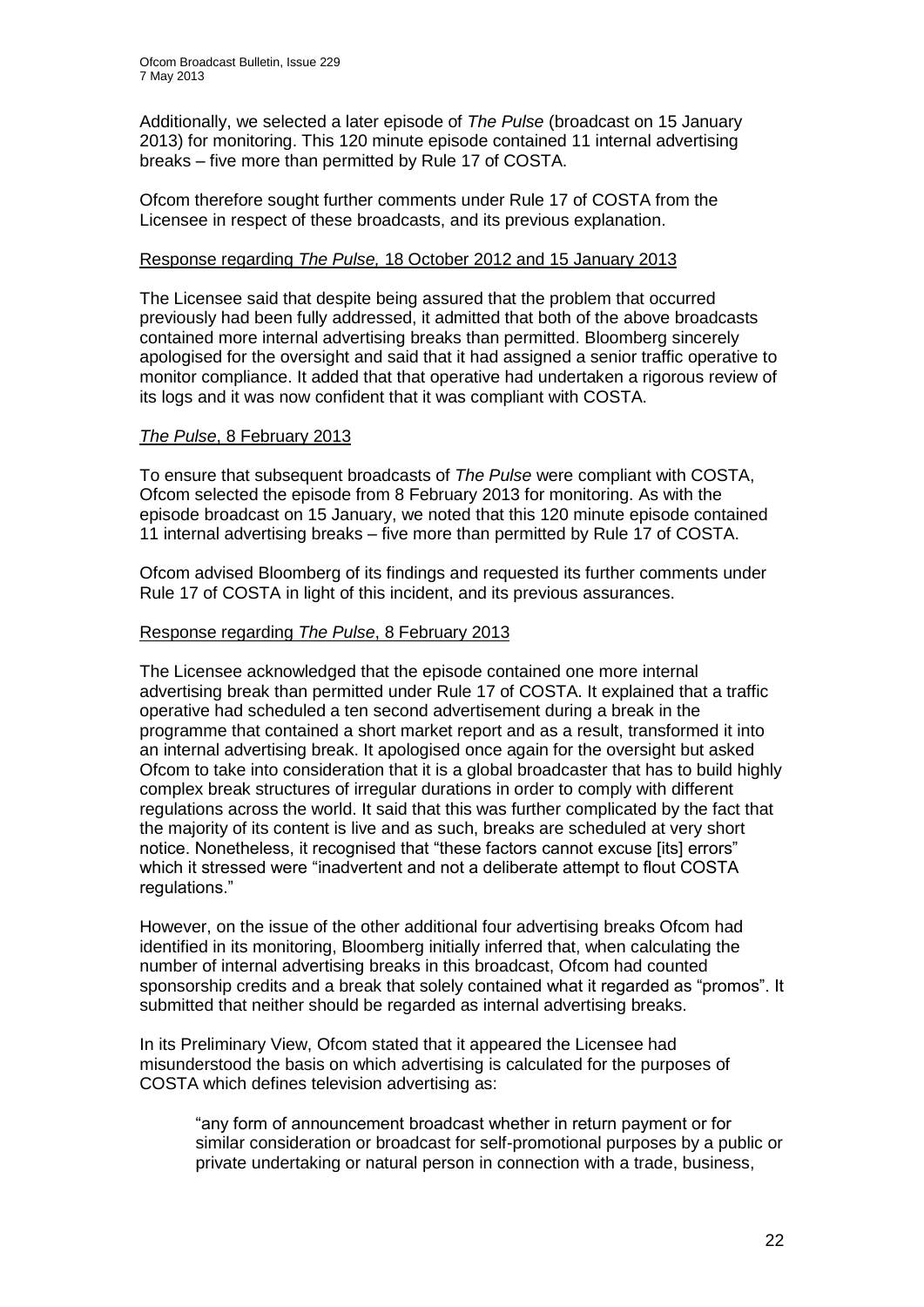Additionally, we selected a later episode of *The Pulse* (broadcast on 15 January 2013) for monitoring. This 120 minute episode contained 11 internal advertising breaks – five more than permitted by Rule 17 of COSTA.

Ofcom therefore sought further comments under Rule 17 of COSTA from the Licensee in respect of these broadcasts, and its previous explanation.

#### Response regarding *The Pulse,* 18 October 2012 and 15 January 2013

The Licensee said that despite being assured that the problem that occurred previously had been fully addressed, it admitted that both of the above broadcasts contained more internal advertising breaks than permitted. Bloomberg sincerely apologised for the oversight and said that it had assigned a senior traffic operative to monitor compliance. It added that that operative had undertaken a rigorous review of its logs and it was now confident that it was compliant with COSTA.

#### *The Pulse*, 8 February 2013

To ensure that subsequent broadcasts of *The Pulse* were compliant with COSTA, Ofcom selected the episode from 8 February 2013 for monitoring. As with the episode broadcast on 15 January, we noted that this 120 minute episode contained 11 internal advertising breaks – five more than permitted by Rule 17 of COSTA.

Ofcom advised Bloomberg of its findings and requested its further comments under Rule 17 of COSTA in light of this incident, and its previous assurances.

#### Response regarding *The Pulse*, 8 February 2013

The Licensee acknowledged that the episode contained one more internal advertising break than permitted under Rule 17 of COSTA. It explained that a traffic operative had scheduled a ten second advertisement during a break in the programme that contained a short market report and as a result, transformed it into an internal advertising break. It apologised once again for the oversight but asked Ofcom to take into consideration that it is a global broadcaster that has to build highly complex break structures of irregular durations in order to comply with different regulations across the world. It said that this was further complicated by the fact that the majority of its content is live and as such, breaks are scheduled at very short notice. Nonetheless, it recognised that "these factors cannot excuse [its] errors" which it stressed were "inadvertent and not a deliberate attempt to flout COSTA regulations."

However, on the issue of the other additional four advertising breaks Ofcom had identified in its monitoring, Bloomberg initially inferred that, when calculating the number of internal advertising breaks in this broadcast, Ofcom had counted sponsorship credits and a break that solely contained what it regarded as "promos". It submitted that neither should be regarded as internal advertising breaks.

In its Preliminary View, Ofcom stated that it appeared the Licensee had misunderstood the basis on which advertising is calculated for the purposes of COSTA which defines television advertising as:

"any form of announcement broadcast whether in return payment or for similar consideration or broadcast for self-promotional purposes by a public or private undertaking or natural person in connection with a trade, business,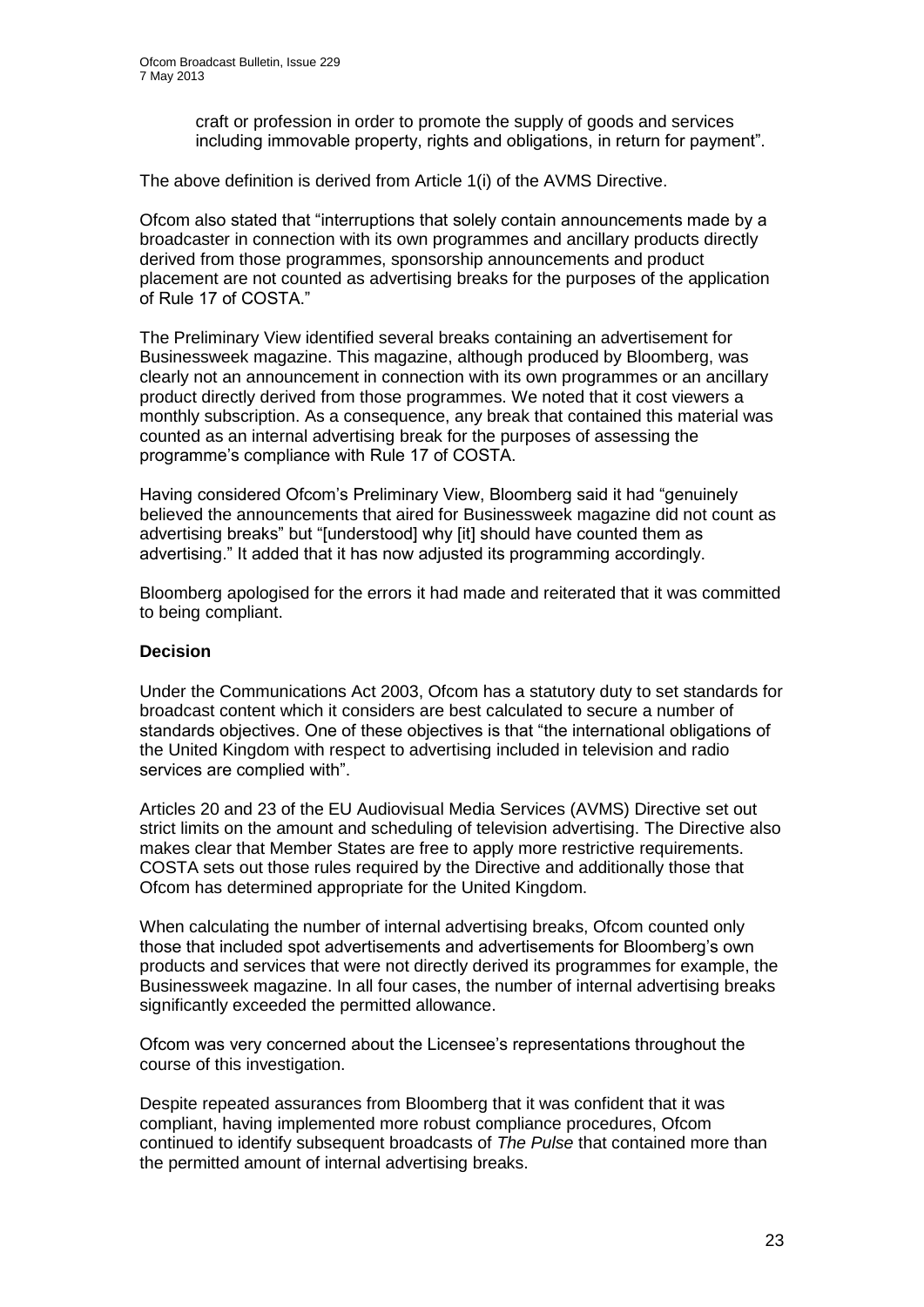craft or profession in order to promote the supply of goods and services including immovable property, rights and obligations, in return for payment".

The above definition is derived from Article 1(i) of the AVMS Directive.

Ofcom also stated that "interruptions that solely contain announcements made by a broadcaster in connection with its own programmes and ancillary products directly derived from those programmes, sponsorship announcements and product placement are not counted as advertising breaks for the purposes of the application of Rule 17 of COSTA."

The Preliminary View identified several breaks containing an advertisement for Businessweek magazine. This magazine, although produced by Bloomberg, was clearly not an announcement in connection with its own programmes or an ancillary product directly derived from those programmes. We noted that it cost viewers a monthly subscription. As a consequence, any break that contained this material was counted as an internal advertising break for the purposes of assessing the programme's compliance with Rule 17 of COSTA.

Having considered Ofcom's Preliminary View, Bloomberg said it had "genuinely believed the announcements that aired for Businessweek magazine did not count as advertising breaks" but "[understood] why [it] should have counted them as advertising." It added that it has now adjusted its programming accordingly.

Bloomberg apologised for the errors it had made and reiterated that it was committed to being compliant.

#### **Decision**

Under the Communications Act 2003, Ofcom has a statutory duty to set standards for broadcast content which it considers are best calculated to secure a number of standards objectives. One of these objectives is that "the international obligations of the United Kingdom with respect to advertising included in television and radio services are complied with".

Articles 20 and 23 of the EU Audiovisual Media Services (AVMS) Directive set out strict limits on the amount and scheduling of television advertising. The Directive also makes clear that Member States are free to apply more restrictive requirements. COSTA sets out those rules required by the Directive and additionally those that Ofcom has determined appropriate for the United Kingdom.

When calculating the number of internal advertising breaks, Ofcom counted only those that included spot advertisements and advertisements for Bloomberg's own products and services that were not directly derived its programmes for example, the Businessweek magazine. In all four cases, the number of internal advertising breaks significantly exceeded the permitted allowance.

Ofcom was very concerned about the Licensee's representations throughout the course of this investigation.

Despite repeated assurances from Bloomberg that it was confident that it was compliant, having implemented more robust compliance procedures, Ofcom continued to identify subsequent broadcasts of *The Pulse* that contained more than the permitted amount of internal advertising breaks.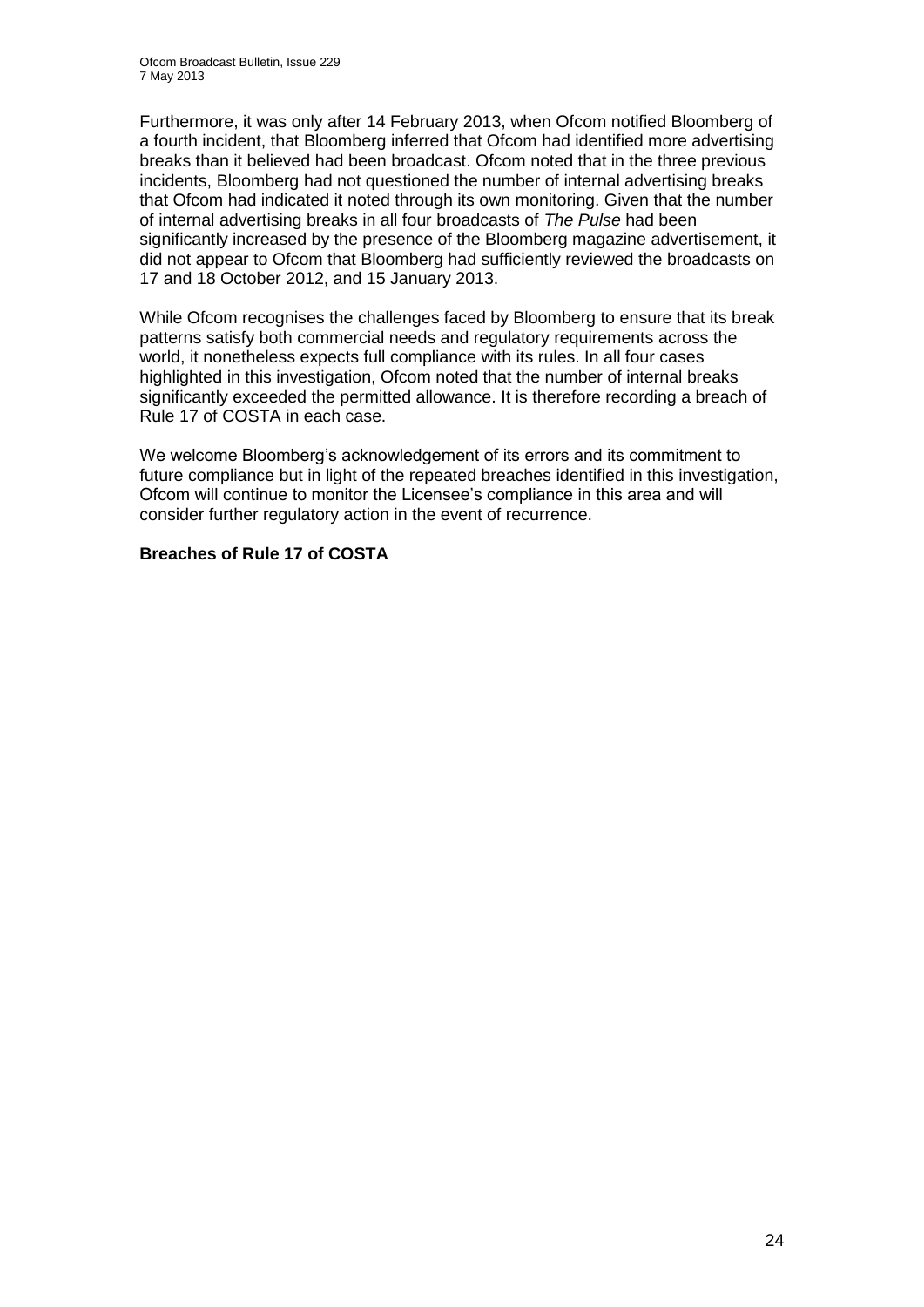Furthermore, it was only after 14 February 2013, when Ofcom notified Bloomberg of a fourth incident, that Bloomberg inferred that Ofcom had identified more advertising breaks than it believed had been broadcast. Ofcom noted that in the three previous incidents, Bloomberg had not questioned the number of internal advertising breaks that Ofcom had indicated it noted through its own monitoring. Given that the number of internal advertising breaks in all four broadcasts of *The Pulse* had been significantly increased by the presence of the Bloomberg magazine advertisement, it did not appear to Ofcom that Bloomberg had sufficiently reviewed the broadcasts on 17 and 18 October 2012, and 15 January 2013.

While Ofcom recognises the challenges faced by Bloomberg to ensure that its break patterns satisfy both commercial needs and regulatory requirements across the world, it nonetheless expects full compliance with its rules. In all four cases highlighted in this investigation, Ofcom noted that the number of internal breaks significantly exceeded the permitted allowance. It is therefore recording a breach of Rule 17 of COSTA in each case.

We welcome Bloomberg's acknowledgement of its errors and its commitment to future compliance but in light of the repeated breaches identified in this investigation, Ofcom will continue to monitor the Licensee's compliance in this area and will consider further regulatory action in the event of recurrence.

#### **Breaches of Rule 17 of COSTA**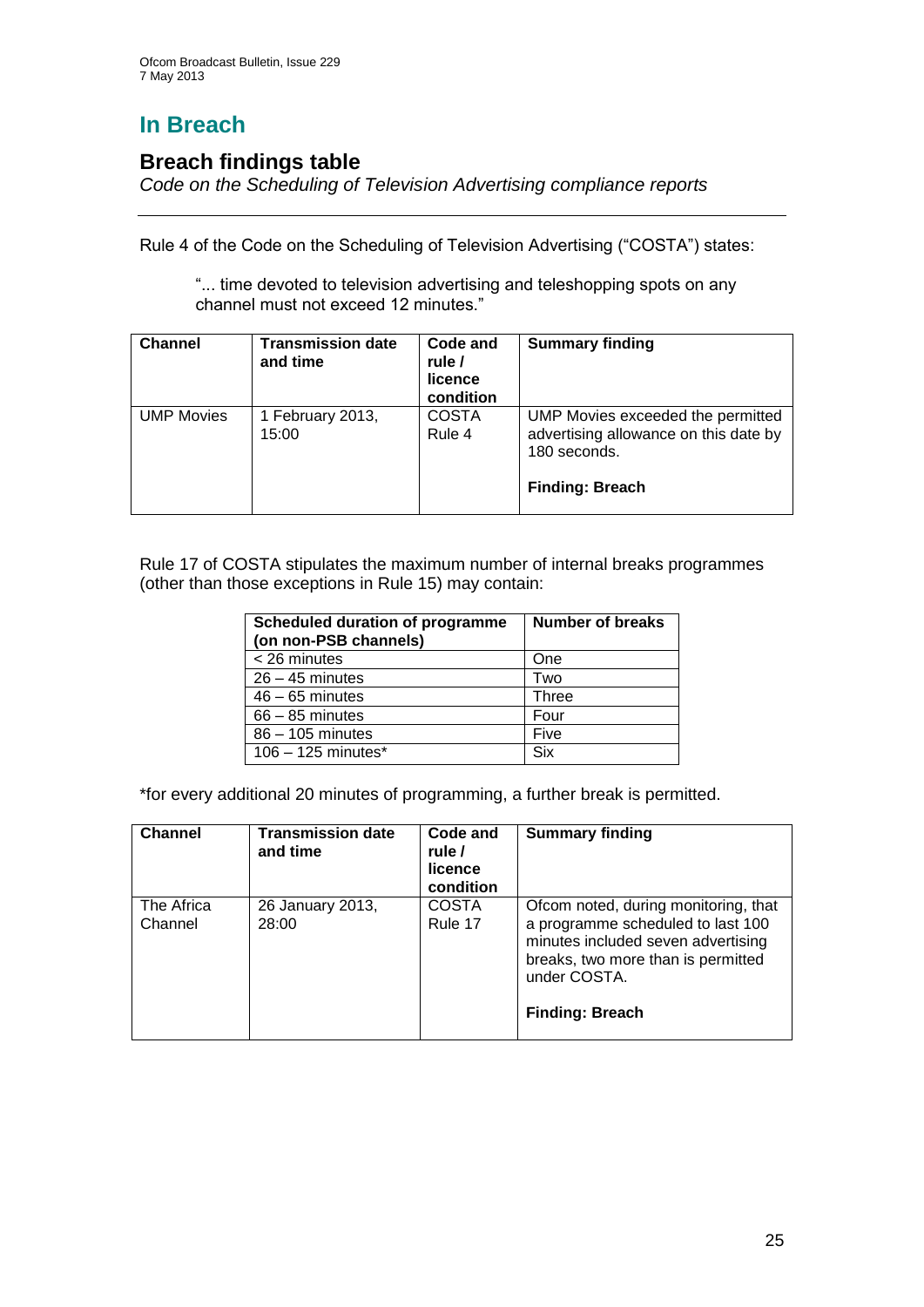# **In Breach**

## **Breach findings table**

*Code on the Scheduling of Television Advertising compliance reports*

Rule 4 of the Code on the Scheduling of Television Advertising ("COSTA") states:

"... time devoted to television advertising and teleshopping spots on any channel must not exceed 12 minutes."

| <b>Channel</b>    | <b>Transmission date</b><br>and time | Code and<br>rule /<br>licence<br>condition | <b>Summary finding</b>                                                                                               |
|-------------------|--------------------------------------|--------------------------------------------|----------------------------------------------------------------------------------------------------------------------|
| <b>UMP Movies</b> | 1 February 2013,<br>15:00            | <b>COSTA</b><br>Rule 4                     | UMP Movies exceeded the permitted<br>advertising allowance on this date by<br>180 seconds.<br><b>Finding: Breach</b> |

Rule 17 of COSTA stipulates the maximum number of internal breaks programmes (other than those exceptions in Rule 15) may contain:

| <b>Scheduled duration of programme</b><br>(on non-PSB channels) | Number of breaks |
|-----------------------------------------------------------------|------------------|
| < 26 minutes                                                    | <b>One</b>       |
| $26 - 45$ minutes                                               | Two              |
| $46 - 65$ minutes                                               | <b>Three</b>     |
| $66 - 85$ minutes                                               | Four             |
| $86 - 105$ minutes                                              | Five             |
| $106 - 125$ minutes <sup>*</sup>                                | Six              |

\*for every additional 20 minutes of programming, a further break is permitted.

| <b>Channel</b>        | <b>Transmission date</b><br>and time | Code and<br>rule /<br>licence<br>condition | <b>Summary finding</b>                                                                                                                                                                          |
|-----------------------|--------------------------------------|--------------------------------------------|-------------------------------------------------------------------------------------------------------------------------------------------------------------------------------------------------|
| The Africa<br>Channel | 26 January 2013,<br>28:00            | <b>COSTA</b><br>Rule 17                    | Ofcom noted, during monitoring, that<br>a programme scheduled to last 100<br>minutes included seven advertising<br>breaks, two more than is permitted<br>under COSTA.<br><b>Finding: Breach</b> |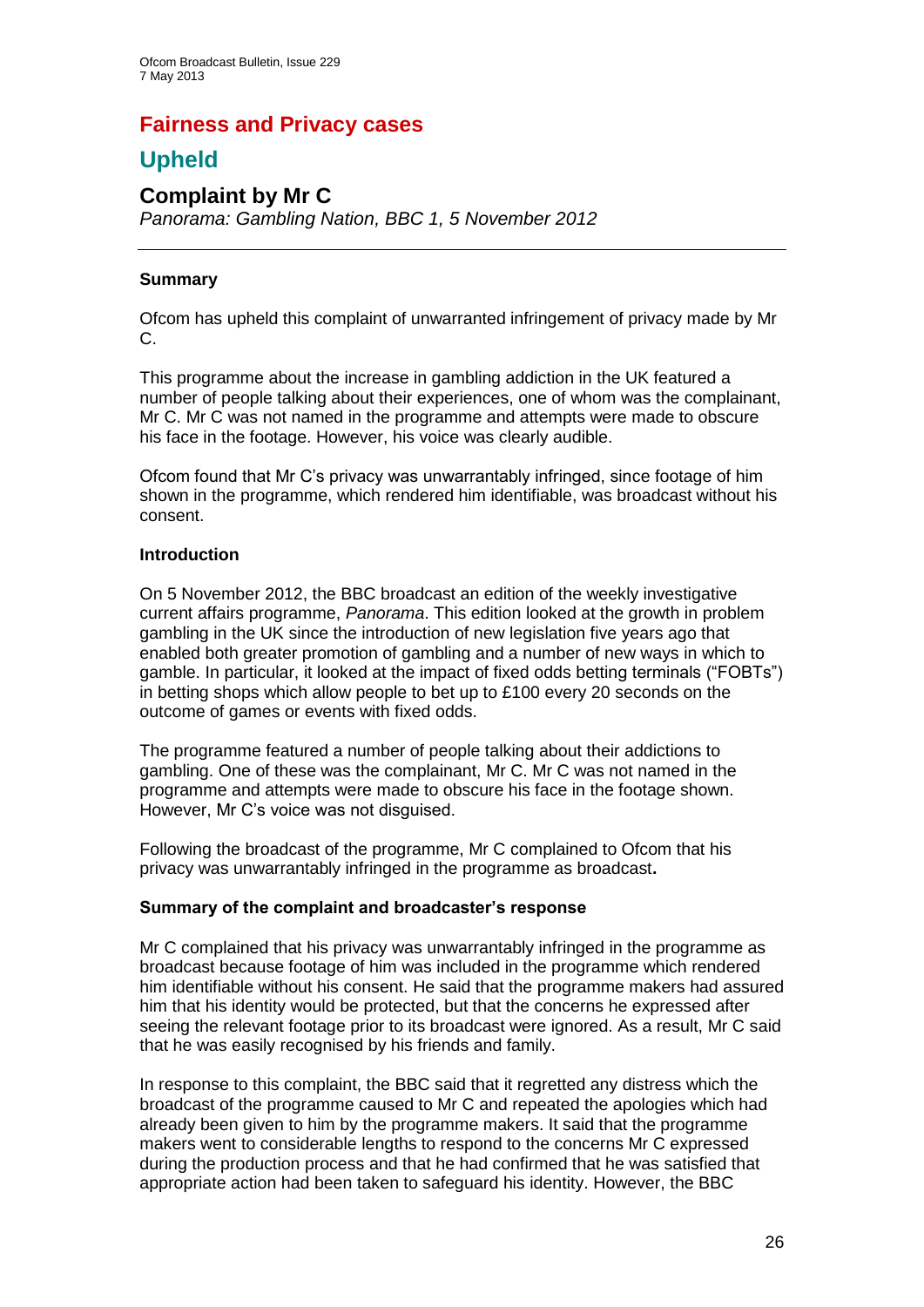## **Fairness and Privacy cases**

## **Upheld**

#### **Complaint by Mr C** *Panorama: Gambling Nation, BBC 1, 5 November 2012*

#### **Summary**

Ofcom has upheld this complaint of unwarranted infringement of privacy made by Mr C.

This programme about the increase in gambling addiction in the UK featured a number of people talking about their experiences, one of whom was the complainant, Mr C. Mr C was not named in the programme and attempts were made to obscure his face in the footage. However, his voice was clearly audible.

Ofcom found that Mr C's privacy was unwarrantably infringed, since footage of him shown in the programme, which rendered him identifiable, was broadcast without his consent.

#### **Introduction**

On 5 November 2012, the BBC broadcast an edition of the weekly investigative current affairs programme, *Panorama*. This edition looked at the growth in problem gambling in the UK since the introduction of new legislation five years ago that enabled both greater promotion of gambling and a number of new ways in which to gamble. In particular, it looked at the impact of fixed odds betting terminals ("FOBTs") in betting shops which allow people to bet up to £100 every 20 seconds on the outcome of games or events with fixed odds.

The programme featured a number of people talking about their addictions to gambling. One of these was the complainant, Mr C. Mr C was not named in the programme and attempts were made to obscure his face in the footage shown. However, Mr C's voice was not disguised.

Following the broadcast of the programme, Mr C complained to Ofcom that his privacy was unwarrantably infringed in the programme as broadcast**.**

#### **Summary of the complaint and broadcaster's response**

Mr C complained that his privacy was unwarrantably infringed in the programme as broadcast because footage of him was included in the programme which rendered him identifiable without his consent. He said that the programme makers had assured him that his identity would be protected, but that the concerns he expressed after seeing the relevant footage prior to its broadcast were ignored. As a result, Mr C said that he was easily recognised by his friends and family.

In response to this complaint, the BBC said that it regretted any distress which the broadcast of the programme caused to Mr C and repeated the apologies which had already been given to him by the programme makers. It said that the programme makers went to considerable lengths to respond to the concerns Mr C expressed during the production process and that he had confirmed that he was satisfied that appropriate action had been taken to safeguard his identity. However, the BBC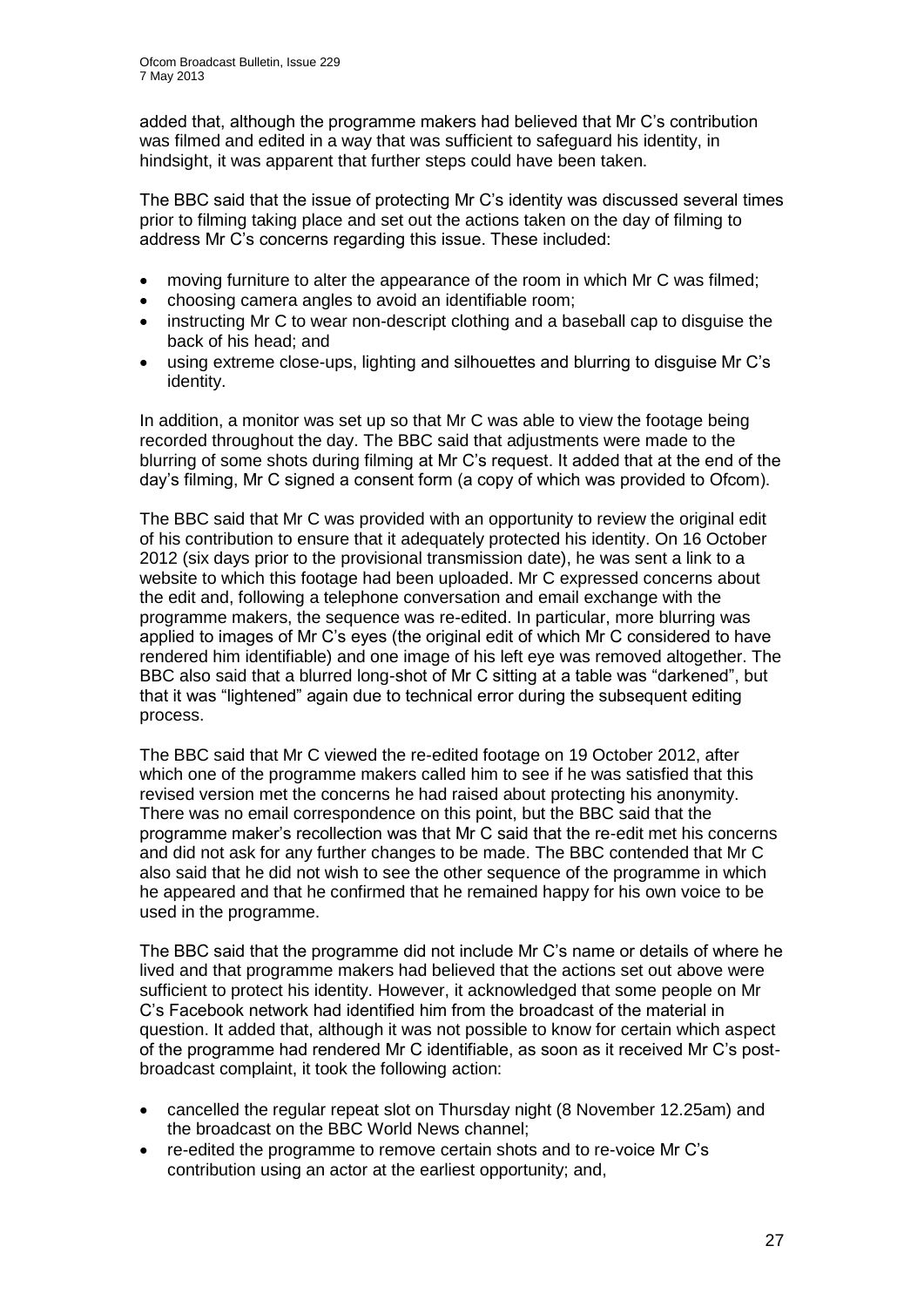added that, although the programme makers had believed that Mr C's contribution was filmed and edited in a way that was sufficient to safeguard his identity, in hindsight, it was apparent that further steps could have been taken.

The BBC said that the issue of protecting Mr C's identity was discussed several times prior to filming taking place and set out the actions taken on the day of filming to address Mr C's concerns regarding this issue. These included:

- moving furniture to alter the appearance of the room in which Mr C was filmed;
- choosing camera angles to avoid an identifiable room;
- instructing Mr C to wear non-descript clothing and a baseball cap to disguise the back of his head; and
- using extreme close-ups, lighting and silhouettes and blurring to disguise Mr C's identity.

In addition, a monitor was set up so that Mr C was able to view the footage being recorded throughout the day. The BBC said that adjustments were made to the blurring of some shots during filming at Mr C's request. It added that at the end of the day's filming, Mr C signed a consent form (a copy of which was provided to Ofcom).

The BBC said that Mr C was provided with an opportunity to review the original edit of his contribution to ensure that it adequately protected his identity. On 16 October 2012 (six days prior to the provisional transmission date), he was sent a link to a website to which this footage had been uploaded. Mr C expressed concerns about the edit and, following a telephone conversation and email exchange with the programme makers, the sequence was re-edited. In particular, more blurring was applied to images of Mr C's eyes (the original edit of which Mr C considered to have rendered him identifiable) and one image of his left eye was removed altogether. The BBC also said that a blurred long-shot of Mr C sitting at a table was "darkened", but that it was "lightened" again due to technical error during the subsequent editing process.

The BBC said that Mr C viewed the re-edited footage on 19 October 2012, after which one of the programme makers called him to see if he was satisfied that this revised version met the concerns he had raised about protecting his anonymity. There was no email correspondence on this point, but the BBC said that the programme maker's recollection was that Mr C said that the re-edit met his concerns and did not ask for any further changes to be made. The BBC contended that Mr C also said that he did not wish to see the other sequence of the programme in which he appeared and that he confirmed that he remained happy for his own voice to be used in the programme.

The BBC said that the programme did not include Mr C's name or details of where he lived and that programme makers had believed that the actions set out above were sufficient to protect his identity. However, it acknowledged that some people on Mr C's Facebook network had identified him from the broadcast of the material in question. It added that, although it was not possible to know for certain which aspect of the programme had rendered Mr C identifiable, as soon as it received Mr C's postbroadcast complaint, it took the following action:

- cancelled the regular repeat slot on Thursday night (8 November 12.25am) and the broadcast on the BBC World News channel;
- re-edited the programme to remove certain shots and to re-voice Mr C's contribution using an actor at the earliest opportunity; and,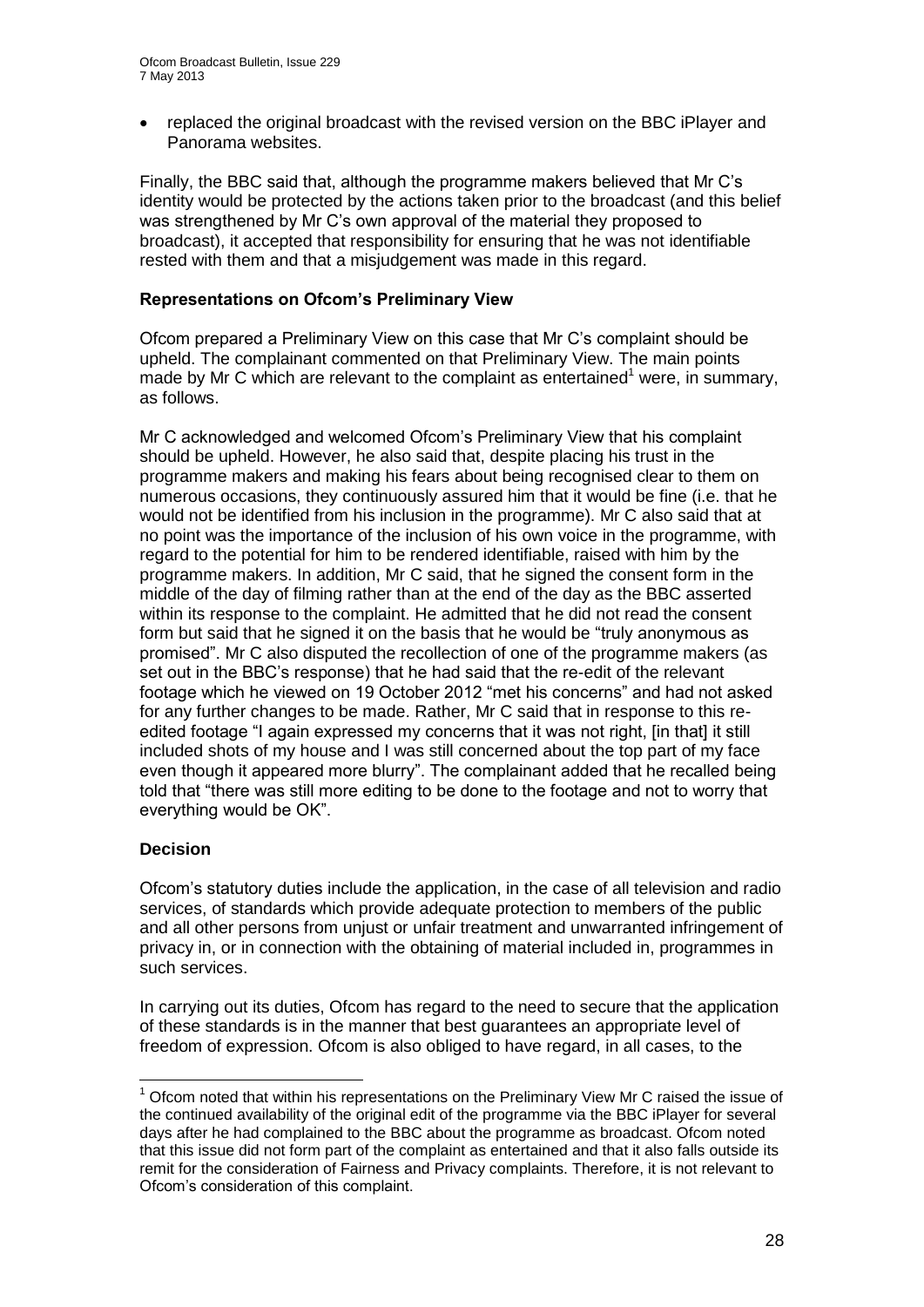replaced the original broadcast with the revised version on the BBC iPlayer and Panorama websites.

Finally, the BBC said that, although the programme makers believed that Mr C's identity would be protected by the actions taken prior to the broadcast (and this belief was strengthened by Mr C's own approval of the material they proposed to broadcast), it accepted that responsibility for ensuring that he was not identifiable rested with them and that a misjudgement was made in this regard.

#### **Representations on Ofcom's Preliminary View**

Ofcom prepared a Preliminary View on this case that Mr C's complaint should be upheld. The complainant commented on that Preliminary View. The main points made by Mr C which are relevant to the complaint as entertained<sup>1</sup> were, in summary, as follows.

Mr C acknowledged and welcomed Ofcom's Preliminary View that his complaint should be upheld. However, he also said that, despite placing his trust in the programme makers and making his fears about being recognised clear to them on numerous occasions, they continuously assured him that it would be fine (i.e. that he would not be identified from his inclusion in the programme). Mr C also said that at no point was the importance of the inclusion of his own voice in the programme, with regard to the potential for him to be rendered identifiable, raised with him by the programme makers. In addition, Mr C said, that he signed the consent form in the middle of the day of filming rather than at the end of the day as the BBC asserted within its response to the complaint. He admitted that he did not read the consent form but said that he signed it on the basis that he would be "truly anonymous as promised". Mr C also disputed the recollection of one of the programme makers (as set out in the BBC's response) that he had said that the re-edit of the relevant footage which he viewed on 19 October 2012 "met his concerns" and had not asked for any further changes to be made. Rather, Mr C said that in response to this reedited footage "I again expressed my concerns that it was not right, [in that] it still included shots of my house and I was still concerned about the top part of my face even though it appeared more blurry". The complainant added that he recalled being told that "there was still more editing to be done to the footage and not to worry that everything would be OK".

#### **Decision**

1

Ofcom's statutory duties include the application, in the case of all television and radio services, of standards which provide adequate protection to members of the public and all other persons from unjust or unfair treatment and unwarranted infringement of privacy in, or in connection with the obtaining of material included in, programmes in such services.

In carrying out its duties, Ofcom has regard to the need to secure that the application of these standards is in the manner that best guarantees an appropriate level of freedom of expression. Ofcom is also obliged to have regard, in all cases, to the

 $1$  Ofcom noted that within his representations on the Preliminary View Mr C raised the issue of the continued availability of the original edit of the programme via the BBC iPlayer for several days after he had complained to the BBC about the programme as broadcast. Ofcom noted that this issue did not form part of the complaint as entertained and that it also falls outside its remit for the consideration of Fairness and Privacy complaints. Therefore, it is not relevant to Ofcom's consideration of this complaint.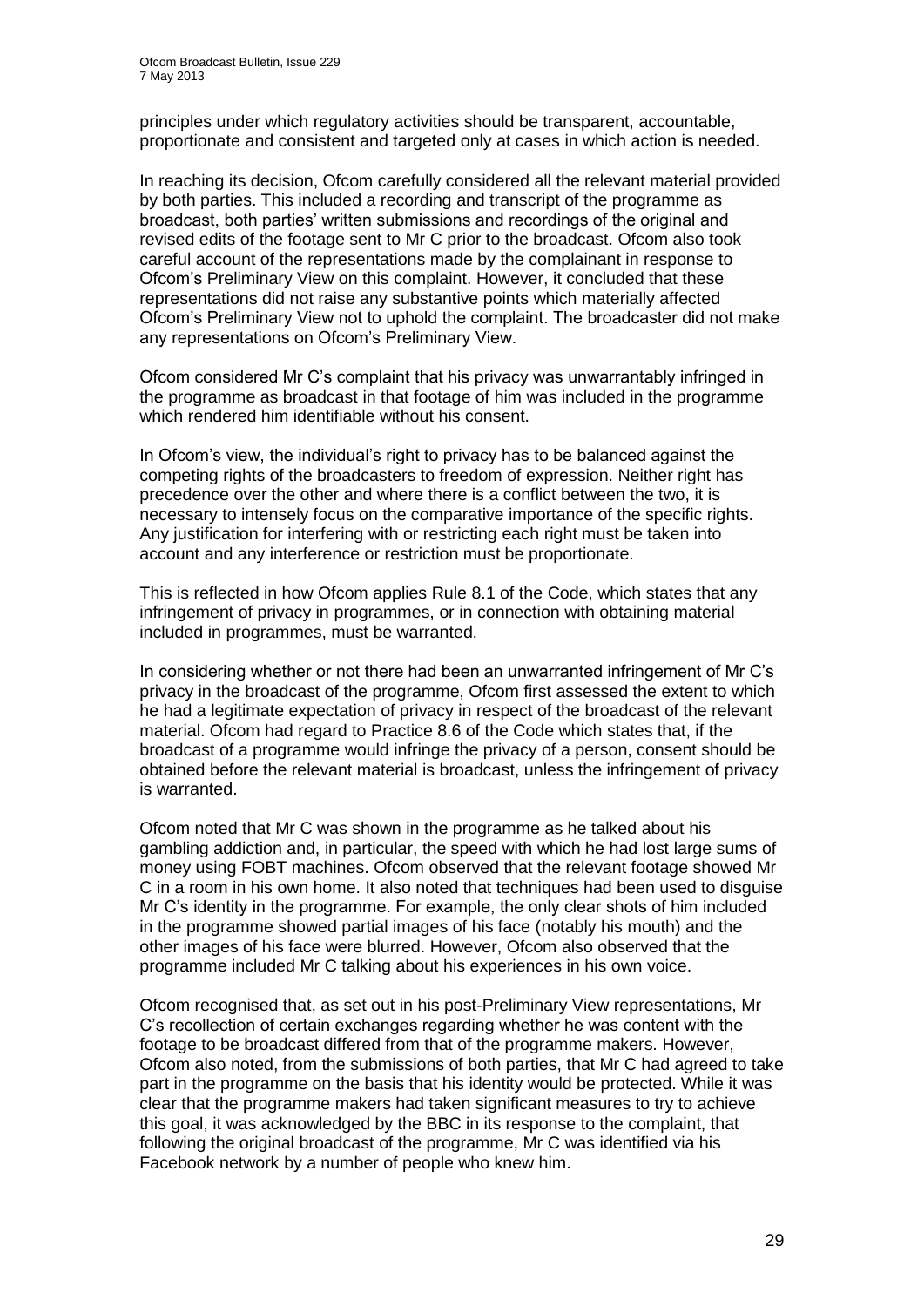principles under which regulatory activities should be transparent, accountable, proportionate and consistent and targeted only at cases in which action is needed.

In reaching its decision, Ofcom carefully considered all the relevant material provided by both parties. This included a recording and transcript of the programme as broadcast, both parties' written submissions and recordings of the original and revised edits of the footage sent to Mr C prior to the broadcast. Ofcom also took careful account of the representations made by the complainant in response to Ofcom's Preliminary View on this complaint. However, it concluded that these representations did not raise any substantive points which materially affected Ofcom's Preliminary View not to uphold the complaint. The broadcaster did not make any representations on Ofcom's Preliminary View.

Ofcom considered Mr C's complaint that his privacy was unwarrantably infringed in the programme as broadcast in that footage of him was included in the programme which rendered him identifiable without his consent.

In Ofcom's view, the individual's right to privacy has to be balanced against the competing rights of the broadcasters to freedom of expression. Neither right has precedence over the other and where there is a conflict between the two, it is necessary to intensely focus on the comparative importance of the specific rights. Any justification for interfering with or restricting each right must be taken into account and any interference or restriction must be proportionate.

This is reflected in how Ofcom applies Rule 8.1 of the Code, which states that any infringement of privacy in programmes, or in connection with obtaining material included in programmes, must be warranted.

In considering whether or not there had been an unwarranted infringement of Mr C's privacy in the broadcast of the programme, Ofcom first assessed the extent to which he had a legitimate expectation of privacy in respect of the broadcast of the relevant material. Ofcom had regard to Practice 8.6 of the Code which states that, if the broadcast of a programme would infringe the privacy of a person, consent should be obtained before the relevant material is broadcast, unless the infringement of privacy is warranted.

Ofcom noted that Mr C was shown in the programme as he talked about his gambling addiction and, in particular, the speed with which he had lost large sums of money using FOBT machines. Ofcom observed that the relevant footage showed Mr C in a room in his own home. It also noted that techniques had been used to disguise Mr C's identity in the programme. For example, the only clear shots of him included in the programme showed partial images of his face (notably his mouth) and the other images of his face were blurred. However, Ofcom also observed that the programme included Mr C talking about his experiences in his own voice.

Ofcom recognised that, as set out in his post-Preliminary View representations, Mr C's recollection of certain exchanges regarding whether he was content with the footage to be broadcast differed from that of the programme makers. However, Ofcom also noted, from the submissions of both parties, that Mr C had agreed to take part in the programme on the basis that his identity would be protected. While it was clear that the programme makers had taken significant measures to try to achieve this goal, it was acknowledged by the BBC in its response to the complaint, that following the original broadcast of the programme, Mr C was identified via his Facebook network by a number of people who knew him.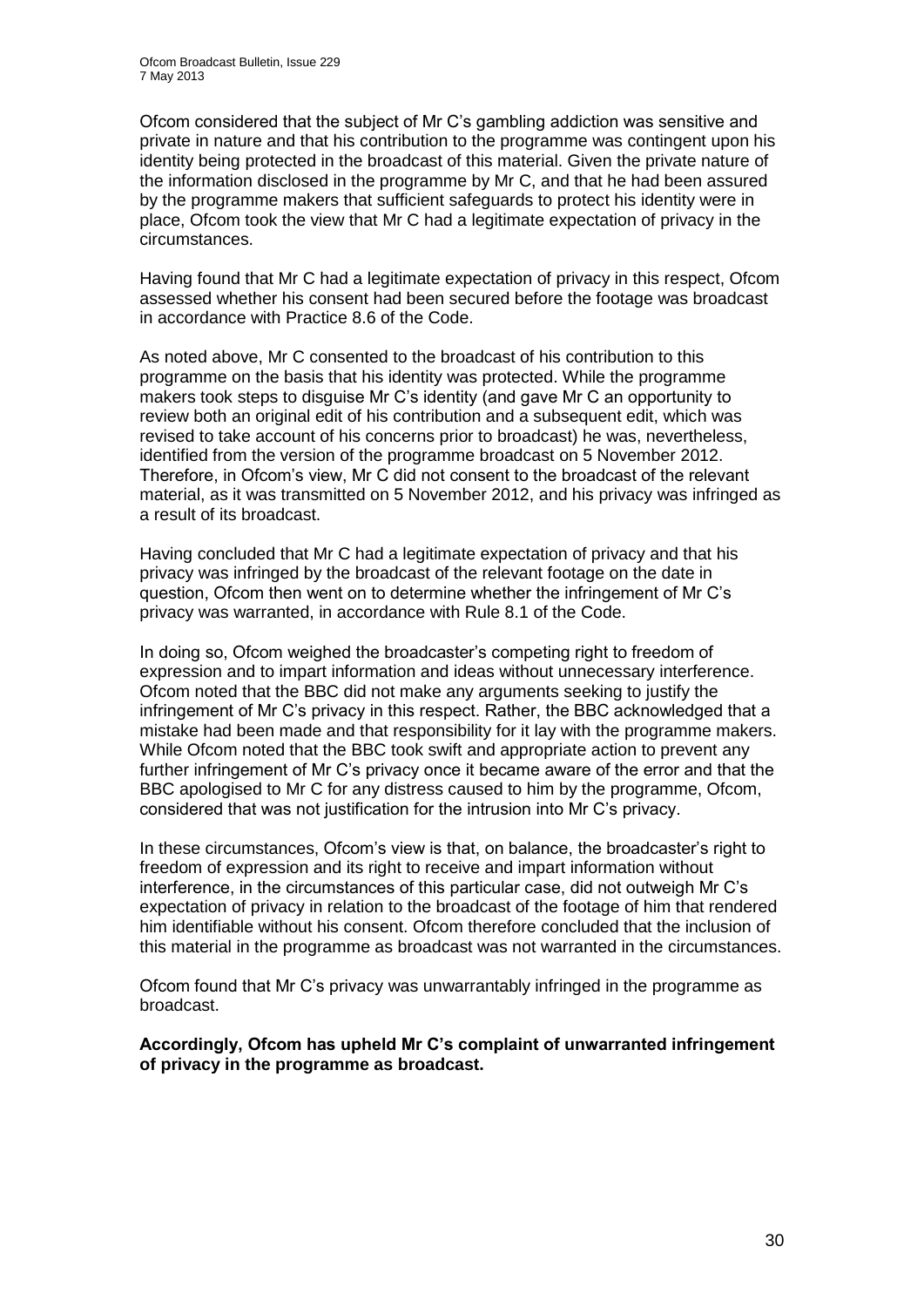Ofcom considered that the subject of Mr C's gambling addiction was sensitive and private in nature and that his contribution to the programme was contingent upon his identity being protected in the broadcast of this material. Given the private nature of the information disclosed in the programme by Mr C, and that he had been assured by the programme makers that sufficient safeguards to protect his identity were in place, Ofcom took the view that Mr C had a legitimate expectation of privacy in the circumstances.

Having found that Mr C had a legitimate expectation of privacy in this respect, Ofcom assessed whether his consent had been secured before the footage was broadcast in accordance with Practice 8.6 of the Code.

As noted above, Mr C consented to the broadcast of his contribution to this programme on the basis that his identity was protected. While the programme makers took steps to disguise Mr C's identity (and gave Mr C an opportunity to review both an original edit of his contribution and a subsequent edit, which was revised to take account of his concerns prior to broadcast) he was, nevertheless, identified from the version of the programme broadcast on 5 November 2012. Therefore, in Ofcom's view, Mr C did not consent to the broadcast of the relevant material, as it was transmitted on 5 November 2012, and his privacy was infringed as a result of its broadcast.

Having concluded that Mr C had a legitimate expectation of privacy and that his privacy was infringed by the broadcast of the relevant footage on the date in question, Ofcom then went on to determine whether the infringement of Mr C's privacy was warranted, in accordance with Rule 8.1 of the Code.

In doing so, Ofcom weighed the broadcaster's competing right to freedom of expression and to impart information and ideas without unnecessary interference. Ofcom noted that the BBC did not make any arguments seeking to justify the infringement of Mr C's privacy in this respect. Rather, the BBC acknowledged that a mistake had been made and that responsibility for it lay with the programme makers. While Ofcom noted that the BBC took swift and appropriate action to prevent any further infringement of Mr C's privacy once it became aware of the error and that the BBC apologised to Mr C for any distress caused to him by the programme, Ofcom, considered that was not justification for the intrusion into Mr C's privacy.

In these circumstances, Ofcom's view is that, on balance, the broadcaster's right to freedom of expression and its right to receive and impart information without interference, in the circumstances of this particular case, did not outweigh Mr C's expectation of privacy in relation to the broadcast of the footage of him that rendered him identifiable without his consent. Ofcom therefore concluded that the inclusion of this material in the programme as broadcast was not warranted in the circumstances.

Ofcom found that Mr C's privacy was unwarrantably infringed in the programme as broadcast.

**Accordingly, Ofcom has upheld Mr C's complaint of unwarranted infringement of privacy in the programme as broadcast.**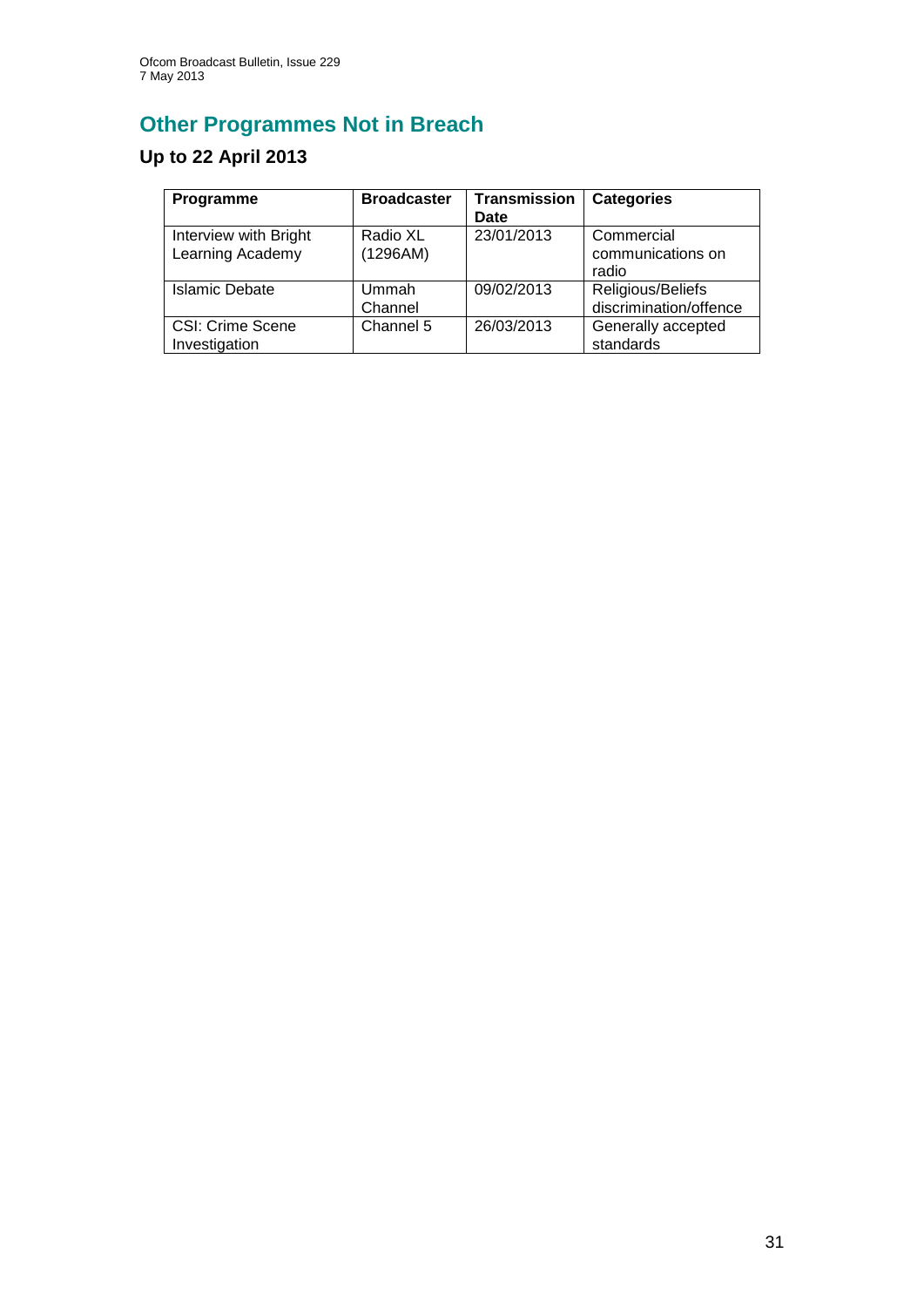# **Other Programmes Not in Breach**

## **Up to 22 April 2013**

| Programme                                 | <b>Broadcaster</b>   | <b>Transmission</b><br>Date | <b>Categories</b>                           |
|-------------------------------------------|----------------------|-----------------------------|---------------------------------------------|
| Interview with Bright<br>Learning Academy | Radio XL<br>(1296AM) | 23/01/2013                  | Commercial<br>communications on<br>radio    |
| Islamic Debate                            | Ummah<br>Channel     | 09/02/2013                  | Religious/Beliefs<br>discrimination/offence |
| <b>CSI: Crime Scene</b><br>Investigation  | Channel 5            | 26/03/2013                  | Generally accepted<br>standards             |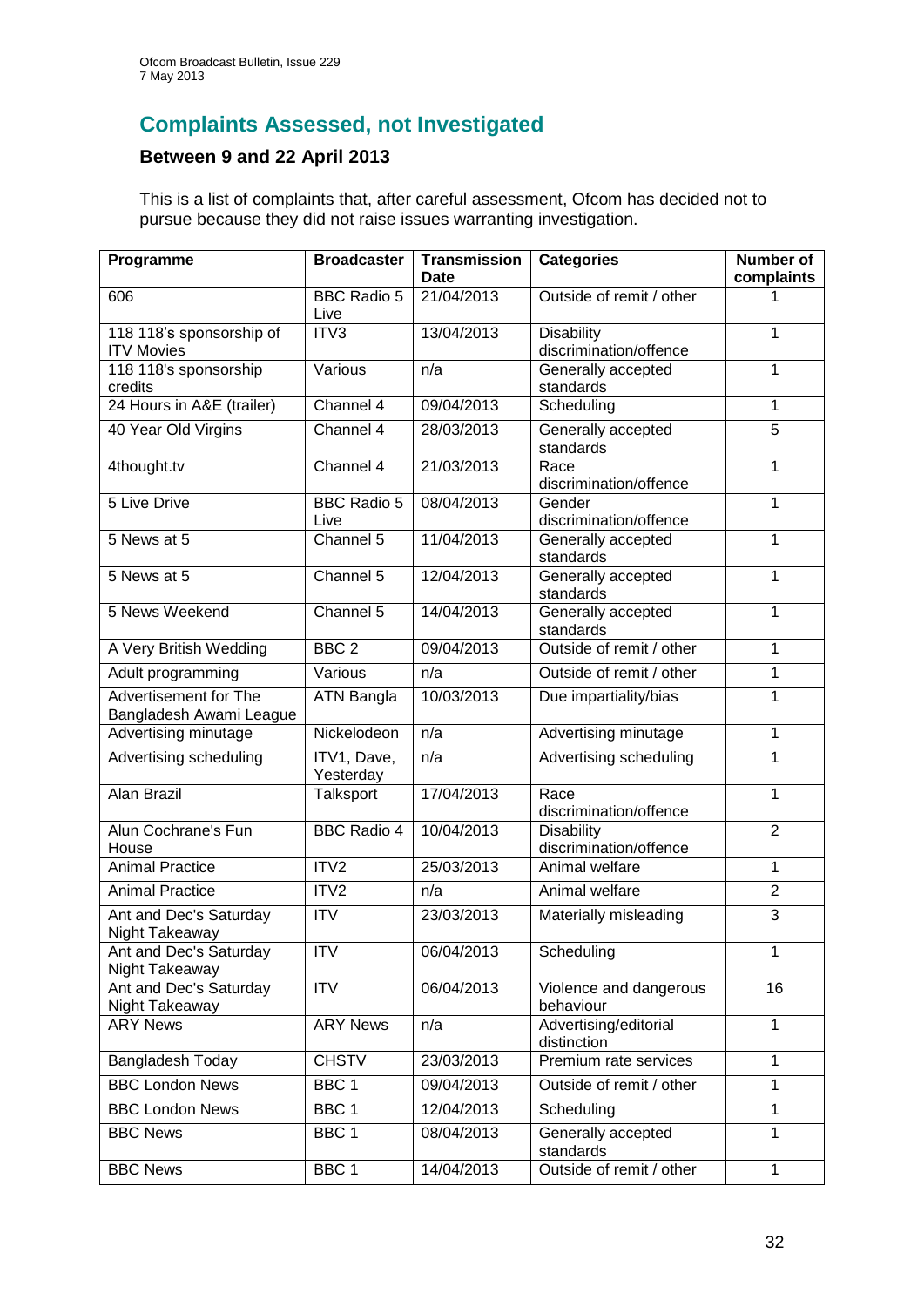## **Complaints Assessed, not Investigated**

## **Between 9 and 22 April 2013**

This is a list of complaints that, after careful assessment, Ofcom has decided not to pursue because they did not raise issues warranting investigation.

| Programme                                               | <b>Broadcaster</b>         | <b>Transmission</b><br>Date | <b>Categories</b>                           | Number of<br>complaints |
|---------------------------------------------------------|----------------------------|-----------------------------|---------------------------------------------|-------------------------|
| 606                                                     | <b>BBC Radio 5</b><br>Live | 21/04/2013                  | Outside of remit / other                    |                         |
| 118 118's sponsorship of<br><b>ITV Movies</b>           | ITV3                       | 13/04/2013                  | <b>Disability</b><br>discrimination/offence | 1                       |
| 118 118's sponsorship<br>credits                        | Various                    | n/a                         | Generally accepted<br>standards             | 1                       |
| 24 Hours in A&E (trailer)                               | Channel 4                  | 09/04/2013                  | Scheduling                                  | 1                       |
| 40 Year Old Virgins                                     | Channel 4                  | 28/03/2013                  | Generally accepted<br>standards             | $\overline{5}$          |
| 4thought.tv                                             | Channel 4                  | 21/03/2013                  | Race<br>discrimination/offence              | 1                       |
| 5 Live Drive                                            | <b>BBC Radio 5</b><br>Live | 08/04/2013                  | Gender<br>discrimination/offence            | 1                       |
| 5 News at 5                                             | Channel 5                  | 11/04/2013                  | Generally accepted<br>standards             | 1                       |
| 5 News at 5                                             | Channel 5                  | 12/04/2013                  | Generally accepted<br>standards             | 1                       |
| 5 News Weekend                                          | Channel 5                  | 14/04/2013                  | Generally accepted<br>standards             | 1                       |
| A Very British Wedding                                  | BBC <sub>2</sub>           | 09/04/2013                  | Outside of remit / other                    | 1                       |
| Adult programming                                       | Various                    | n/a                         | Outside of remit / other                    | 1                       |
| <b>Advertisement for The</b><br>Bangladesh Awami League | <b>ATN Bangla</b>          | 10/03/2013                  | Due impartiality/bias                       | 1                       |
| Advertising minutage                                    | Nickelodeon                | n/a                         | Advertising minutage                        | 1                       |
| Advertising scheduling                                  | ITV1, Dave,<br>Yesterday   | n/a                         | Advertising scheduling                      | 1                       |
| Alan Brazil                                             | Talksport                  | 17/04/2013                  | Race<br>discrimination/offence              | 1                       |
| Alun Cochrane's Fun<br>House                            | <b>BBC Radio 4</b>         | 10/04/2013                  | <b>Disability</b><br>discrimination/offence | $\overline{2}$          |
| <b>Animal Practice</b>                                  | ITV <sub>2</sub>           | 25/03/2013                  | Animal welfare                              | 1                       |
| <b>Animal Practice</b>                                  | ITV2                       | n/a                         | Animal welfare                              | $\overline{2}$          |
| Ant and Dec's Saturday<br>Night Takeaway                | <b>ITV</b>                 | 23/03/2013                  | Materially misleading                       | 3                       |
| Ant and Dec's Saturday<br>Night Takeaway                | <b>ITV</b>                 | 06/04/2013                  | Scheduling                                  | 1                       |
| Ant and Dec's Saturday<br>Night Takeaway                | $\overline{ITV}$           | 06/04/2013                  | Violence and dangerous<br>behaviour         | 16                      |
| <b>ARY News</b>                                         | <b>ARY News</b>            | n/a                         | Advertising/editorial<br>distinction        | $\mathbf{1}$            |
| Bangladesh Today                                        | <b>CHSTV</b>               | 23/03/2013                  | Premium rate services                       | 1                       |
| <b>BBC London News</b>                                  | BBC <sub>1</sub>           | 09/04/2013                  | Outside of remit / other                    | 1                       |
| <b>BBC London News</b>                                  | BBC <sub>1</sub>           | 12/04/2013                  | Scheduling                                  | 1                       |
| <b>BBC News</b>                                         | BBC <sub>1</sub>           | 08/04/2013                  | Generally accepted<br>standards             | 1                       |
| <b>BBC News</b>                                         | BBC <sub>1</sub>           | 14/04/2013                  | Outside of remit / other                    | 1                       |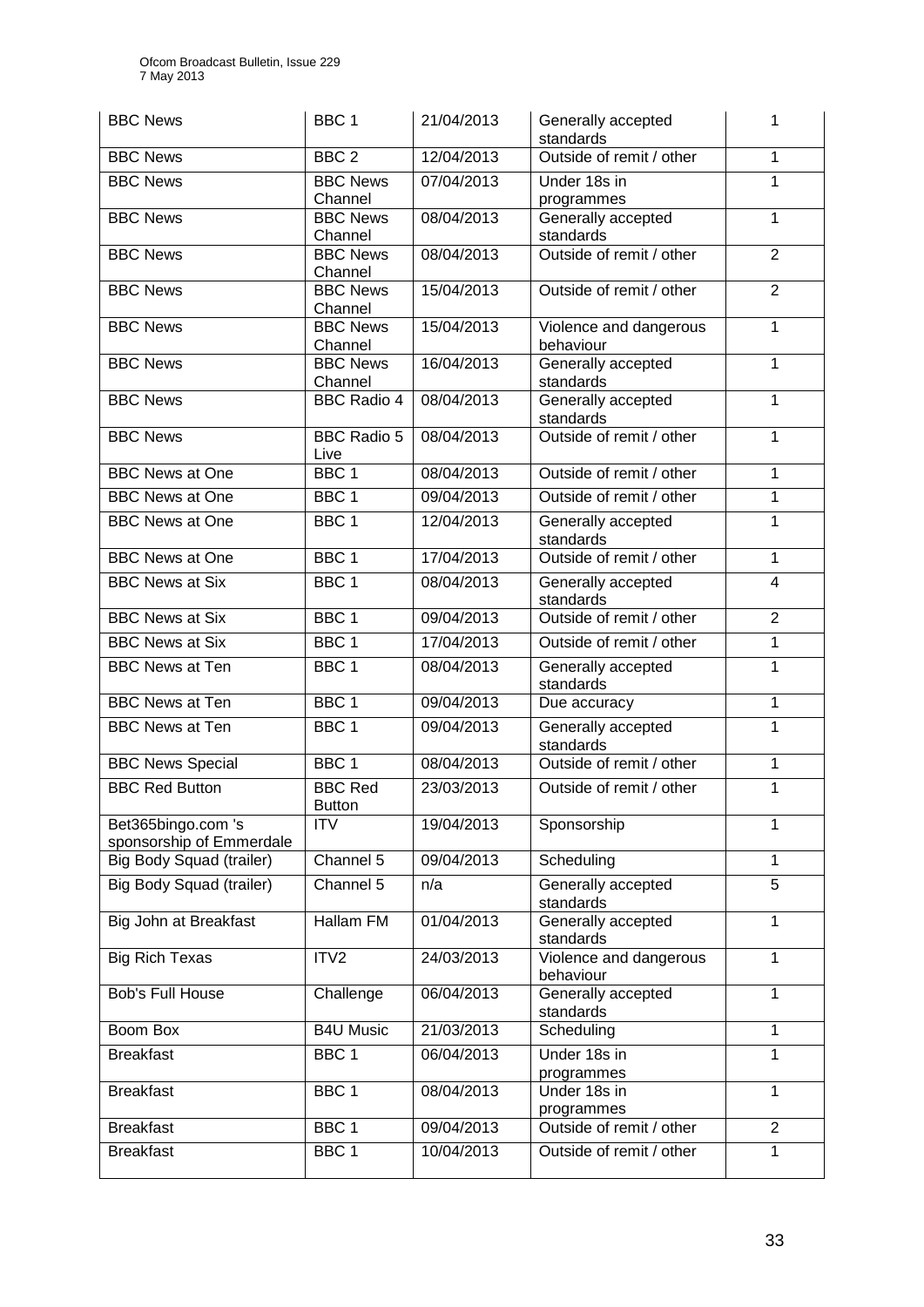| <b>BBC News</b>                                | BBC <sub>1</sub>                | 21/04/2013 | Generally accepted<br>standards     | 1              |
|------------------------------------------------|---------------------------------|------------|-------------------------------------|----------------|
| <b>BBC News</b>                                | BBC <sub>2</sub>                | 12/04/2013 | Outside of remit / other            | $\mathbf{1}$   |
| <b>BBC News</b>                                | <b>BBC News</b><br>Channel      | 07/04/2013 | Under 18s in<br>programmes          | 1              |
| <b>BBC News</b>                                | <b>BBC News</b><br>Channel      | 08/04/2013 | Generally accepted<br>standards     | 1              |
| <b>BBC News</b>                                | <b>BBC News</b><br>Channel      | 08/04/2013 | Outside of remit / other            | $\overline{2}$ |
| <b>BBC News</b>                                | <b>BBC</b> News<br>Channel      | 15/04/2013 | Outside of remit / other            | $\overline{2}$ |
| <b>BBC News</b>                                | <b>BBC News</b><br>Channel      | 15/04/2013 | Violence and dangerous<br>behaviour | 1              |
| <b>BBC News</b>                                | <b>BBC News</b><br>Channel      | 16/04/2013 | Generally accepted<br>standards     | $\overline{1}$ |
| <b>BBC News</b>                                | <b>BBC Radio 4</b>              | 08/04/2013 | Generally accepted<br>standards     | $\mathbf{1}$   |
| <b>BBC News</b>                                | <b>BBC Radio 5</b><br>Live      | 08/04/2013 | Outside of remit / other            | 1              |
| <b>BBC News at One</b>                         | BBC <sub>1</sub>                | 08/04/2013 | Outside of remit / other            | $\mathbf{1}$   |
| <b>BBC</b> News at One                         | BBC <sub>1</sub>                | 09/04/2013 | Outside of remit / other            | 1              |
| <b>BBC News at One</b>                         | $BBC$ 1                         | 12/04/2013 | Generally accepted<br>standards     | 1              |
| <b>BBC News at One</b>                         | BBC <sub>1</sub>                | 17/04/2013 | Outside of remit / other            | 1              |
| <b>BBC News at Six</b>                         | BBC <sub>1</sub>                | 08/04/2013 | Generally accepted<br>standards     | $\overline{4}$ |
| <b>BBC News at Six</b>                         | BBC <sub>1</sub>                | 09/04/2013 | Outside of remit / other            | $\overline{2}$ |
| <b>BBC News at Six</b>                         | BBC <sub>1</sub>                | 17/04/2013 | Outside of remit / other            | 1              |
| <b>BBC News at Ten</b>                         | BBC <sub>1</sub>                | 08/04/2013 | Generally accepted<br>standards     | $\mathbf{1}$   |
| <b>BBC News at Ten</b>                         | BBC <sub>1</sub>                | 09/04/2013 | Due accuracy                        | 1              |
| <b>BBC News at Ten</b>                         | BBC <sub>1</sub>                | 09/04/2013 | Generally accepted<br>standards     | 1              |
| <b>BBC News Special</b>                        | BBC <sub>1</sub>                | 08/04/2013 | Outside of remit / other            | 1              |
| <b>BBC Red Button</b>                          | <b>BBC Red</b><br><b>Button</b> | 23/03/2013 | Outside of remit / other            | 1              |
| Bet365bingo.com 's<br>sponsorship of Emmerdale | <b>ITV</b>                      | 19/04/2013 | Sponsorship                         | 1              |
| Big Body Squad (trailer)                       | Channel 5                       | 09/04/2013 | Scheduling                          | 1              |
| Big Body Squad (trailer)                       | Channel 5                       | n/a        | Generally accepted<br>standards     | 5              |
| Big John at Breakfast                          | <b>Hallam FM</b>                | 01/04/2013 | Generally accepted<br>standards     | $\mathbf{1}$   |
| <b>Big Rich Texas</b>                          | ITV2                            | 24/03/2013 | Violence and dangerous<br>behaviour | $\mathbf{1}$   |
| Bob's Full House                               | Challenge                       | 06/04/2013 | Generally accepted<br>standards     | $\mathbf{1}$   |
| Boom Box                                       | <b>B4U Music</b>                | 21/03/2013 | Scheduling                          | $\mathbf{1}$   |
| Breakfast                                      | BBC <sub>1</sub>                | 06/04/2013 | Under 18s in<br>programmes          | 1              |
| <b>Breakfast</b>                               | BBC <sub>1</sub>                | 08/04/2013 | Under 18s in<br>programmes          | 1              |
| <b>Breakfast</b>                               | BBC <sub>1</sub>                | 09/04/2013 | Outside of remit / other            | $\overline{2}$ |
| <b>Breakfast</b>                               | BBC <sub>1</sub>                | 10/04/2013 | Outside of remit / other            | 1              |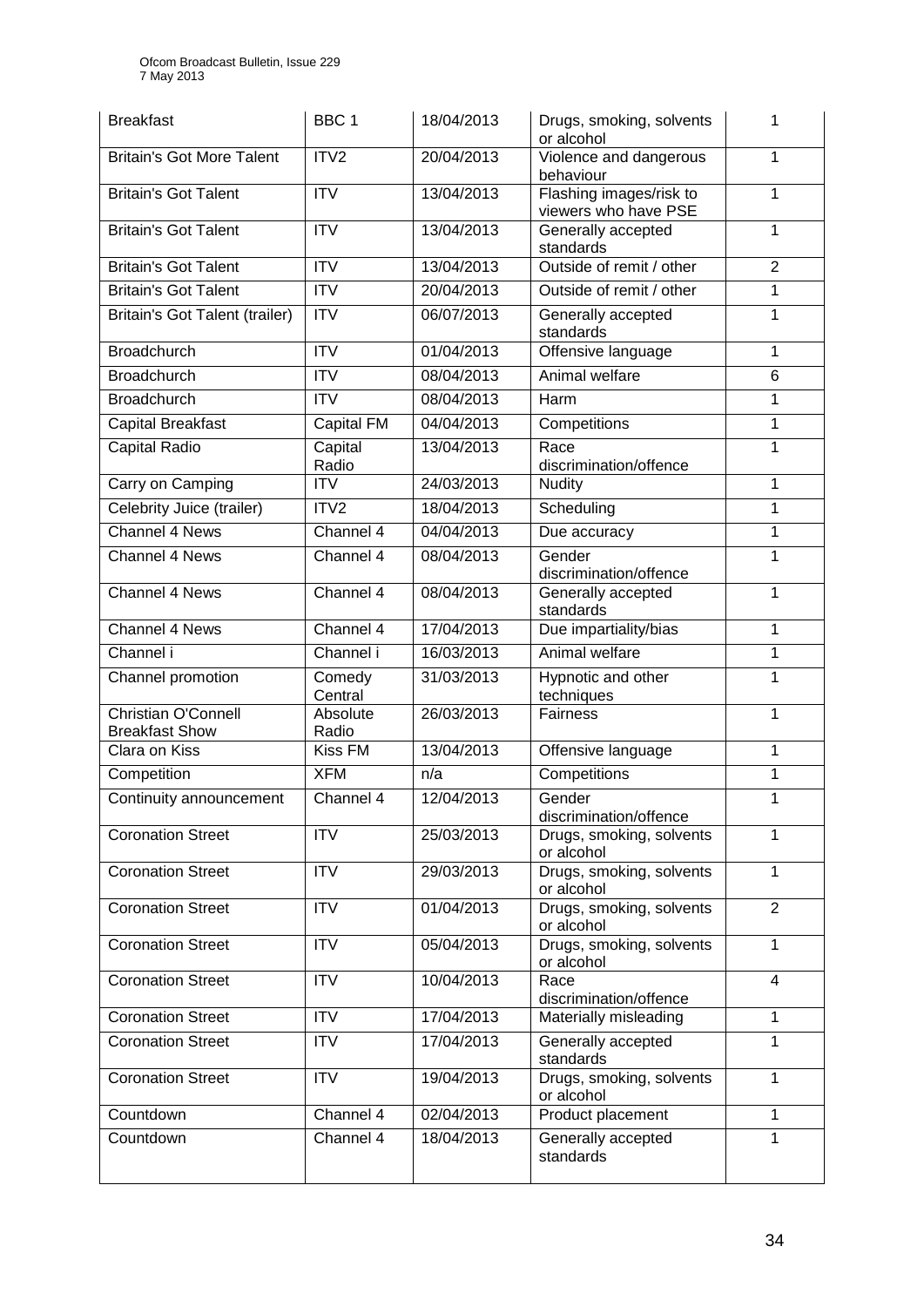| <b>Breakfast</b>                                    | BBC <sub>1</sub>       | 18/04/2013               | Drugs, smoking, solvents<br>or alcohol          | 1              |
|-----------------------------------------------------|------------------------|--------------------------|-------------------------------------------------|----------------|
| <b>Britain's Got More Talent</b>                    | ITV2                   | 20/04/2013               | Violence and dangerous<br>behaviour             | 1              |
| <b>Britain's Got Talent</b>                         | <b>ITV</b>             | 13/04/2013               | Flashing images/risk to<br>viewers who have PSE | 1              |
| <b>Britain's Got Talent</b>                         | <b>ITV</b>             | 13/04/2013               | Generally accepted<br>standards                 | 1              |
| <b>Britain's Got Talent</b>                         | <b>ITV</b>             | 13/04/2013               | Outside of remit / other                        | $\overline{2}$ |
| <b>Britain's Got Talent</b>                         | <b>ITV</b>             | 20/04/2013               | Outside of remit / other                        | 1              |
| <b>Britain's Got Talent (trailer)</b>               | <b>ITV</b>             | 06/07/2013               | Generally accepted<br>standards                 | 1              |
| <b>Broadchurch</b>                                  | <b>ITV</b>             | 01/04/2013               | Offensive language                              | 1              |
| <b>Broadchurch</b>                                  | <b>ITV</b>             | 08/04/2013               | Animal welfare                                  | 6              |
| <b>Broadchurch</b>                                  | <b>ITV</b>             | 08/04/2013               | Harm                                            | 1              |
| <b>Capital Breakfast</b>                            | Capital FM             | 04/04/2013               | Competitions                                    | 1              |
| <b>Capital Radio</b>                                | Capital<br>Radio       | 13/04/2013               | Race<br>discrimination/offence                  | 1              |
| Carry on Camping                                    | <b>ITV</b>             | 24/03/2013               | <b>Nudity</b>                                   | 1              |
| Celebrity Juice (trailer)                           | ITV2                   | 18/04/2013               | Scheduling                                      | 1              |
| Channel 4 News                                      | Channel 4              | 04/04/2013               | Due accuracy                                    | 1              |
| Channel 4 News                                      | Channel 4              | 08/04/2013               | Gender<br>discrimination/offence                | 1              |
| Channel 4 News                                      | Channel 4              | 08/04/2013               | Generally accepted<br>standards                 | 1              |
| Channel 4 News                                      | Channel 4              | 17/04/2013               | Due impartiality/bias                           | 1              |
| Channel i                                           | Channel i              | 16/03/2013               | Animal welfare                                  | 1              |
| Channel promotion                                   | Comedy<br>Central      | 31/03/2013               | Hypnotic and other<br>techniques                | 1              |
| <b>Christian O'Connell</b><br><b>Breakfast Show</b> | Absolute<br>Radio      | 26/03/2013               | Fairness                                        | 1              |
| Clara on Kiss                                       | Kiss FM                | 13/04/2013               | Offensive language                              | 1              |
| Competition                                         | <b>XFM</b>             | n/a                      | Competitions                                    | 1              |
| Continuity announcement                             | Channel 4              | 12/04/2013               | Gender<br>discrimination/offence                | 1              |
| <b>Coronation Street</b>                            | <b>ITV</b>             | 25/03/2013               | Drugs, smoking, solvents<br>or alcohol          | 1              |
| <b>Coronation Street</b>                            | <b>ITV</b>             | 29/03/2013               | Drugs, smoking, solvents<br>or alcohol          | 1              |
| <b>Coronation Street</b>                            | <b>ITV</b>             | 01/04/2013               | Drugs, smoking, solvents<br>or alcohol          | 2              |
| <b>Coronation Street</b>                            | <b>ITV</b>             | 05/04/2013               | Drugs, smoking, solvents<br>or alcohol          | 1              |
| <b>Coronation Street</b>                            | <b>ITV</b>             | 10/04/2013               | Race<br>discrimination/offence                  | $\overline{4}$ |
| <b>Coronation Street</b>                            | $\overline{IV}$        | 17/04/2013               | Materially misleading                           | 1              |
| <b>Coronation Street</b>                            | <b>ITV</b>             | 17/04/2013               | Generally accepted<br>standards                 | 1              |
| <b>Coronation Street</b>                            |                        |                          |                                                 | 1              |
|                                                     | <b>ITV</b>             | 19/04/2013               | Drugs, smoking, solvents<br>or alcohol          |                |
| Countdown<br>Countdown                              | Channel 4<br>Channel 4 | 02/04/2013<br>18/04/2013 | Product placement<br>Generally accepted         | 1              |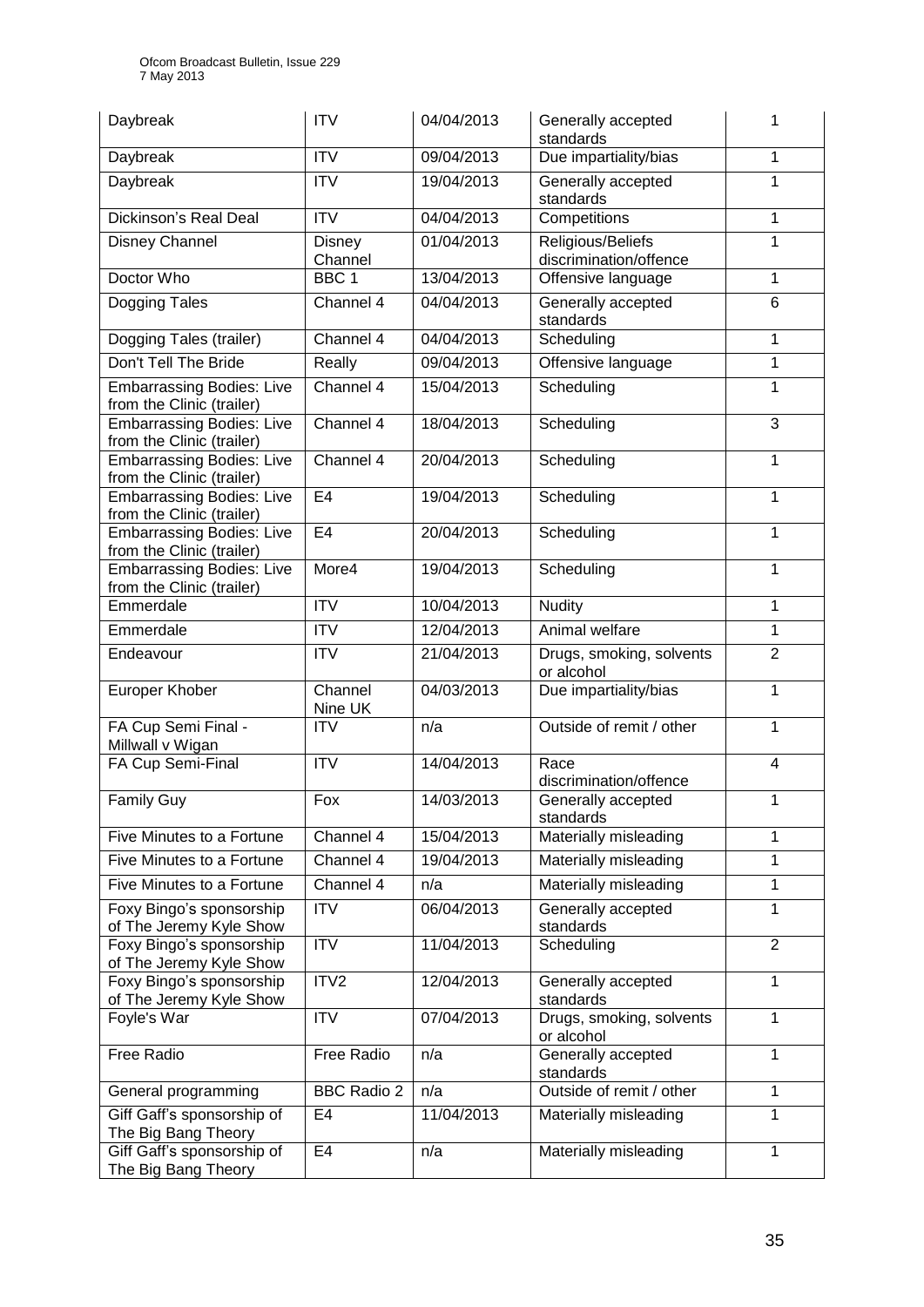| Daybreak                                                      | <b>ITV</b>               | 04/04/2013 | Generally accepted<br>standards             | 1              |
|---------------------------------------------------------------|--------------------------|------------|---------------------------------------------|----------------|
| Daybreak                                                      | <b>ITV</b>               | 09/04/2013 | Due impartiality/bias                       | $\mathbf 1$    |
| Daybreak                                                      | <b>ITV</b>               | 19/04/2013 | Generally accepted<br>standards             | 1              |
| Dickinson's Real Deal                                         | <b>ITV</b>               | 04/04/2013 | Competitions                                | 1              |
| Disney Channel                                                | <b>Disney</b><br>Channel | 01/04/2013 | Religious/Beliefs<br>discrimination/offence | 1              |
| Doctor Who                                                    | BBC <sub>1</sub>         | 13/04/2013 | Offensive language                          | 1              |
| Dogging Tales                                                 | Channel 4                | 04/04/2013 | Generally accepted<br>standards             | 6              |
| Dogging Tales (trailer)                                       | Channel 4                | 04/04/2013 | Scheduling                                  | 1              |
| Don't Tell The Bride                                          | Really                   | 09/04/2013 | Offensive language                          | 1              |
| <b>Embarrassing Bodies: Live</b><br>from the Clinic (trailer) | Channel 4                | 15/04/2013 | Scheduling                                  | 1              |
| <b>Embarrassing Bodies: Live</b><br>from the Clinic (trailer) | Channel 4                | 18/04/2013 | Scheduling                                  | 3              |
| <b>Embarrassing Bodies: Live</b><br>from the Clinic (trailer) | Channel 4                | 20/04/2013 | Scheduling                                  | 1              |
| <b>Embarrassing Bodies: Live</b><br>from the Clinic (trailer) | E <sub>4</sub>           | 19/04/2013 | Scheduling                                  | $\mathbf{1}$   |
| <b>Embarrassing Bodies: Live</b><br>from the Clinic (trailer) | E4                       | 20/04/2013 | Scheduling                                  | 1              |
| <b>Embarrassing Bodies: Live</b><br>from the Clinic (trailer) | More4                    | 19/04/2013 | Scheduling                                  | 1              |
| Emmerdale                                                     | <b>ITV</b>               | 10/04/2013 | <b>Nudity</b>                               | 1              |
| Emmerdale                                                     | <b>ITV</b>               | 12/04/2013 | Animal welfare                              | $\mathbf{1}$   |
| Endeavour                                                     | <b>ITV</b>               | 21/04/2013 | Drugs, smoking, solvents<br>or alcohol      | $\overline{2}$ |
| Europer Khober                                                | Channel<br>Nine UK       | 04/03/2013 | Due impartiality/bias                       | 1              |
| FA Cup Semi Final -<br>Millwall v Wigan                       | <b>ITV</b>               | n/a        | Outside of remit / other                    | $\mathbf{1}$   |
| FA Cup Semi-Final                                             | <b>ITV</b>               | 14/04/2013 | Race<br>discrimination/offence              | $\overline{4}$ |
| <b>Family Guy</b>                                             | Fox                      | 14/03/2013 | Generally accepted<br>standards             | 1              |
| Five Minutes to a Fortune                                     | Channel 4                | 15/04/2013 | Materially misleading                       | 1              |
| Five Minutes to a Fortune                                     | Channel 4                | 19/04/2013 | Materially misleading                       | 1              |
| Five Minutes to a Fortune                                     | Channel 4                | n/a        | Materially misleading                       | 1              |
| Foxy Bingo's sponsorship<br>of The Jeremy Kyle Show           | <b>ITV</b>               | 06/04/2013 | Generally accepted<br>standards             | 1              |
| Foxy Bingo's sponsorship<br>of The Jeremy Kyle Show           | <b>ITV</b>               | 11/04/2013 | Scheduling                                  | $\overline{2}$ |
| Foxy Bingo's sponsorship<br>of The Jeremy Kyle Show           | ITV2                     | 12/04/2013 | Generally accepted<br>standards             | 1              |
| Foyle's War                                                   | <b>ITV</b>               | 07/04/2013 | Drugs, smoking, solvents<br>or alcohol      | 1              |
| Free Radio                                                    | Free Radio               | n/a        | Generally accepted<br>standards             | 1              |
| General programming                                           | <b>BBC Radio 2</b>       | n/a        | Outside of remit / other                    | 1              |
| Giff Gaff's sponsorship of<br>The Big Bang Theory             | E4                       | 11/04/2013 | Materially misleading                       | 1              |
| Giff Gaff's sponsorship of<br>The Big Bang Theory             | E <sub>4</sub>           | n/a        | Materially misleading                       | 1              |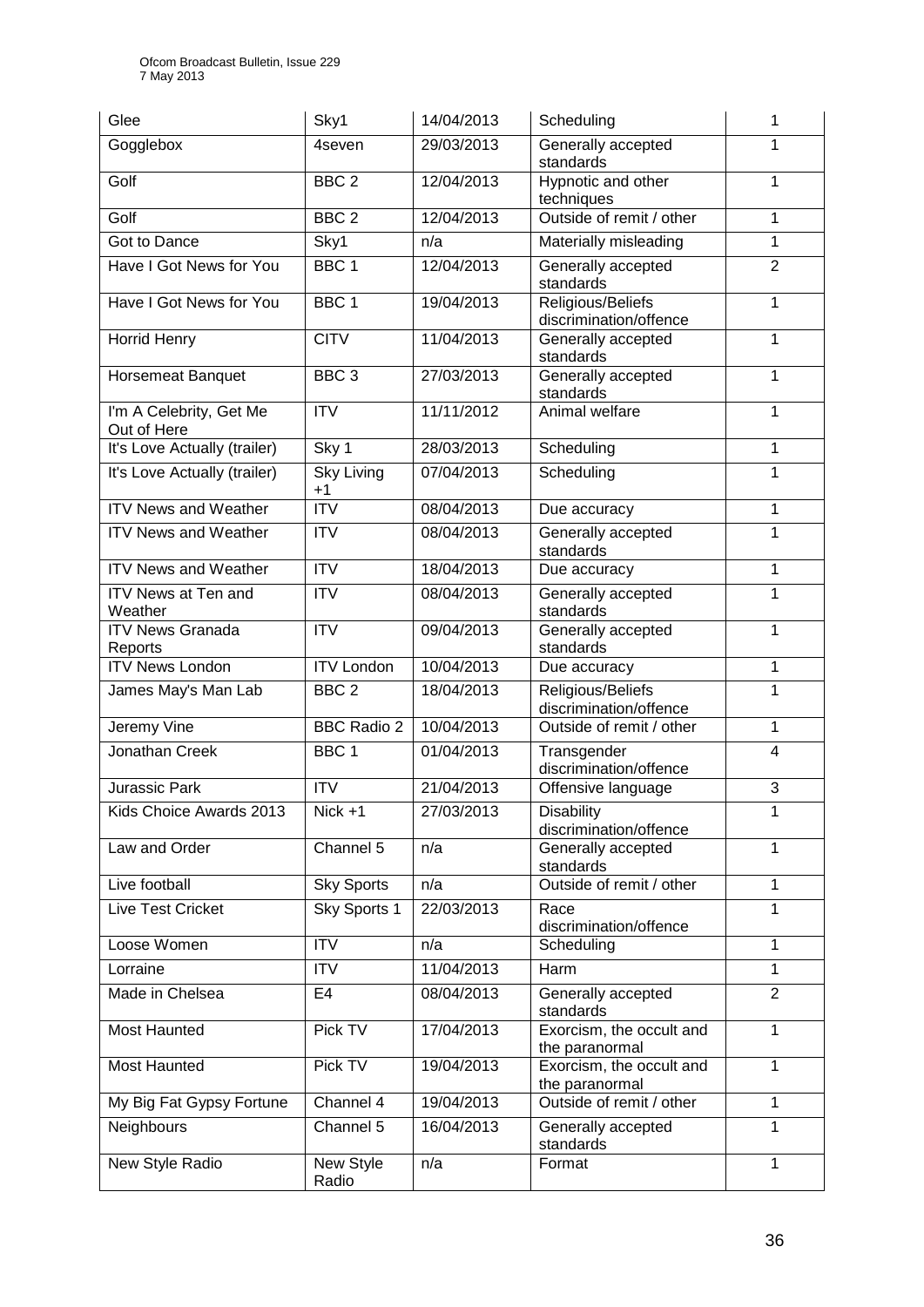| Glee                                   | Sky1                      | 14/04/2013 | Scheduling                                  | 1              |
|----------------------------------------|---------------------------|------------|---------------------------------------------|----------------|
| Gogglebox                              | 4seven                    | 29/03/2013 | Generally accepted<br>standards             | 1              |
| Golf                                   | BBC <sub>2</sub>          | 12/04/2013 | Hypnotic and other<br>techniques            | 1              |
| Golf                                   | BBC <sub>2</sub>          | 12/04/2013 | Outside of remit / other                    | 1              |
| Got to Dance                           | Sky1                      | n/a        | Materially misleading                       | 1              |
| Have I Got News for You                | BBC <sub>1</sub>          | 12/04/2013 | Generally accepted<br>standards             | $\overline{2}$ |
| Have I Got News for You                | BBC <sub>1</sub>          | 19/04/2013 | Religious/Beliefs<br>discrimination/offence | 1              |
| <b>Horrid Henry</b>                    | <b>CITV</b>               | 11/04/2013 | Generally accepted<br>standards             | 1              |
| <b>Horsemeat Banquet</b>               | BBC <sub>3</sub>          | 27/03/2013 | Generally accepted<br>standards             | 1              |
| I'm A Celebrity, Get Me<br>Out of Here | <b>ITV</b>                | 11/11/2012 | Animal welfare                              | 1              |
| It's Love Actually (trailer)           | Sky 1                     | 28/03/2013 | Scheduling                                  | 1              |
| It's Love Actually (trailer)           | <b>Sky Living</b><br>$+1$ | 07/04/2013 | Scheduling                                  | 1              |
| <b>ITV News and Weather</b>            | $\overline{ITV}$          | 08/04/2013 | Due accuracy                                | 1              |
| <b>ITV News and Weather</b>            | $\overline{\text{IV}}$    | 08/04/2013 | Generally accepted<br>standards             | 1              |
| <b>ITV News and Weather</b>            | <b>ITV</b>                | 18/04/2013 | Due accuracy                                | 1              |
| <b>ITV News at Ten and</b><br>Weather  | <b>ITV</b>                | 08/04/2013 | Generally accepted<br>standards             | 1              |
| <b>ITV News Granada</b><br>Reports     | $\overline{ITV}$          | 09/04/2013 | Generally accepted<br>standards             | 1              |
| <b>ITV News London</b>                 | <b>ITV London</b>         | 10/04/2013 | Due accuracy                                | 1              |
| James May's Man Lab                    | BBC <sub>2</sub>          | 18/04/2013 | Religious/Beliefs<br>discrimination/offence | 1              |
| Jeremy Vine                            | <b>BBC Radio 2</b>        | 10/04/2013 | Outside of remit / other                    | 1              |
| Jonathan Creek                         | BBC <sub>1</sub>          | 01/04/2013 | Transgender<br>discrimination/offence       | $\overline{4}$ |
| <b>Jurassic Park</b>                   | <b>ITV</b>                | 21/04/2013 | Offensive language                          | 3              |
| Kids Choice Awards 2013                | $Nick +1$                 | 27/03/2013 | <b>Disability</b><br>discrimination/offence | 1              |
| Law and Order                          | Channel 5                 | n/a        | Generally accepted<br>standards             | 1              |
| Live football                          | <b>Sky Sports</b>         | n/a        | Outside of remit / other                    | 1              |
| Live Test Cricket                      | Sky Sports 1              | 22/03/2013 | Race<br>discrimination/offence              | 1              |
| Loose Women                            | <b>ITV</b>                | n/a        | Scheduling                                  | 1              |
| Lorraine                               | <b>ITV</b>                | 11/04/2013 | Harm                                        | 1              |
| Made in Chelsea                        | E4                        | 08/04/2013 | Generally accepted<br>standards             | $\overline{2}$ |
| <b>Most Haunted</b>                    | Pick TV                   | 17/04/2013 | Exorcism, the occult and<br>the paranormal  | 1              |
| Most Haunted                           | Pick TV                   | 19/04/2013 | Exorcism, the occult and<br>the paranormal  | 1              |
| My Big Fat Gypsy Fortune               | Channel 4                 | 19/04/2013 | Outside of remit / other                    | 1              |
| Neighbours                             | Channel 5                 | 16/04/2013 | Generally accepted<br>standards             | $\mathbf{1}$   |
| New Style Radio                        | New Style<br>Radio        | n/a        | Format                                      | 1              |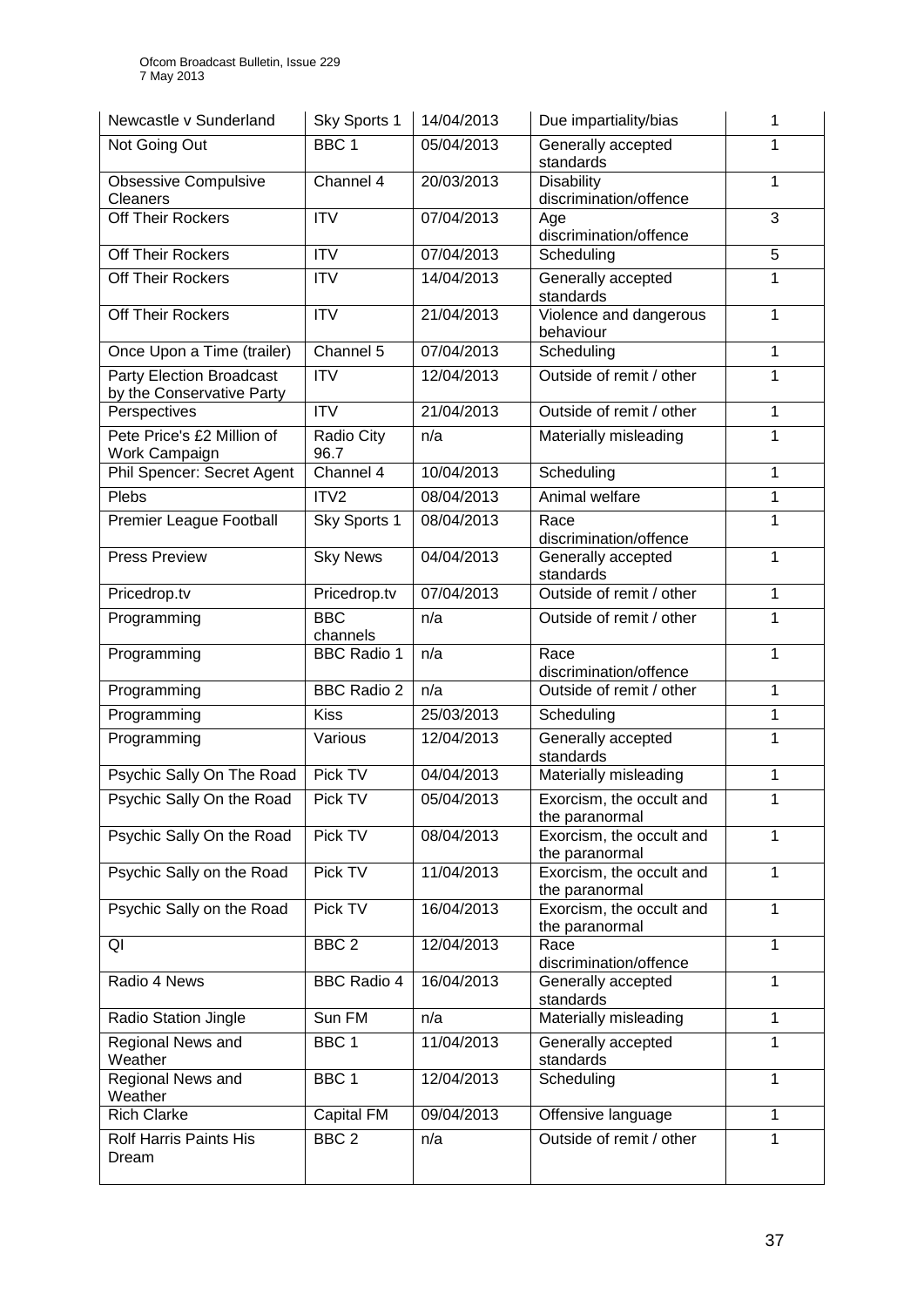| Newcastle v Sunderland                                       | Sky Sports 1                   | 14/04/2013        | Due impartiality/bias                          | 1              |
|--------------------------------------------------------------|--------------------------------|-------------------|------------------------------------------------|----------------|
| Not Going Out                                                | BBC <sub>1</sub>               | 05/04/2013        | Generally accepted<br>standards                | 1              |
| <b>Obsessive Compulsive</b><br>Cleaners                      | Channel 4                      | 20/03/2013        | <b>Disability</b><br>discrimination/offence    | $\mathbf 1$    |
| Off Their Rockers                                            | <b>ITV</b>                     | 07/04/2013        | Age<br>discrimination/offence                  | 3              |
| Off Their Rockers                                            | $\overline{IV}$                | 07/04/2013        | Scheduling                                     | $\overline{5}$ |
| Off Their Rockers                                            | <b>ITV</b>                     | 14/04/2013        | Generally accepted<br>standards                | 1              |
| Off Their Rockers                                            | <b>ITV</b>                     | 21/04/2013        | Violence and dangerous<br>behaviour            | $\mathbf{1}$   |
| Once Upon a Time (trailer)                                   | Channel 5                      | 07/04/2013        | Scheduling                                     | $\mathbf{1}$   |
| <b>Party Election Broadcast</b><br>by the Conservative Party | $\overline{\text{IV}}$         | 12/04/2013        | Outside of remit / other                       | 1              |
| Perspectives                                                 | $\overline{\text{IV}}$         | 21/04/2013        | Outside of remit / other                       | $\mathbf{1}$   |
| Pete Price's £2 Million of<br>Work Campaign                  | Radio City<br>96.7             | n/a               | Materially misleading                          | $\mathbf{1}$   |
| Phil Spencer: Secret Agent                                   | Channel 4                      | 10/04/2013        | Scheduling                                     | $\mathbf{1}$   |
| Plebs                                                        | ITV2                           | 08/04/2013        | Animal welfare                                 | $\mathbf{1}$   |
| Premier League Football                                      | Sky Sports 1                   | 08/04/2013        | Race<br>discrimination/offence                 | 1              |
| <b>Press Preview</b>                                         | <b>Sky News</b>                | 04/04/2013        | Generally accepted<br>standards                | $\mathbf{1}$   |
| Pricedrop.tv                                                 | Pricedrop.tv                   | 07/04/2013        | Outside of remit / other                       | $\mathbf{1}$   |
| Programming                                                  | <b>BBC</b><br>channels         | n/a               | Outside of remit / other                       | 1              |
| Programming                                                  | <b>BBC Radio 1</b>             | n/a               | Race                                           | 1              |
|                                                              |                                |                   | discrimination/offence                         |                |
| Programming                                                  | <b>BBC Radio 2</b>             | n/a               | Outside of remit / other                       | 1              |
| Programming                                                  | <b>Kiss</b>                    | 25/03/2013        | Scheduling                                     | $\mathbf{1}$   |
| Programming                                                  | Various                        | 12/04/2013        | Generally accepted<br>standards                | 1              |
| Psychic Sally On The Road                                    | Pick TV                        | 04/04/2013        | Materially misleading                          | 1              |
| Psychic Sally On the Road                                    | Pick TV                        | 05/04/2013        | Exorcism, the occult and<br>the paranormal     | 1              |
| Psychic Sally On the Road                                    | Pick TV                        | 08/04/2013        | Exorcism, the occult and<br>the paranormal     | 1              |
| Psychic Sally on the Road                                    | Pick TV                        | 11/04/2013        | Exorcism, the occult and<br>the paranormal     | 1              |
| Psychic Sally on the Road                                    | Pick TV                        | 16/04/2013        | Exorcism, the occult and<br>the paranormal     | 1              |
| QI                                                           | BBC <sub>2</sub>               | 12/04/2013        | Race<br>discrimination/offence                 | 1              |
| Radio 4 News                                                 | <b>BBC Radio 4</b>             | 16/04/2013        | Generally accepted<br>standards                | 1              |
| Radio Station Jingle                                         | Sun FM                         | n/a               | Materially misleading                          | $\mathbf{1}$   |
| Regional News and<br>Weather                                 | BBC <sub>1</sub>               | 11/04/2013        | Generally accepted<br>standards                | 1              |
| Regional News and<br>Weather                                 | BBC <sub>1</sub>               | 12/04/2013        | Scheduling                                     | 1              |
| <b>Rich Clarke</b><br><b>Rolf Harris Paints His</b>          | Capital FM<br>BBC <sub>2</sub> | 09/04/2013<br>n/a | Offensive language<br>Outside of remit / other | $\mathbf 1$    |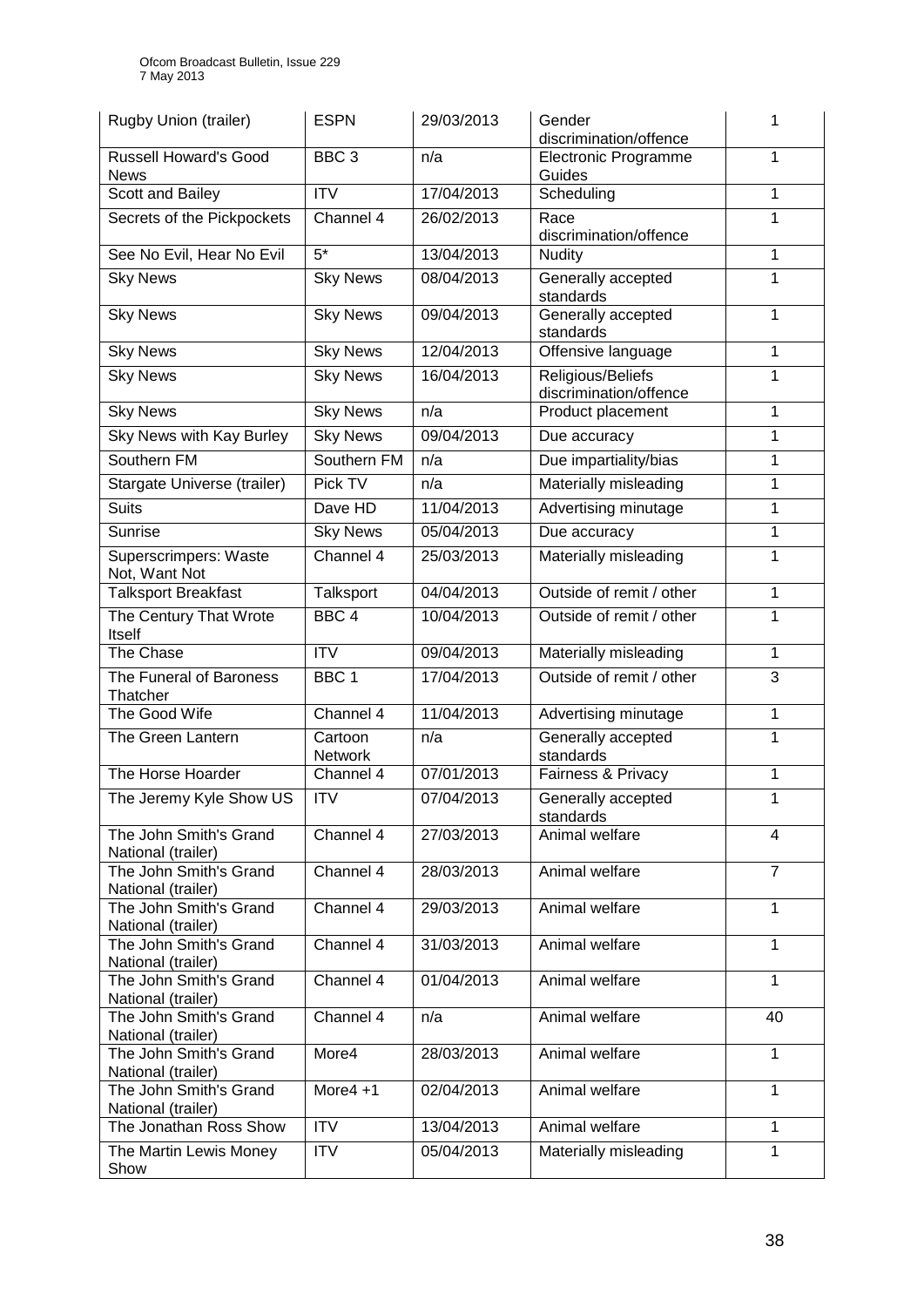| Rugby Union (trailer)                        | <b>ESPN</b>            | 29/03/2013 | Gender<br>discrimination/offence            | 1              |
|----------------------------------------------|------------------------|------------|---------------------------------------------|----------------|
| <b>Russell Howard's Good</b><br><b>News</b>  | BBC <sub>3</sub>       | n/a        | <b>Electronic Programme</b><br>Guides       | 1              |
| Scott and Bailey                             | <b>ITV</b>             | 17/04/2013 | Scheduling                                  | 1              |
| Secrets of the Pickpockets                   | Channel 4              | 26/02/2013 | Race<br>discrimination/offence              | 1              |
| See No Evil, Hear No Evil                    | $\overline{5^*}$       | 13/04/2013 | <b>Nudity</b>                               | 1              |
| <b>Sky News</b>                              | <b>Sky News</b>        | 08/04/2013 | Generally accepted<br>standards             | 1              |
| <b>Sky News</b>                              | <b>Sky News</b>        | 09/04/2013 | Generally accepted<br>standards             | 1              |
| <b>Sky News</b>                              | <b>Sky News</b>        | 12/04/2013 | Offensive language                          | $\mathbf{1}$   |
| <b>Sky News</b>                              | <b>Sky News</b>        | 16/04/2013 | Religious/Beliefs<br>discrimination/offence | 1              |
| <b>Sky News</b>                              | <b>Sky News</b>        | n/a        | Product placement                           | 1              |
| Sky News with Kay Burley                     | <b>Sky News</b>        | 09/04/2013 | Due accuracy                                | 1              |
| Southern FM                                  | Southern FM            | n/a        | Due impartiality/bias                       | 1              |
| Stargate Universe (trailer)                  | Pick TV                | n/a        | Materially misleading                       | 1              |
| <b>Suits</b>                                 | Dave HD                | 11/04/2013 | Advertising minutage                        | 1              |
| Sunrise                                      | <b>Sky News</b>        | 05/04/2013 | Due accuracy                                | 1              |
| Superscrimpers: Waste<br>Not, Want Not       | Channel 4              | 25/03/2013 | Materially misleading                       | 1              |
| <b>Talksport Breakfast</b>                   | Talksport              | 04/04/2013 | Outside of remit / other                    | 1              |
| The Century That Wrote<br>Itself             | BBC <sub>4</sub>       | 10/04/2013 | Outside of remit / other                    | 1              |
| The Chase                                    | $\overline{\text{IV}}$ | 09/04/2013 | Materially misleading                       | $\mathbf{1}$   |
| The Funeral of Baroness<br>Thatcher          | BBC <sub>1</sub>       | 17/04/2013 | Outside of remit / other                    | 3              |
| The Good Wife                                | Channel 4              | 11/04/2013 | Advertising minutage                        | $\mathbf{1}$   |
| The Green Lantern                            | Cartoon<br>Network     | n/a        | Generally accepted<br>standards             | 1              |
| The Horse Hoarder                            | Channel 4              | 07/01/2013 | Fairness & Privacy                          | 1              |
| The Jeremy Kyle Show US                      | <b>ITV</b>             | 07/04/2013 | Generally accepted<br>standards             | 1              |
| The John Smith's Grand<br>National (trailer) | Channel 4              | 27/03/2013 | Animal welfare                              | 4              |
| The John Smith's Grand<br>National (trailer) | Channel 4              | 28/03/2013 | Animal welfare                              | $\overline{7}$ |
| The John Smith's Grand<br>National (trailer) | Channel 4              | 29/03/2013 | Animal welfare                              | 1              |
| The John Smith's Grand<br>National (trailer) | Channel 4              | 31/03/2013 | Animal welfare                              | $\mathbf{1}$   |
| The John Smith's Grand<br>National (trailer) | Channel 4              | 01/04/2013 | Animal welfare                              | 1              |
| The John Smith's Grand<br>National (trailer) | Channel 4              | n/a        | Animal welfare                              | 40             |
| The John Smith's Grand<br>National (trailer) | More4                  | 28/03/2013 | Animal welfare                              | $\mathbf{1}$   |
| The John Smith's Grand<br>National (trailer) | More $4 + 1$           | 02/04/2013 | Animal welfare                              | 1              |
| The Jonathan Ross Show                       | <b>ITV</b>             | 13/04/2013 | Animal welfare                              | 1              |
| The Martin Lewis Money<br>Show               | <b>ITV</b>             | 05/04/2013 | Materially misleading                       | $\mathbf{1}$   |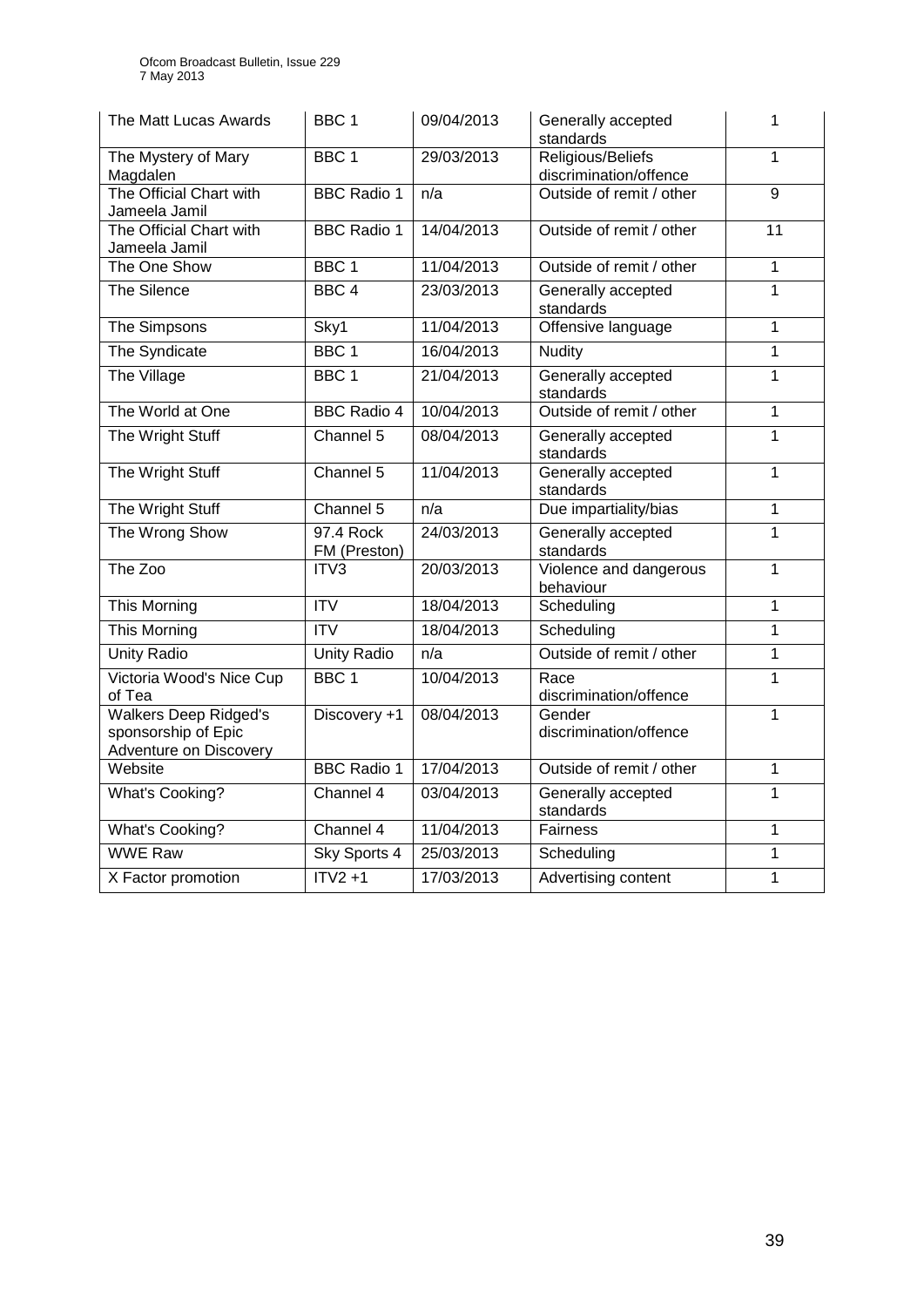| The Matt Lucas Awards                                                         | BBC <sub>1</sub>          | 09/04/2013 | Generally accepted<br>standards             | 1              |
|-------------------------------------------------------------------------------|---------------------------|------------|---------------------------------------------|----------------|
| The Mystery of Mary<br>Magdalen                                               | BBC <sub>1</sub>          | 29/03/2013 | Religious/Beliefs<br>discrimination/offence | 1              |
| The Official Chart with<br>Jameela Jamil                                      | <b>BBC Radio 1</b>        | n/a        | Outside of remit / other                    | $\overline{9}$ |
| The Official Chart with<br>Jameela Jamil                                      | <b>BBC</b> Radio 1        | 14/04/2013 | Outside of remit / other                    | 11             |
| The One Show                                                                  | BBC <sub>1</sub>          | 11/04/2013 | Outside of remit / other                    | 1              |
| The Silence                                                                   | BBC <sub>4</sub>          | 23/03/2013 | Generally accepted<br>standards             | $\mathbf{1}$   |
| The Simpsons                                                                  | Sky1                      | 11/04/2013 | Offensive language                          | 1              |
| The Syndicate                                                                 | BBC <sub>1</sub>          | 16/04/2013 | <b>Nudity</b>                               | $\mathbf{1}$   |
| The Village                                                                   | BBC <sub>1</sub>          | 21/04/2013 | Generally accepted<br>standards             | $\overline{1}$ |
| The World at One                                                              | <b>BBC Radio 4</b>        | 10/04/2013 | Outside of remit / other                    | $\overline{1}$ |
| The Wright Stuff                                                              | Channel 5                 | 08/04/2013 | Generally accepted<br>standards             | $\mathbf{1}$   |
| The Wright Stuff                                                              | Channel 5                 | 11/04/2013 | Generally accepted<br>standards             | 1              |
| The Wright Stuff                                                              | Channel 5                 | n/a        | Due impartiality/bias                       | 1              |
| The Wrong Show                                                                | 97.4 Rock<br>FM (Preston) | 24/03/2013 | Generally accepted<br>standards             | $\mathbf{1}$   |
| The Zoo                                                                       | ITV3                      | 20/03/2013 | Violence and dangerous<br>behaviour         | 1              |
| <b>This Morning</b>                                                           | $\overline{IV}$           | 18/04/2013 | Scheduling                                  | $\overline{1}$ |
| <b>This Morning</b>                                                           | ITV                       | 18/04/2013 | Scheduling                                  | $\mathbf{1}$   |
| <b>Unity Radio</b>                                                            | <b>Unity Radio</b>        | n/a        | Outside of remit / other                    | 1              |
| Victoria Wood's Nice Cup<br>of Tea                                            | BBC <sub>1</sub>          | 10/04/2013 | Race<br>discrimination/offence              | $\mathbf{1}$   |
| <b>Walkers Deep Ridged's</b><br>sponsorship of Epic<br>Adventure on Discovery | Discovery +1              | 08/04/2013 | Gender<br>discrimination/offence            | $\overline{1}$ |
| Website                                                                       | <b>BBC</b> Radio 1        | 17/04/2013 | Outside of remit / other                    | 1              |
| <b>What's Cooking?</b>                                                        | Channel 4                 | 03/04/2013 | Generally accepted<br>standards             | $\overline{1}$ |
| <b>What's Cooking?</b>                                                        | Channel 4                 | 11/04/2013 | Fairness                                    | $\mathbf 1$    |
| <b>WWE Raw</b>                                                                | Sky Sports 4              | 25/03/2013 | Scheduling                                  | $\overline{1}$ |
| X Factor promotion                                                            | $ITV2 + 1$                | 17/03/2013 | Advertising content                         | $\overline{1}$ |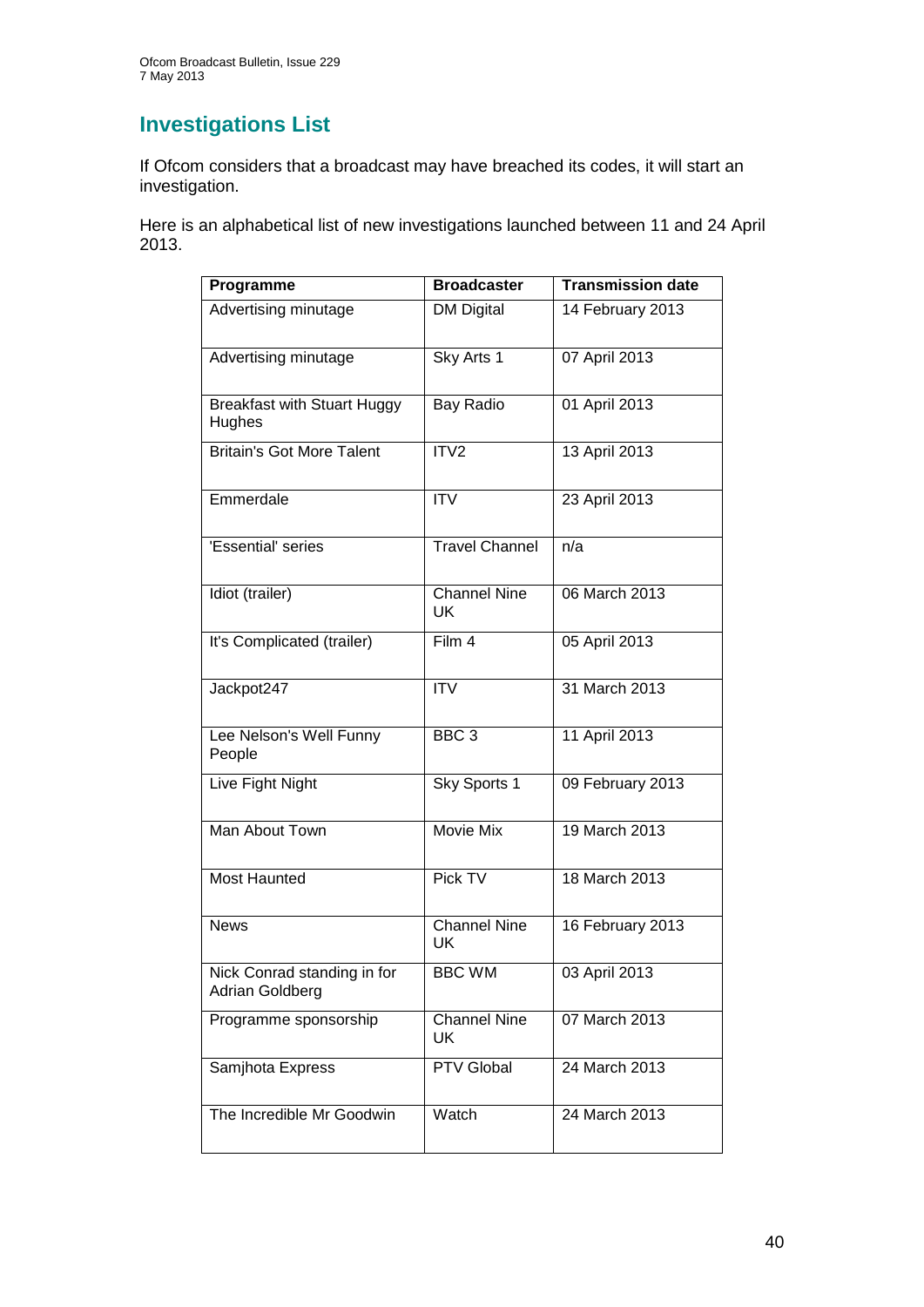# **Investigations List**

If Ofcom considers that a broadcast may have breached its codes, it will start an investigation.

Here is an alphabetical list of new investigations launched between 11 and 24 April 2013.

| Programme                                      | <b>Broadcaster</b>        | <b>Transmission date</b> |
|------------------------------------------------|---------------------------|--------------------------|
| Advertising minutage                           | <b>DM Digital</b>         | 14 February 2013         |
| Advertising minutage                           | Sky Arts 1                | 07 April 2013            |
| <b>Breakfast with Stuart Huggy</b><br>Hughes   | Bay Radio                 | 01 April 2013            |
| <b>Britain's Got More Talent</b>               | ITV <sub>2</sub>          | 13 April 2013            |
| Emmerdale                                      | <b>ITV</b>                | 23 April 2013            |
| 'Essential' series                             | <b>Travel Channel</b>     | n/a                      |
| Idiot (trailer)                                | <b>Channel Nine</b><br>UK | 06 March 2013            |
| It's Complicated (trailer)                     | Film 4                    | 05 April 2013            |
| Jackpot247                                     | <b>ITV</b>                | 31 March 2013            |
| Lee Nelson's Well Funny<br>People              | BBC <sub>3</sub>          | 11 April 2013            |
| Live Fight Night                               | Sky Sports 1              | 09 February 2013         |
| Man About Town                                 | <b>Movie Mix</b>          | 19 March 2013            |
| <b>Most Haunted</b>                            | Pick TV                   | 18 March 2013            |
| <b>News</b>                                    | Channel Nine<br>UK        | 16 February 2013         |
| Nick Conrad standing in for<br>Adrian Goldberg | <b>BBC WM</b>             | 03 April 2013            |
| Programme sponsorship                          | <b>Channel Nine</b><br>UK | 07 March 2013            |
| Samjhota Express                               | <b>PTV Global</b>         | 24 March 2013            |
| The Incredible Mr Goodwin                      | Watch                     | 24 March 2013            |